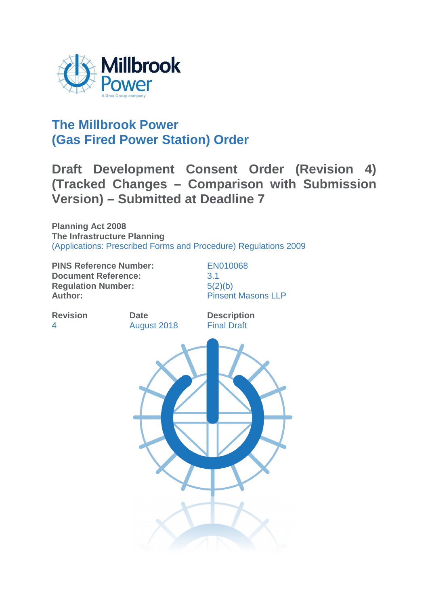

# **The Millbrook Power (Gas Fired Power Station) Order**

# **Draft Development Consent Order (Revision 4) (Tracked Changes – Comparison with Submission Version) – Submitted at Deadline 7**

**Planning Act 2008 The Infrastructure Planning**  (Applications: Prescribed Forms and Procedure) Regulations 2009

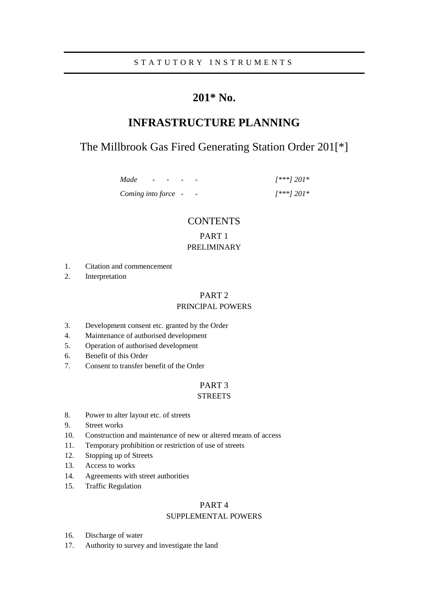### S T A T U T O R Y I N S T R U M E N T S

## **201\* No.**

## **INFRASTRUCTURE PLANNING**

## The Millbrook Gas Fired Generating Station Order 201[\*]

*Made - - - - [\*\*\*] 201\* Coming into force - - [\*\*\*] 201\** 

### **CONTENTS**

### PART 1 PRELIMINARY

- 1. Citation and commencement
- 2. Interpretation

### PART 2

### PRINCIPAL POWERS

- 3. Development consent etc. granted by the Order
- 4. Maintenance of authorised development
- 5. Operation of authorised development
- 6. Benefit of this Order
- 7. Consent to transfer benefit of the Order

### PART 3

### **STREETS**

- 8. Power to alter layout etc. of streets
- 9. Street works
- 10. Construction and maintenance of new or altered means of access
- 11. Temporary prohibition or restriction of use of streets
- 12. Stopping up of Streets
- 13. Access to works
- 14. Agreements with street authorities
- 15. Traffic Regulation

### PART 4

### SUPPLEMENTAL POWERS

- 16. Discharge of water
- 17. Authority to survey and investigate the land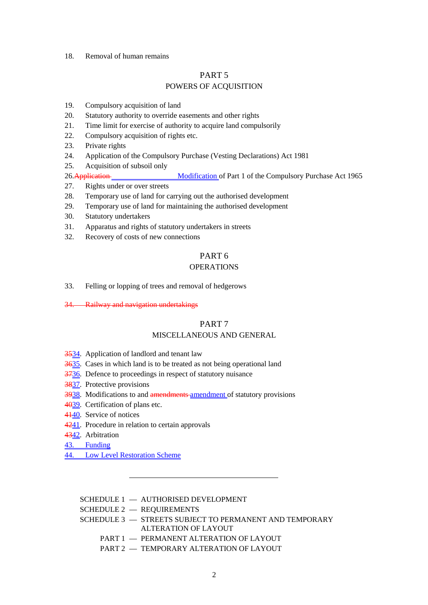### 18. Removal of human remains

### PART 5

### POWERS OF ACQUISITION

- 19. Compulsory acquisition of land
- 20. Statutory authority to override easements and other rights
- 21. Time limit for exercise of authority to acquire land compulsorily
- 22. Compulsory acquisition of rights etc.
- 23. Private rights
- 24. Application of the Compulsory Purchase (Vesting Declarations) Act 1981
- 25. Acquisition of subsoil only
- 26.Application Modification of Part 1 of the Compulsory Purchase Act 1965
- 27. Rights under or over streets
- 28. Temporary use of land for carrying out the authorised development
- 29. Temporary use of land for maintaining the authorised development
- 30. Statutory undertakers
- 31. Apparatus and rights of statutory undertakers in streets
- 32. Recovery of costs of new connections

### PART 6

### **OPERATIONS**

- 33. Felling or lopping of trees and removal of hedgerows
- 34. Railway and navigation undertakings

### PART 7

### MISCELLANEOUS AND GENERAL

- 3534. Application of landlord and tenant law
- 3635. Cases in which land is to be treated as not being operational land
- 3736. Defence to proceedings in respect of statutory nuisance
- 3837. Protective provisions
- 3938. Modifications to and amendments amendment of statutory provisions
- 4039. Certification of plans etc.
- 4440. Service of notices
- 4241. Procedure in relation to certain approvals
- 4342. Arbitration
- 43. Funding
- 44. Low Level Restoration Scheme

SCHEDULE 1 — AUTHORISED DEVELOPMENT

SCHEDULE 2 — REQUIREMENTS

 SCHEDULE 3 — STREETS SUBJECT TO PERMANENT AND TEMPORARY ALTERATION OF LAYOUT

- PART 1 PERMANENT ALTERATION OF LAYOUT
- PART 2 TEMPORARY ALTERATION OF LAYOUT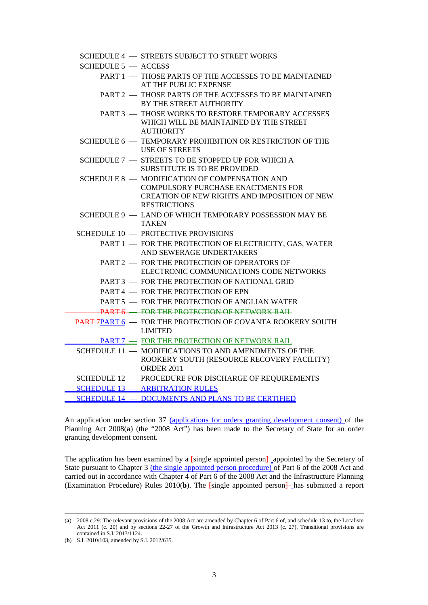|                       | SCHEDULE 4 - STREETS SUBJECT TO STREET WORKS                                                                                                                      |
|-----------------------|-------------------------------------------------------------------------------------------------------------------------------------------------------------------|
| SCHEDULE $5 -$ ACCESS |                                                                                                                                                                   |
|                       | PART 1 - THOSE PARTS OF THE ACCESSES TO BE MAINTAINED<br>AT THE PUBLIC EXPENSE                                                                                    |
|                       | PART 2 - THOSE PARTS OF THE ACCESSES TO BE MAINTAINED<br>BY THE STREET AUTHORITY                                                                                  |
|                       | <b>PART 3 - THOSE WORKS TO RESTORE TEMPORARY ACCESSES</b><br>WHICH WILL BE MAINTAINED BY THE STREET<br><b>AUTHORITY</b>                                           |
|                       | SCHEDULE 6 - TEMPORARY PROHIBITION OR RESTRICTION OF THE<br><b>USE OF STREETS</b>                                                                                 |
|                       | SCHEDULE 7 - STREETS TO BE STOPPED UP FOR WHICH A<br><b>SUBSTITUTE IS TO BE PROVIDED</b>                                                                          |
|                       | SCHEDULE 8 - MODIFICATION OF COMPENSATION AND<br><b>COMPULSORY PURCHASE ENACTMENTS FOR</b><br>CREATION OF NEW RIGHTS AND IMPOSITION OF NEW<br><b>RESTRICTIONS</b> |
|                       | SCHEDULE 9 - LAND OF WHICH TEMPORARY POSSESSION MAY BE<br><b>TAKEN</b>                                                                                            |
|                       | <b>SCHEDULE 10 - PROTECTIVE PROVISIONS</b>                                                                                                                        |
|                       | PART 1 - FOR THE PROTECTION OF ELECTRICITY, GAS, WATER<br>AND SEWERAGE UNDERTAKERS                                                                                |
|                       | PART 2 - FOR THE PROTECTION OF OPERATORS OF<br>ELECTRONIC COMMUNICATIONS CODE NETWORKS                                                                            |
|                       | PART 3 - FOR THE PROTECTION OF NATIONAL GRID                                                                                                                      |
|                       | PART 4 - FOR THE PROTECTION OF EPN                                                                                                                                |
|                       | PART 5 - FOR THE PROTECTION OF ANGLIAN WATER                                                                                                                      |
|                       | PART 6 - FOR THE PROTECTION OF NETWORK RAIL                                                                                                                       |
|                       | <b>PART 7PART 6 - FOR THE PROTECTION OF COVANTA ROOKERY SOUTH</b><br><b>LIMITED</b>                                                                               |
|                       | PART 7 - FOR THE PROTECTION OF NETWORK RAIL                                                                                                                       |
|                       | SCHEDULE 11 - MODIFICATIONS TO AND AMENDMENTS OF THE<br>ROOKERY SOUTH (RESOURCE RECOVERY FACILITY)<br><b>ORDER 2011</b>                                           |
|                       | SCHEDULE 12 - PROCEDURE FOR DISCHARGE OF REQUIREMENTS                                                                                                             |
|                       | <b>SCHEDULE 13 - ARBITRATION RULES</b>                                                                                                                            |
|                       | <b>SCHEDULE 14 - DOCUMENTS AND PLANS TO BE CERTIFIED</b>                                                                                                          |

An application under section 37 (applications for orders granting development consent) of the Planning Act 2008(a) (the "2008 Act") has been made to the Secretary of State for an order granting development consent.

The application has been examined by a  $\frac{1}{2}$  [single appointed person $\frac{1}{2}$  appointed by the Secretary of State pursuant to Chapter 3 <u>(the single appointed person procedure)</u> of Part 6 of the 2008 Act and carried out in accordance with Chapter 4 of Part 6 of the 2008 Act and the Infrastructure Planning (Examination Procedure) Rules  $2010(b)$ . The  $\frac{1}{2}$  single appointed person $\frac{1}{2}$  has submitted a report

<sup>(</sup>**a**) 2008 c.29: The relevant provisions of the 2008 Act are amended by Chapter 6 of Part 6 of, and schedule 13 to, the Localism Act 2011 (c. 20) and by sections 22-27 of the Growth and Infrastructure Act 2013 (c. 27). Transitional provisions are contained in S.I. 2013/1124.

<sup>(</sup>**b**) S.I. 2010/103, amended by S.I. 2012/635.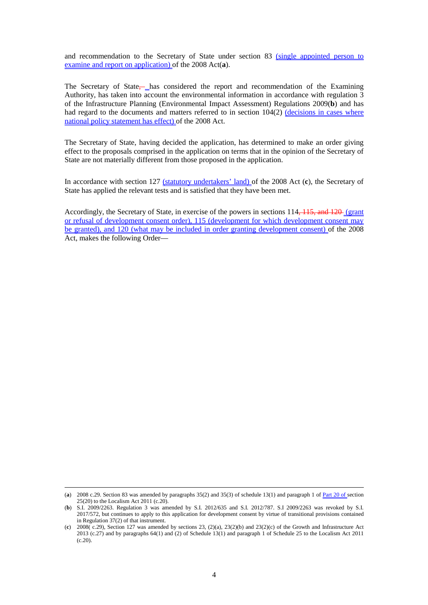and recommendation to the Secretary of State under section 83 (single appointed person to examine and report on application) of the 2008 Act(**a**).

The Secretary of State—has considered the report and recommendation of the Examining Authority, has taken into account the environmental information in accordance with regulation 3 of the Infrastructure Planning (Environmental Impact Assessment) Regulations 2009(**b**) and has had regard to the documents and matters referred to in section 104(2) (decisions in cases where national policy statement has effect) of the 2008 Act.

The Secretary of State, having decided the application, has determined to make an order giving effect to the proposals comprised in the application on terms that in the opinion of the Secretary of State are not materially different from those proposed in the application.

In accordance with section 127 (statutory undertakers' land) of the 2008 Act (**c**), the Secretary of State has applied the relevant tests and is satisfied that they have been met.

Accordingly, the Secretary of State, in exercise of the powers in sections 114, 115, and 120 (grant or refusal of development consent order), 115 (development for which development consent may be granted), and 120 (what may be included in order granting development consent) of the 2008 Act, makes the following Order—

<sup>(</sup>**a**) 2008 c.29. Section 83 was amended by paragraphs 35(2) and 35(3) of schedule 13(1) and paragraph 1 of Part 20 of section 25(20) to the Localism Act 2011 (c.20).

<sup>(</sup>**b**) S.I. 2009/2263. Regulation 3 was amended by S.I. 2012/635 and S.I. 2012/787. S.I 2009/2263 was revoked by S.I. 2017/572, but continues to apply to this application for development consent by virtue of transitional provisions contained in Regulation 37(2) of that instrument.

<sup>(</sup>c)  $2008(\text{c.29})$ , Section 127 was amended by sections 23, (2)(a), 23(2)(b) and 23(2)(c) of the Growth and Infrastructure Act 2013 (c.27) and by paragraphs 64(1) and (2) of Schedule 13(1) and paragraph 1 of Schedule 25 to the Localism Act 2011  $(c.20)$ .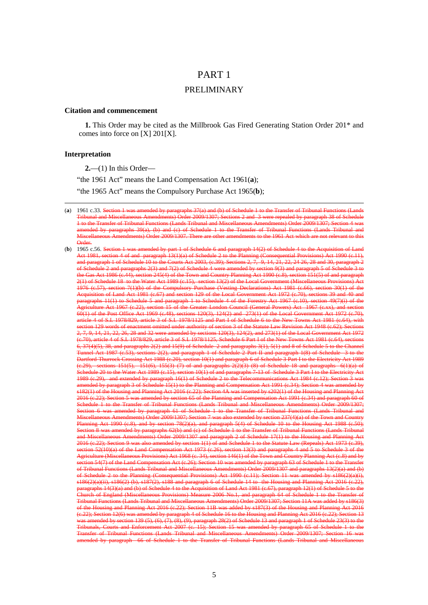### PART 1

### PRELIMINARY

#### **Citation and commencement**

**1.** This Order may be cited as the Millbrook Gas Fired Generating Station Order 201\* and comes into force on [X] 201[X].

### **Interpretation**

<u>.</u>

**2.**—(1) In this Order—

"the 1961 Act" means the Land Compensation Act 1961(**a**);

"the 1965 Act" means the Compulsory Purchase Act 1965(**b**);

 $(a)$  1961 c.33. Sec Tribunal and Miscellaneous Amendments) Order 2009/1307; Sections 2 and 3 were repealed by paragraph 38 of Schedule 1 to the Transfer of Tribunal Functions (Lands Tribunal and Miscellaneous Amendments) Order 2009/1307; Section 4 was amended by paragraphs  $39(a)$ , (b) and (c) of Schedule Miscellaneous Amendments) Order 2009/1307. There are other amendments to the 1961 Act which are not relevant to this

<sup>(</sup>**b**) 1965 c.56. Section 1 ertime 1 and 1 mart 1 and 1965 and the Schedule 6 and part 1 of Schedule 6 and part 14(2) of Schedule 4 to the A  $\frac{13(1)(a)}{13(1)}$  of Sch and paragraph 1 of Schedule 10 to the Courts Act 2003, (c.39); Sections 2, 7, 9, 14, 21, 22, 24 26, 28 and 30, paragraph 2 of Schedule 2 and paragraphs 2(3) and 7(2) of Schedule 4 were amended by section 9(3) and paragraph 5 of Schedule 3 to the Gas Act 1986 (c.44), section 245(4) of the Town and Country Planning Act 1990 (c.8), section 151(5) of and paragraph 2(1) of Schedule 18 to the Water Act 1989 (c.15), section 13(2) of the Local Government (Miscellaneous Provisions) Act 1976 (c.57), section 7(1)(b) of the Compulsory Purchase (Vesting Declarations) Act 1981 (c.66), section 30(1) of the Acquisition of Land Act 1981 (c.67) and section 129 of the Local Government Act 1972 (c.70), sections 39 and 40 and paragraphs 11(1) to Schedule 5 and paragraph 1 to Schedule 4 of the Forestry Act 1967 (c.10), section 49(7)(i) of the Agriculture Act 1967 (c.22), section 15 of the Greater London Council (General Powers) Act 1967 (c.xx), and section 60(1) of the Post Office Act 1969 (c.48), sections 120(3), 124(2) and 273(1) of the Local Government Act 1972 (c.70), article 4 of S.I. 1978/829, article 3 of S.I. 1978/1125 and Part I of Schedule 6 to the New Towns Act 1981 (c.64), with section 129 words of enactment omitted under authority of section 3 of the Statute Law Revision Act 1948 (c.62); Sections 2, 7, 9, 14, 21, 22, 26, 28 and 32 were amended by sections 120(3), 124(2), and 273(1) of the Local Government Act 1972 (c.70), article 4 of S.I. 1978/829, article 3 of S.I. 1978/1125, Schedule 6 Part I of the New Towns Act 1981 (c.64), sections 6, 37(4)(5), 38, and paragraphs 2(2) and 15(9) of Schedule 2 and paragraphs 3(1), 5(1) and 8 of Schedule 5 to the Channel Tunnel Act 1987 (c.53), sections 2(2), and paragraph 1 of Schedule 2 Part II and paragraph 1(8) of Schedule 3 to the Dartford-Thurrock Crossing Act 1988 (c.20), section 10(1) and paragraph 6 of Schedule 3 Part I to the Electricity Act 1989  $(c.29)$ , sections 151(5), 151(6), 155(3)–(7) of and paragraphs 2(2)(3)–(8) of Schedule 18 and paragraphs  $6(1)(a)$  of Schedule 20 to the Water Act 1989 (c.15), section 10(1) of and paragraphs 7-13 of Schedule 3 Part I to the Electricity Act 1989 (c.29), and extended by paragraph 16(1) of Schedule 2 to the Telecommunications Act 1984 (c.12); Section 3 was amended by paragraph 3 of Schedule 15(1) to the Planning and Compensation Act 1991 (c.34); Section 4 was amended by s182(1) of the Housing and Planning Act 2016 (c.22); Section 4A was inserted by s202(1) of the Housing and Planning Act 2016 (c.22); Section 5 was amended by section 65 of the Planning and Compensation Act 1991 (c.34) and paragraph 60 of Schedule 1 to the Transfer of Tribunal Functions (Lands Tribunal and Miscellaneous Amendments) Order 2009/1307; Section 6 was amended by paragraph 61 of Schedule 1 to the Transfer of Tribunal Functions (Lands Tribunal and Miscellaneous Amendments) Order 2009/1307; Section 7 was also extended by section 237(4)(a) of the Town and Country Planning Act 1990 (c.8), and by section 78(2)(a), and paragraph 5(4) of Schedule 10 to the Housing Act 1988 (c.50); Section 8 was amended by paragraphs 62(b) and (c) of Schedule 1 to the Transfer of Tribunal Functions (Lands Tribunal and Miscellaneous Amendments) Order 2009/1307 and paragraph 2 of Schedule 17(1) to the Housing and Planning Act 2016 (c.22); Section 9 was also amended by section 1(1) of and Schedule 1 to the Statute Law (Repeals) Act 1973 (c.39), section 52(10)(a) of the Land Compensation Act 1973 (c.26), section 13(3) and paragraphs 4 and 5 to Schedule 3 of the Agriculture (Miscellaneous Provisions) Act 1968 (c. 34), section 146(1) of the Town and Country Planning Act (c.8) and by section 54(7) of the Land Compensation Act (c.26); Section 10 was amended by paragraph 63 of Schedule 1 to the Transfer of Tribunal Functions (Lands Tribunal and Miscellaneous Amendments) Order 2009/1307 and paragraphs 13(2)(a) and (b) of Schedule 2 to the Planning (Consequential Provisions) Act 1990 (c.11); Section 11 was amended by s186(2)(a)(i), s186(2)(a)(ii), s186(2) (b), s187(2), s188 and paragraph 6 of Schedule 14 to the Housing and Planning Act 2016 (c.22), paragraphs 14(3)(a) and (b) of Schedule 4 to the Acquisition of Land Act 1981 (c.67), paragraph 12(1) of Schedule 5 to the Church of England (Miscellaneous Provisions) Measure 2006 No.1, and paragraph 64 of Schedule 1 to the Transfer of Tribunal Functions (Lands Tribunal and Miscellaneous Amendments) Order 2009/1307; Section 11A was added by s186(3) Housing and Planning Act 2016 (c.22); Section 11B was added by s187(3) of the Housing and Planning Act 2016 (c.22); Section 116 to the Housing and Planning (c.22); Section 12(6) was amended by paragraph 4 of Schedule 16 to the Housing and Planning Act 2016 (c.22); Section 13 was amended by section 139 (5), (6), (7), (8), (9), paragraph 28(2) of Schedule 13 and paragraph 1 of Schedule 23(3) to the Tribunals, Courts and Enforcement Act 2007 (c. 15); Section 15 was amended by paragraph 65 of Schedule 1 to the Transfer of Tribunal Functions (Lands Tribunal and Miscellaneous Amendments) Order 2009/1307; Section 16 was amended by paragraph 66 of Schedule 1 to the Transfer of Tribunal Functions (Lands Tribunal and Miscellaneous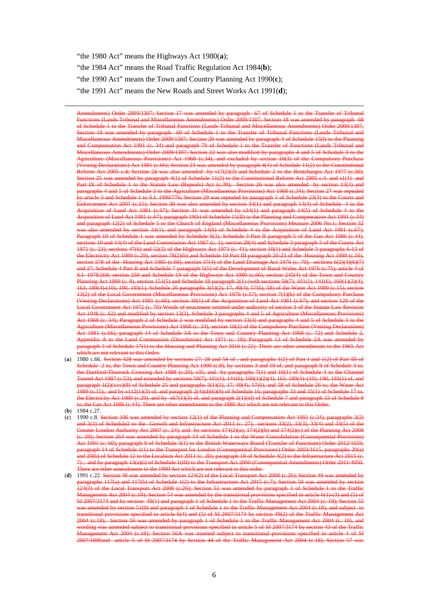"the 1980 Act" means the Highways Act 1980(**a**); "the 1984 Act" means the Road Traffic Regulation Act 1984(**b**); "the 1990 Act" means the Town and Country Planning Act 1990(**c**); "the 1991 Act" means the New Roads and Street Works Act 1991(**d**);

Amendments) Order 2009/1307; Section 17 was amended by paragraph 67 of Schedule 1 to the Transfer of Tribunal Functions (Lands Tribunal and Miscellaneous Amendments) Order 2009/1307; Section 18 was amended by paragraph 68 of Schedule 1 to the Transfer of Tribunal Functions (Lands Tribunal and Miscellaneous Amendments) Order 2009/1307; Section 19 was amended by paragraph 69 of Schedule 1 to the Transfer of Tribunal Functions (Lands Tribunal and Miscellaneous Amendments) Order 2009/1307; Section 20 was amended by paragraph 4 of Schedule 15(I) to the Planning and Compensation Act 1991 (c. 34) and paragraph 70 of Schedule 1 to the Transfer of Functions (Lands Tribunal and Miscellaneous Amendments) Order 2009/1307; Section 22 was also modified by paragraphs 4 and 5 of Schedule 3 to the Agriculture (Miscellaneous Provisions) Act 1968 (c.34), and excluded by section 10(3) of the Compulsory Purchase (Vesting Declarations) Act 1981 (c.66); Section 23 was amended by paragraph 4(1) of Schedule 11(2) to the Constitutional Reform Act 2005 c.4; Section 24 was also amended by s17(2)(3) and Schedule 2 to the Rentcharges Act 1977 (c.30); Section 25 was amended by paragraph 4(1) of Schedule 11(2) to the Constitutional Reform Act 2005 c.4. and s1(1) and Part IX of Schedule 1 to the Statute Law (Repeals) Act (c.39); Section 26 was also amended by section 13(3) and paragraphs 4 and 5 of Schedule 3 to the Agriculture (Miscellaneous Provisions) Act 1968 (c.34); Section 27 was repealed by article 3 and Schedule 1 to S.I. 1990/776; Section 29 was repealed by paragraph 1 of Schedule 23(3) to the Courts and Enforcement Act 2007 (c.15); Section 30 was also amended by section 34(1) and paragraph 14(4) of Schedule 4 to the Acquisition of Land Act 1981 (c.67); Section 31 was amended by s34(1) and paragraph 14(5) of Schedule 4 to the Acquisition of Land Act 1981 (c.67), paragraph 19(b) of Schedule 15(II) to the Planning and Compensation Act 1991 (c.34) and paragraph 12(2) of Schedule 5 to the Church of England (Miscellaneous Provisions) Measure 2006 No.1; Section 32 was also amended by section 34(1), and paragraph 14(6) of Schedule 4 to the Acquisition of Land Act 1981 (c.67); Paragraph 10 of Schedule 1 was amended by Schedule 9(3), Schedule 3 Part II paragraph 5 of the Gas Act 1986 (c.44), sections 10 and 14(4) of the Land Commission Act 1967 (c. 1), section 28(4) and Schedule 3 paragraph 3 of the Courts Act 1971 (c. 23), sections 47(6) and 52(2) of the Highways Act 1971 (c. 41), section 10(1) and Schedule 3 paragraphs 6-13 of the Electricity Act 1989 (c.29), section 78(2)(b) and Schedule 10 Part III paragraph 20-23 of the Housing Act 1988 (c.50), section 578 of the Housing Act 1985 (c.68), section 37(4) of the Land Drainage Act 1976 (c. 70), sections 6(2)(4)(6)(7) and 27, Schedule 4 Part II and Schedule 7 paragraph 5(5) of the Development of Rural Wales Act 1976 (c.75), article 4 of S.I. 1978/268, section 250 and Schedule 19 of the Highways Act 1980 (c.66), section 245(4) of the Town and Country Planning Act 1990 (c. 8), section 151(5) and Schedule 18 paragraph 2(1) (with sections 58(7), 101(1), 141(6), 160(1)(2)(4), 163, 189(4)-(10), 190, 193(1), Schedule 26 paragraphs 3(1)(2), 17, 40(4), 57(6), 58) of the Water Act 1989 (c.15), section 13(2) of the Local Government (Miscellaneous Provisions) Act 1976 (c.57), section 7(1)(b) of the Compulsory Purchase (Vesting Declarations) Act 1981 (c.66), section 30(1) of the Acquisition of Land Act 1981 (c.67), and section 129 of the Local Government Act 1972 (c. 70) Words of enactment omitted under authority of section 3 of the Statute Law Revision Act 1948 (c. 62) and modified by section 13(3), Schedule 3 paragraphs 4 and 5 of Agriculture (Miscellaneous Provisions) Act 1968 (c. 34); Paragraph 2 of Schedule 2 was modified by section 13(3) and paragraphs 4 and 5 of Schedule 3 to the Agriculture (Miscellaneous Provisions) Act 1968 (c. 34), section 10(2) of the Compulsory Purchase (Vesting Declarations) Act 1981 (c.66), paragraph 14 of Schedule 3A to the Town and Country Planning Act 1968 (c. 72) and Schedule 2, Appendix A to the Land Commission (Dissolution) Act 1971 (c. 18); Paragraph 13 of Schedule 2A was amended by paragraph 3 of Schedule 17(1) to the Housing and Planning Act 2016 (c.22). There are other amendments to the 1965 Act which are not relevant to this Order.

- (**a**) 1980 c.66.  $\frac{S}{S}$ Schedule 2 to, the Town and Country Planning Act 1990 (c.8), by sections 3 and 19 of, and paragraph 9 of Schedule 3 to, the Dartford-Thurrock Crossing Act 1988 (c.20), s35, and by paragraphs 7(1) and 10(1) of Schedule 4 to the Channel Tunnel Act 1987 (c.53), and extended by sections 58(7), 101(1), 141(6), 160(1)(2)(4), 163, 189(4)–(10), 190, 193(1) of, and paragraph 1(2)(xxv)(8) of Schedule 25 and paragraphs 3(1)(2), 17, 40(4), 57(6), and 58 of Schedule 26 to, the Water Act 1989 (c.15), and by s112(1)(3) of, and paragraph 2(4)(d)(6)(9) of Schedule 16, paragraphs 33 and 35(1) of Schedule 17 to, and paragraph  $2(1)(x)$  of Schedule 7 and paragrap to, the Gas Act 1986 (c.44). There are other amendments to the 1980 Act which are not relevant to this Order.
- (**b**) 1984 c.27.

- $(c)$  1990 c.8. **S** and 3(3) of Schedule2 to the Growth and Infrastructure Act 2013 (c. 27), sections 33(2), 33(3), 33(4) and 34(5) of the Greater London Authority Act 2007 (c. 24), and by sections 174(2)(a), 174(2)(b) and 174(2)(c) of the Planning Act 2008 (c. 29); Section 264 was amended by paragraph 54 of Schedule 1 to the Water Consolidation (Consequential Provisions) Act 1991 (c. 60), paragraph 9 of Schedule 3(1) to the British Waterways Board (Transfer of Functions) Order 2012/1659, paragraph 14 of Schedule 1(1) to the Transport for London (Consequential Provisions) Order 2003/1615, paragraphs 20(a) and 20(b) of Schedule 12 to the Localism Act 2011 (c. 20), paragraph 18 of Schedule 4(2) to the Infrastructure Act 2015 (c. 7) , and by paragraph 13(a)(i) of Schedule 1(III) to the Transport Act 2000 (Consequential Amendments) Order 2011/4050. There are other amendments to the 1990 Act which are not relevant to this order.
- (**d**) 1991 c.22. Section 48 was amended by section 124(2) of the Local Transport Act paragraphs 117(a) and 117(b) of Schedule 1(2) to the Infrastructure Act 2015 (c.7); Section 50 was amended by section 124(3) of the Local Transport Act 2008 (c.26); Section 51 was amended by paragraph 1 of Schedule 1 to the Traffic Management Act 2004 (c.18); Section 54 was amended by the transitional provisions specified in article 6(1)-(3) and (5) of SI 2007/3174 and by section 49(1) and paragraph 1 of Schedule 1 to the Traffic Management Act 2004 (c. 18); Section 55 was amended by section 51(9) and paragraph 1 of Schedule 1 to the Traffic Management Act 2004 (c.18), and subject to transitional provisions specified in article 6(4) and (5) of SI 2007/3174 by section 49(2) of the Traffic Management Act 2004 (c.18); Section 56 was amended by paragraph 1 of Schedule 1 to the Traffic Management Act 2004 (c. 18), and amended subject to transitional provisions specified in article 5 of SI 2007/ $\Delta ct$  2007/3174 by section 56.4 was inserted subject to transitional provision Management Act 2004 (c.18); Section 56A was inserted subject to transitional provisions specified in article 4 of SI  $2007/\overline{1890}$ and article 5 of SI 2007/3174 by Section 44 of the Traffic Management Act  $2004$  (c.18);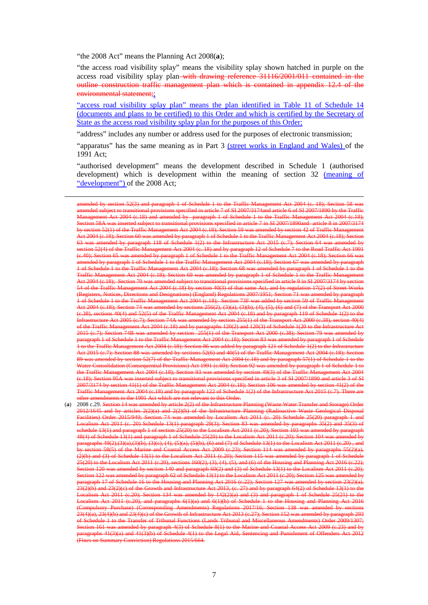"the 2008 Act" means the Planning Act 2008(**a**);

<u>.</u>

"the access road visibility splay" means the visibility splay shown hatched in purple on the access road visibility splay plan with drawing reference 31116/2001/011 contained in the outline construction traffic management plan which is contained in appendix 12.4 of the environmental statement;;

"access road visibility splay plan" means the plan identified in Table 11 of Schedule 14 (documents and plans to be certified) to this Order and which is certified by the Secretary of State as the access road visibility splay plan for the purposes of this Order;

"address" includes any number or address used for the purposes of electronic transmission;

"apparatus" has the same meaning as in Part 3 (street works in England and Wales) of the 1991 Act;

"authorised development" means the development described in Schedule 1 (authorised development) which is development within the meaning of section 32 (meaning of "development") of the 2008 Act;

(**a**) 2008 c.29. Section 14 was amended by article 2(2) of the Infrastructure Planning (Waste Water Transfer and Storage) Order 2012/1645 and by articles 2(2)(a) and 2(2)(b) of the Infrastructure Planning (Radioactive Waste Geological Disposal Facilities) Order 2015/949; Section 74 was amended by Localism Act 2011 (c. 20) Schedule 25(20) paragraph 1 and Localism Act 2011 (c. 20) Schedule 13(1) paragraph 29(3); Section 83 was amended by paragraphs 35(2) and 35(3) of schedule 13(1) and paragraph 1 of section 25(20) to the Localism Act 2011 (c.20); Section 103 was amended by paragraph 48(4) of Schedule 13(1) and paragraph 1 of Schedule 25(20) to the Localism Act 2011 (c.20); Section 104 was amended by paragraphs 49(2),(3)(a),(3)(b), (3)(c), (4), (5)(a), (5)(b), (6) and (7) of Schedule 13(1) to the Localism Act 2011 (c.20) , and by section 58(5) of the Marine and Coastal Access Act 2009 (c.23); Section 114 was amended by paragraphs 55(2)(a), (2)(b) and (3) of Schedule 13(1) to the Localism Act 2011 (c.20); Section 115 was amended by paragraph 1 of Schedule 25(20) to the Localism Act 2011 (c.20), sections 160(2), (3), (4), (5), and (6) of the Housing and Planning Act 2016 (c.22); Section 120 was amended by section 140 and paragraph 60(2) and (3) of Schedule 13(1) to the Localism Act 2011 (c.20); Section 122 was amended by paragraph 62 of Schedule 13(1) to the Localism Act 2011 (c.20); Section 125 was amended by  $\frac{1}{2}$  and Planning Act 2016 23(2)(b) and 23(2)(c) of the Growth and Infrastructure Act 2013, (c. 27) and by paragraph 64(2) of Schedule 13(1) to the Localism Act 2011 (c.20); Section 134 was amended by 142(2)(a) and (3) and paragraph 1 of Schedule 25(21) to the Localism Act 2011 (c.20), and paragraphs 6(1)(a) and 6(1)(b) of Schedule 1 to the Housing and Planning Act 2016 (Compulsory Purchase) (Corresponding Amendments) Regulations 2017/16; Section 138 was amended by sections 23(4)(a), 23(4)(b) and 23(4)(c) of the Growth of Infrastructure Act 2013 (c.27); Section 152 was amended by paragraph 293 of Schedule 1 to the Transfer of Tribunal Functions (Lands Tribunal and Miscellaneous Amendments) Order 2009/1307; was amended by paragraph 4(3) of Schedule 8(1) to the Marine and Coastal Access Act 2009 (c.23 paragraphs 41(3)(b) of  $\overline{S}$ chedule 4(1) to the Legal Aid, Sentencing and Aid, Sentencing Aid, Sentencing A n<br>Bummary Conviction) Regulations 2015/664.

amended by section 52(3) and paragraph 1 of Schedule 1 to the Traffic Management Act 2004 (c. 18); Section 58 was amended subject to transitional provisions specified in article 7 of SI 2007/3174and article 6 of SI 2007/1890 by the Traffic Management Act 2004 (c.18) and amended by paragraph 1 of Schedule 1 to the Traffic Management Act 2004 (c.18); Section 58A was inserted subject to transitional provisions specified in article 7 in SI 2007/1890and article 8 in 2007/3174 tion 52(1) of the Traffic Managent Act 2004 (c.18); Section 60 was amended by paragraph 1 of Schedule 1 to the Traffic Management Act 2004 (c.18); Section 63 was amended by paragraph 118 of Schedule 1(2) to the Infrastructure Act 2015 (c.7); Section 64 was amended by section 52(4) of the Traffic Management Act 2004 (c. 18) and by paragraph 12 of Schedule 7 to the Road Traffic Act 1991 (c.40); Section 65 was amended by paragraph 1 of Schedule 1 to the Traffic Management Act 2004 (c.18); Section 66 was amended by paragraph 1 of Schedule 1 to the Traffic Management Act 2004 (c.18); Section 67 was amended by paragraph 1 of Schedule 1 to the Traffic Management Act 2004 (c.18); Section 68 was amended by paragraph 1 of Schedule 1 to the Traffic Management Act 2004 (c.18); Section 69 was amended by paragraph 1 of Schedule 1 to the Traffic Management Act 2004 (c.18); Section 70 was amended subject to transitional provisions specified in article 9 in SI 2007/3174 by section 54 of the Traffic Management Act 2004 (c.18) by section 40(3) of that same Act, and by regulation 17(2) of Street Works (Registers, Notices, Directions and Designations) (England) Regulations 2007/1951; Section 71 was amended by paragraph 1 of Schedule 1 to the Traffic Management Act 2004 (c.18); Section 73F was added by section 59 of Traffic Management Act 2004 (c.18); Section 74 was amended by sections 256(2), (3)(a), (3)(b), (4), (5), (6) and (7) of the Transport Act 2000 (c.38), sections 40(4) and 52(5) of the Traffic Management Act 2004 (c.18) and by paragraph 119 of Schedule 1(2) to the Infrastructure Act 2005 (c.7); Section 74A was amended by section 255(1) of the Transport Act 2000 (c.38), section 40(4) of the Traffic Management Act 2004 (c.18) and by paragraphs 120(2) and 120(3) of Schedule 1(20 to the Infrastructure Act 2015 (c.7); Section 74B was amended by section 255(1) of the Transport Act 2000 (c.38); Section 79 was amended by paragraph 1 of Schedule 1 to the Traffic Management Act 2004 (c.18); Section 83 was amended by paragraph 1 of Schedule 1 to the Traffic Management Act 2004 (c.18); Section 86 was added by paragraph 121 of Schedule 1(2) to the Infrastructure Act 2015 (c.7); Section 88 was amended by sections 52(6) and 40(5) of the Traffic Management Act 2004 (c.18); Section 89 was amended by section 52(7) of the Traffic Management Act 2004 (c.18) and by paragraph 57(1) of Schedule 1 to the Water Consolidation (Consequential Provisions) Act 1991 (c.60); Section 92 was amended by paragraph 1 of Schedule 1 to the Traffic Management Act 2004 (c.18); Section 93 was amended by section 49(3) of the Traffic Management Act 2004 (c.18); Section 95A was inserted subject to transitional provisions specified in article 3 of SI 2007/1890 and article 3 of SI 2007/3174 by section 41(1) of the Traffic Management Act 2004 (c.18); Section 106 was amended by section 41(2) of the Traffic Management Act 2004 (c.18) and by paragraph 122 of Schedule 1(2) of the Infrastructure Act 2015 (c.7). There are other amendments to the 1991 Act which are not relevant to this Order.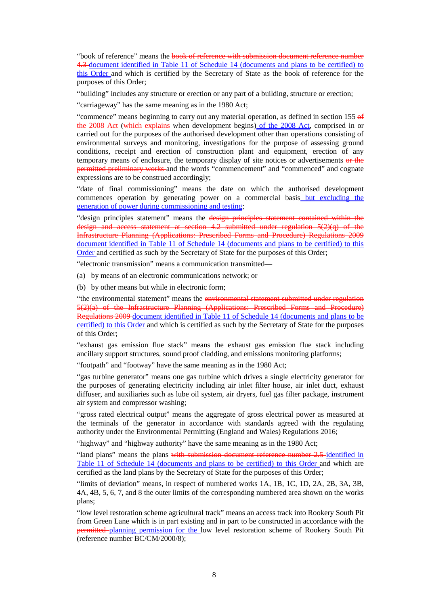"book of reference" means the book of reference with submission document reference number 4.3 document identified in Table 11 of Schedule 14 (documents and plans to be certified) to this Order and which is certified by the Secretary of State as the book of reference for the purposes of this Order;

"building" includes any structure or erection or any part of a building, structure or erection;

"carriageway" has the same meaning as in the 1980 Act;

"commence" means beginning to carry out any material operation, as defined in section 155 of the 2008 Act (which explains when development begins) of the 2008 Act, comprised in or carried out for the purposes of the authorised development other than operations consisting of environmental surveys and monitoring, investigations for the purpose of assessing ground conditions, receipt and erection of construction plant and equipment, erection of any temporary means of enclosure, the temporary display of site notices or advertisements or the permitted preliminary works and the words "commencement" and "commenced" and cognate expressions are to be construed accordingly;

"date of final commissioning" means the date on which the authorised development commences operation by generating power on a commercial basis but excluding the generation of power during commissioning and testing;

"design principles statement" means the design principles statement contained within the design and access statement at section 4.2 submitted under regulation  $5(2)(q)$  of the Infrastructure Planning (Applications: Prescribed Forms and Procedure) Regulations 2009 document identified in Table 11 of Schedule 14 (documents and plans to be certified) to this Order and certified as such by the Secretary of State for the purposes of this Order;

"electronic transmission" means a communication transmitted—

(a) by means of an electronic communications network; or

(b) by other means but while in electronic form;

"the environmental statement" means the environmental statement submitted under regulation 5(2)(a) of the Infrastructure Planning (Applications: Prescribed Forms and Procedure) Regulations 2009 document identified in Table 11 of Schedule 14 (documents and plans to be certified) to this Order and which is certified as such by the Secretary of State for the purposes of this Order;

"exhaust gas emission flue stack" means the exhaust gas emission flue stack including ancillary support structures, sound proof cladding, and emissions monitoring platforms;

"footpath" and "footway" have the same meaning as in the 1980 Act;

"gas turbine generator" means one gas turbine which drives a single electricity generator for the purposes of generating electricity including air inlet filter house, air inlet duct, exhaust diffuser, and auxiliaries such as lube oil system, air dryers, fuel gas filter package, instrument air system and compressor washing;

"gross rated electrical output" means the aggregate of gross electrical power as measured at the terminals of the generator in accordance with standards agreed with the regulating authority under the Environmental Permitting (England and Wales) Regulations 2016;

"highway" and "highway authority" have the same meaning as in the 1980 Act;

"land plans" means the plans with submission document reference number 2.5 identified in Table 11 of Schedule 14 (documents and plans to be certified) to this Order and which are certified as the land plans by the Secretary of State for the purposes of this Order;

"limits of deviation" means, in respect of numbered works 1A, 1B, 1C, 1D, 2A, 2B, 3A, 3B, 4A, 4B, 5, 6, 7, and 8 the outer limits of the corresponding numbered area shown on the works plans;

"low level restoration scheme agricultural track" means an access track into Rookery South Pit from Green Lane which is in part existing and in part to be constructed in accordance with the permitted planning permission for the low level restoration scheme of Rookery South Pit (reference number BC/CM/2000/8);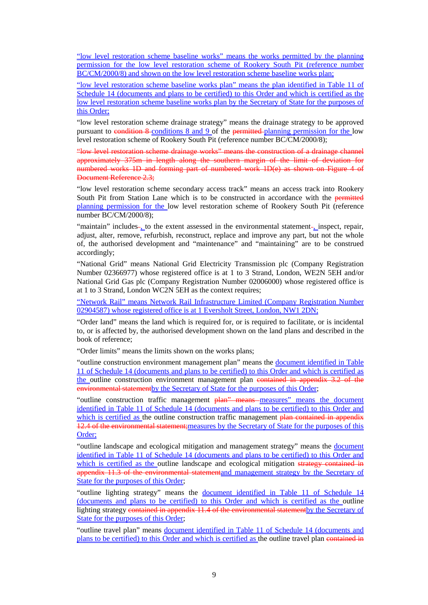"low level restoration scheme baseline works" means the works permitted by the planning permission for the low level restoration scheme of Rookery South Pit (reference number BC/CM/2000/8) and shown on the low level restoration scheme baseline works plan;

"low level restoration scheme baseline works plan" means the plan identified in Table 11 of Schedule 14 (documents and plans to be certified) to this Order and which is certified as the low level restoration scheme baseline works plan by the Secretary of State for the purposes of this Order;

"low level restoration scheme drainage strategy" means the drainage strategy to be approved pursuant to condition 8 conditions 8 and 9 of the permitted planning permission for the low level restoration scheme of Rookery South Pit (reference number BC/CM/2000/8);

"low level restoration scheme drainage works" means the construction of a drainage channel approximately 375m in length along the southern margin of the limit of deviation for numbered works 1D and forming part of numbered work 1D(e) as shown on Figure 4 of Document Reference 2.3;

"low level restoration scheme secondary access track" means an access track into Rookery South Pit from Station Lane which is to be constructed in accordance with the permitted planning permission for the low level restoration scheme of Rookery South Pit (reference number BC/CM/2000/8);

"maintain" includes-<sub>1</sub> to the extent assessed in the environmental statement-<sub>1</sub> inspect, repair, adjust, alter, remove, refurbish, reconstruct, replace and improve any part, but not the whole of, the authorised development and "maintenance" and "maintaining" are to be construed accordingly;

"National Grid" means National Grid Electricity Transmission plc (Company Registration Number 02366977) whose registered office is at 1 to 3 Strand, London, WE2N 5EH and/or National Grid Gas plc (Company Registration Number 02006000) whose registered office is at 1 to 3 Strand, London WC2N 5EH as the context requires;

"Network Rail" means Network Rail Infrastructure Limited (Company Registration Number 02904587) whose registered office is at 1 Eversholt Street, London, NW1 2DN;

"Order land" means the land which is required for, or is required to facilitate, or is incidental to, or is affected by, the authorised development shown on the land plans and described in the book of reference;

"Order limits" means the limits shown on the works plans;

"outline construction environment management plan" means the document identified in Table 11 of Schedule 14 (documents and plans to be certified) to this Order and which is certified as the outline construction environment management plan contained in appendix 3.2 of the environmental statementby the Secretary of State for the purposes of this Order;

"outline construction traffic management plan" means measures" means the document identified in Table 11 of Schedule 14 (documents and plans to be certified) to this Order and which is certified as the outline construction traffic management plan contained in appendix 12.4 of the environmental statement;measures by the Secretary of State for the purposes of this Order;

"outline landscape and ecological mitigation and management strategy" means the document identified in Table 11 of Schedule 14 (documents and plans to be certified) to this Order and which is certified as the outline landscape and ecological mitigation strategy contained in appendix 11.3 of the environmental statement and management strategy by the Secretary of State for the purposes of this Order;

"outline lighting strategy" means the document identified in Table 11 of Schedule 14 (documents and plans to be certified) to this Order and which is certified as the outline lighting strategy contained in appendix 11.4 of the environmental statement by the Secretary of State for the purposes of this Order;

"outline travel plan" means document identified in Table 11 of Schedule 14 (documents and plans to be certified) to this Order and which is certified as the outline travel plan contained in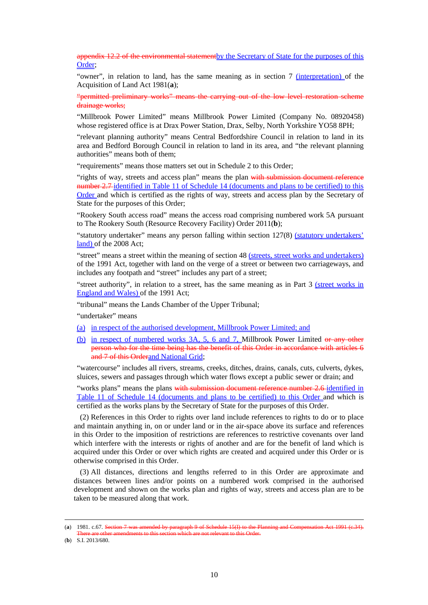appendix 12.2 of the environmental statementby the Secretary of State for the purposes of this Order;

"owner", in relation to land, has the same meaning as in section 7 (interpretation) of the Acquisition of Land Act 1981(**a**);

"permitted preliminary works" means the carrying out of the low level restoration scheme drainage works;

"Millbrook Power Limited" means Millbrook Power Limited (Company No. 08920458) whose registered office is at Drax Power Station, Drax, Selby, North Yorkshire YO58 8PH;

"relevant planning authority" means Central Bedfordshire Council in relation to land in its area and Bedford Borough Council in relation to land in its area, and "the relevant planning authorities" means both of them;

"requirements" means those matters set out in Schedule 2 to this Order;

"rights of way, streets and access plan" means the plan with submission document reference number 2.7-identified in Table 11 of Schedule 14 (documents and plans to be certified) to this Order and which is certified as the rights of way, streets and access plan by the Secretary of State for the purposes of this Order;

"Rookery South access road" means the access road comprising numbered work 5A pursuant to The Rookery South (Resource Recovery Facility) Order 2011(**b**);

"statutory undertaker" means any person falling within section 127(8) (statutory undertakers' land) of the 2008 Act;

"street" means a street within the meaning of section 48 (streets, street works and undertakers) of the 1991 Act, together with land on the verge of a street or between two carriageways, and includes any footpath and "street" includes any part of a street;

"street authority", in relation to a street, has the same meaning as in Part 3 (street works in England and Wales) of the 1991 Act;

"tribunal" means the Lands Chamber of the Upper Tribunal;

"undertaker" means

- (a) in respect of the authorised development, Millbrook Power Limited; and
- (b) in respect of numbered works 3A, 5, 6 and 7, Millbrook Power Limited or any other person who for the time being has the benefit of this Order in accordance with articles 6 and 7 of this Orderand National Grid:

"watercourse" includes all rivers, streams, creeks, ditches, drains, canals, cuts, culverts, dykes, sluices, sewers and passages through which water flows except a public sewer or drain; and

"works plans" means the plans with submission document reference number 2.6-identified in Table 11 of Schedule 14 (documents and plans to be certified) to this Order and which is certified as the works plans by the Secretary of State for the purposes of this Order.

(2) References in this Order to rights over land include references to rights to do or to place and maintain anything in, on or under land or in the air-space above its surface and references in this Order to the imposition of restrictions are references to restrictive covenants over land which interfere with the interests or rights of another and are for the benefit of land which is acquired under this Order or over which rights are created and acquired under this Order or is otherwise comprised in this Order.

(3) All distances, directions and lengths referred to in this Order are approximate and distances between lines and/or points on a numbered work comprised in the authorised development and shown on the works plan and rights of way, streets and access plan are to be taken to be measured along that work.

(**b**) S.I. 2013/680.

<sup>(</sup>**a**) 1981. c.67. Section 7 was amended by paragraph 9 of Schedule 15(I) to the Planning and Compensation Act 1991 (c.34). There are other amendments to this section which are not relevant to this Order.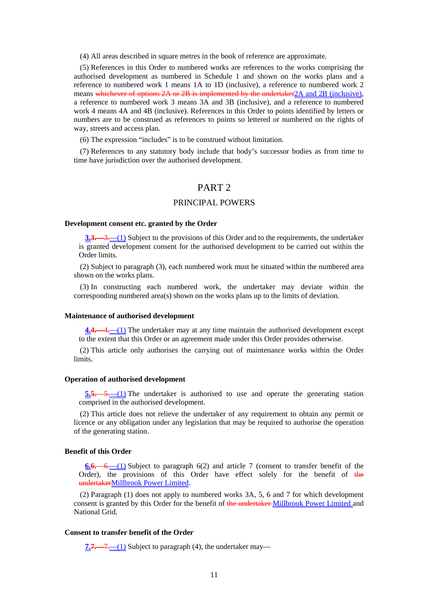(4) All areas described in square metres in the book of reference are approximate.

(5) References in this Order to numbered works are references to the works comprising the authorised development as numbered in Schedule 1 and shown on the works plans and a reference to numbered work 1 means 1A to 1D (inclusive), a reference to numbered work 2 means whichever of options 2A or 2B is implemented by the undertaker 2A and 2B (inclusive), a reference to numbered work 3 means 3A and 3B (inclusive), and a reference to numbered work 4 means 4A and 4B (inclusive). References in this Order to points identified by letters or numbers are to be construed as references to points so lettered or numbered on the rights of way, streets and access plan.

(6) The expression "includes" is to be construed without limitation.

(7) References to any statutory body include that body's successor bodies as from time to time have jurisdiction over the authorised development.

### PART 2

### PRINCIPAL POWERS

#### **Development consent etc. granted by the Order**

**3.3.**—3.—(1) Subject to the provisions of this Order and to the requirements, the undertaker is granted development consent for the authorised development to be carried out within the Order limits.

(2) Subject to paragraph (3), each numbered work must be situated within the numbered area shown on the works plans.

(3) In constructing each numbered work, the undertaker may deviate within the corresponding numbered area(s) shown on the works plans up to the limits of deviation.

#### **Maintenance of authorised development**

**4.4.**—4.—(1) The undertaker may at any time maintain the authorised development except to the extent that this Order or an agreement made under this Order provides otherwise.

(2) This article only authorises the carrying out of maintenance works within the Order limits.

#### **Operation of authorised development**

**5.5.**—5.—(1) The undertaker is authorised to use and operate the generating station comprised in the authorised development.

(2) This article does not relieve the undertaker of any requirement to obtain any permit or licence or any obligation under any legislation that may be required to authorise the operation of the generating station.

### **Benefit of this Order**

**6.6.**—6.—(1) Subject to paragraph 6(2) and article 7 (consent to transfer benefit of the Order), the provisions of this Order have effect solely for the benefit of the undertakerMillbrook Power Limited.

(2) Paragraph (1) does not apply to numbered works 3A, 5, 6 and 7 for which development consent is granted by this Order for the benefit of the undertaker Millbrook Power Limited and National Grid.

#### **Consent to transfer benefit of the Order**

**7.7.**—7.—(1) Subject to paragraph (4), the undertaker may—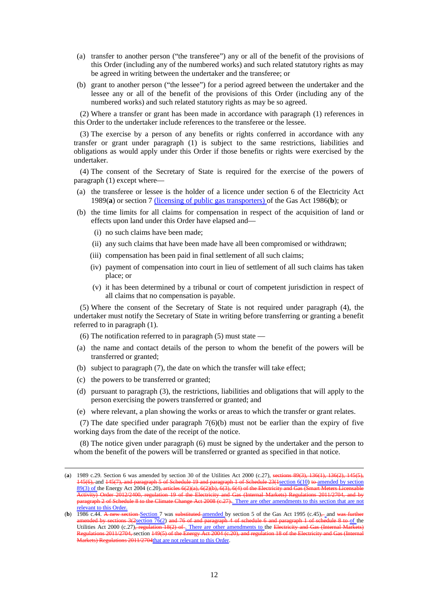- (a) transfer to another person ("the transferee") any or all of the benefit of the provisions of this Order (including any of the numbered works) and such related statutory rights as may be agreed in writing between the undertaker and the transferee; or
- (b) grant to another person ("the lessee") for a period agreed between the undertaker and the lessee any or all of the benefit of the provisions of this Order (including any of the numbered works) and such related statutory rights as may be so agreed.

(2) Where a transfer or grant has been made in accordance with paragraph (1) references in this Order to the undertaker include references to the transferee or the lessee.

(3) The exercise by a person of any benefits or rights conferred in accordance with any transfer or grant under paragraph (1) is subject to the same restrictions, liabilities and obligations as would apply under this Order if those benefits or rights were exercised by the undertaker.

(4) The consent of the Secretary of State is required for the exercise of the powers of paragraph (1) except where—

- (a) the transferee or lessee is the holder of a licence under section 6 of the Electricity Act 1989(**a**) or section 7 (licensing of public gas transporters) of the Gas Act 1986(**b**); or
- (b) the time limits for all claims for compensation in respect of the acquisition of land or effects upon land under this Order have elapsed and—
	- (i) no such claims have been made;
	- (ii) any such claims that have been made have all been compromised or withdrawn;
	- (iii) compensation has been paid in final settlement of all such claims;
	- (iv) payment of compensation into court in lieu of settlement of all such claims has taken place; or
	- (v) it has been determined by a tribunal or court of competent jurisdiction in respect of all claims that no compensation is payable.

(5) Where the consent of the Secretary of State is not required under paragraph (4), the undertaker must notify the Secretary of State in writing before transferring or granting a benefit referred to in paragraph (1).

- (6) The notification referred to in paragraph (5) must state —
- (a) the name and contact details of the person to whom the benefit of the powers will be transferred or granted;
- (b) subject to paragraph (7), the date on which the transfer will take effect;
- (c) the powers to be transferred or granted;

<u>.</u>

- (d) pursuant to paragraph (3), the restrictions, liabilities and obligations that will apply to the person exercising the powers transferred or granted; and
- (e) where relevant, a plan showing the works or areas to which the transfer or grant relates.

(7) The date specified under paragraph 7(6)(b) must not be earlier than the expiry of five working days from the date of the receipt of the notice.

(8) The notice given under paragraph (6) must be signed by the undertaker and the person to whom the benefit of the powers will be transferred or granted as specified in that notice.

<sup>(</sup>**a**) 1989 c.29. Section 6 was amended by section 30 of the Utilities Act 2000 (c.27), sections 89(3), 136(1), 136(2), 145(5), 145(5), 145(6), and paragraph 5 of Schedule 19 and paragraph 1 of Schedule 23(1section 6(10) t 145(6), and 145(7), and paragraph 5 of Schedule 19 and paragraph 1 of Schedule  $23(1\text{section }6(10)$  to amended by section  $89(3)$  of the Energy Act 2004 (c.20), articles  $6(2)(a)$ ,  $6(2)(b)$ ,  $6(3)$ ,  $6(4)$  of the Electricity a 89(3) of the Energy Act 2004 (c.20)<del>, articles 6(2)(a), 6(2)(b), 6(3), 6(4) of the Electricity and Gas (Smart Meters Licensable</del> Activity) Order 2012/2400, regulation 19 of the Electricity and Gas (Internal Markets) Regulations 2011/2704, and by paragraph 2 of Schedule 8 to the Climate Change Act 2008 (c.27). There are other amendments to this section that are not relevant to this Order.<br>(b)  $\frac{\text{relevant to this Order}}{1986 \text{ c.44. A new sec}}$ 

**Exection** Section 7 was substituted <u>amended</u> by section 5 of the Gas Act 1995 (c.45), and was a same of the Gas Act 1995 (c.45), and was function  $\frac{76(2)}{8}$  and 76 of and paragraph 4 of schedule 6 and paragraph 1 of s amended by sections 3(2section 76(2) and 76 of and paragraph 4 of schedule 6 and paragraph 1 of schedule 8 to of the Utilities Act 2000 (c.27)<del>, regulation 18(2) of . There are other amendments to the Electricity and Gas (Internal Markets)</del> Regulations 2011/2704, section 149(5) of the Energy Act 2004 (c.20), and regulation 18 of the Electricity Markets) Regulations 2011/2704that are not relevant to this Order.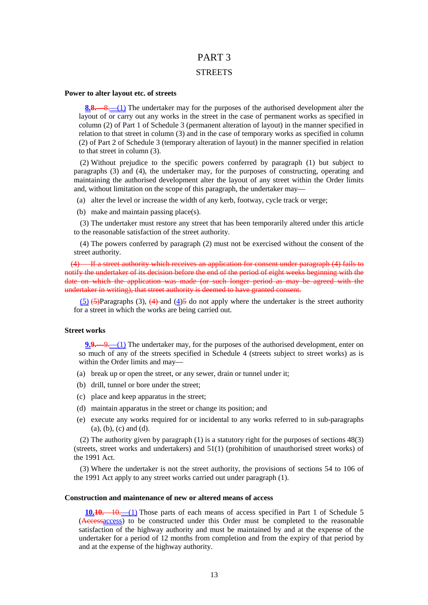# PART 3

### **STREETS**

#### **Power to alter layout etc. of streets**

**8.8.**—8.—(1) The undertaker may for the purposes of the authorised development alter the layout of or carry out any works in the street in the case of permanent works as specified in column (2) of Part 1 of Schedule 3 (permanent alteration of layout) in the manner specified in relation to that street in column (3) and in the case of temporary works as specified in column (2) of Part 2 of Schedule 3 (temporary alteration of layout) in the manner specified in relation to that street in column (3).

(2) Without prejudice to the specific powers conferred by paragraph (1) but subject to paragraphs (3) and (4), the undertaker may, for the purposes of constructing, operating and maintaining the authorised development alter the layout of any street within the Order limits and, without limitation on the scope of this paragraph, the undertaker may—

- (a) alter the level or increase the width of any kerb, footway, cycle track or verge;
- (b) make and maintain passing place(s).

(3) The undertaker must restore any street that has been temporarily altered under this article to the reasonable satisfaction of the street authority.

(4) The powers conferred by paragraph (2) must not be exercised without the consent of the street authority.

(4) If a street authority which receives an application for consent under paragraph (4) fails to notify the undertaker of its decision before the end of the period of eight weeks beginning with the date on which the application was made (or such longer period as may be agreed with the undertaker in writing), that street authority is deemed to have granted consent.

 $(5)$  (5) (5)Paragraphs (3), (4)-and (4)5 do not apply where the undertaker is the street authority for a street in which the works are being carried out.

#### **Street works**

**9.9.**—9.—(1) The undertaker may, for the purposes of the authorised development, enter on so much of any of the streets specified in Schedule 4 (streets subject to street works) as is within the Order limits and may—

- (a) break up or open the street, or any sewer, drain or tunnel under it;
- (b) drill, tunnel or bore under the street;
- (c) place and keep apparatus in the street;
- (d) maintain apparatus in the street or change its position; and
- (e) execute any works required for or incidental to any works referred to in sub-paragraphs (a), (b), (c) and (d).

(2) The authority given by paragraph (1) is a statutory right for the purposes of sections 48(3) (streets, street works and undertakers) and 51(1) (prohibition of unauthorised street works) of the 1991 Act.

(3) Where the undertaker is not the street authority, the provisions of sections 54 to 106 of the 1991 Act apply to any street works carried out under paragraph (1).

#### **Construction and maintenance of new or altered means of access**

**10.10.**—10.—(1) Those parts of each means of access specified in Part 1 of Schedule 5 (Accessaccess) to be constructed under this Order must be completed to the reasonable satisfaction of the highway authority and must be maintained by and at the expense of the undertaker for a period of 12 months from completion and from the expiry of that period by and at the expense of the highway authority.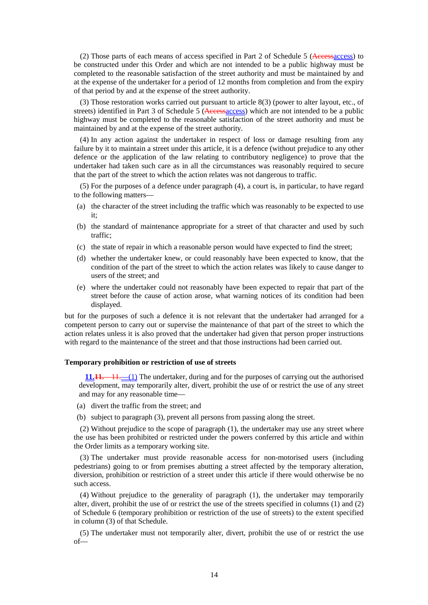(2) Those parts of each means of access specified in Part 2 of Schedule 5 (Accessaccess) to be constructed under this Order and which are not intended to be a public highway must be completed to the reasonable satisfaction of the street authority and must be maintained by and at the expense of the undertaker for a period of 12 months from completion and from the expiry of that period by and at the expense of the street authority.

(3) Those restoration works carried out pursuant to article 8(3) (power to alter layout, etc., of streets) identified in Part 3 of Schedule 5 (Accessaccess) which are not intended to be a public highway must be completed to the reasonable satisfaction of the street authority and must be maintained by and at the expense of the street authority.

(4) In any action against the undertaker in respect of loss or damage resulting from any failure by it to maintain a street under this article, it is a defence (without prejudice to any other defence or the application of the law relating to contributory negligence) to prove that the undertaker had taken such care as in all the circumstances was reasonably required to secure that the part of the street to which the action relates was not dangerous to traffic.

(5) For the purposes of a defence under paragraph (4), a court is, in particular, to have regard to the following matters—

- (a) the character of the street including the traffic which was reasonably to be expected to use it;
- (b) the standard of maintenance appropriate for a street of that character and used by such traffic;
- (c) the state of repair in which a reasonable person would have expected to find the street;
- (d) whether the undertaker knew, or could reasonably have been expected to know, that the condition of the part of the street to which the action relates was likely to cause danger to users of the street; and
- (e) where the undertaker could not reasonably have been expected to repair that part of the street before the cause of action arose, what warning notices of its condition had been displayed.

but for the purposes of such a defence it is not relevant that the undertaker had arranged for a competent person to carry out or supervise the maintenance of that part of the street to which the action relates unless it is also proved that the undertaker had given that person proper instructions with regard to the maintenance of the street and that those instructions had been carried out.

### **Temporary prohibition or restriction of use of streets**

**11.11.**—11.—(1) The undertaker, during and for the purposes of carrying out the authorised development, may temporarily alter, divert, prohibit the use of or restrict the use of any street and may for any reasonable time—

- (a) divert the traffic from the street; and
- (b) subject to paragraph (3), prevent all persons from passing along the street.

(2) Without prejudice to the scope of paragraph (1), the undertaker may use any street where the use has been prohibited or restricted under the powers conferred by this article and within the Order limits as a temporary working site.

(3) The undertaker must provide reasonable access for non-motorised users (including pedestrians) going to or from premises abutting a street affected by the temporary alteration, diversion, prohibition or restriction of a street under this article if there would otherwise be no such access.

(4) Without prejudice to the generality of paragraph (1), the undertaker may temporarily alter, divert, prohibit the use of or restrict the use of the streets specified in columns (1) and (2) of Schedule 6 (temporary prohibition or restriction of the use of streets) to the extent specified in column (3) of that Schedule.

(5) The undertaker must not temporarily alter, divert, prohibit the use of or restrict the use of—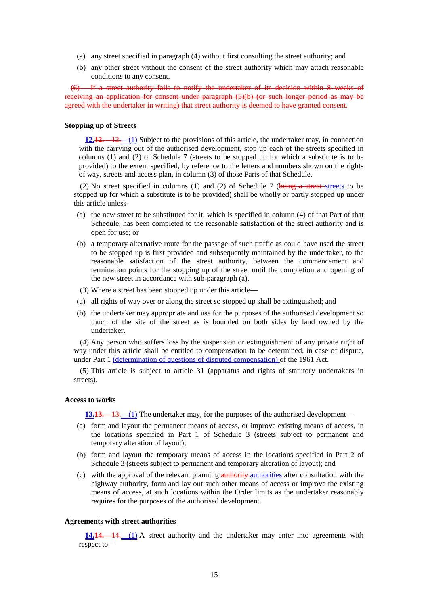- (a) any street specified in paragraph (4) without first consulting the street authority; and
- (b) any other street without the consent of the street authority which may attach reasonable conditions to any consent.

(6) If a street authority fails to notify the undertaker of its decision within 8 weeks of receiving an application for consent under paragraph (5)(b) (or such longer period as may be agreed with the undertaker in writing) that street authority is deemed to have granted consent.

### **Stopping up of Streets**

**12.12.**—12.—(1) Subject to the provisions of this article, the undertaker may, in connection with the carrying out of the authorised development, stop up each of the streets specified in columns (1) and (2) of Schedule 7 (streets to be stopped up for which a substitute is to be provided) to the extent specified, by reference to the letters and numbers shown on the rights of way, streets and access plan, in column (3) of those Parts of that Schedule.

(2) No street specified in columns (1) and (2) of Schedule 7 (being a street-streets to be stopped up for which a substitute is to be provided) shall be wholly or partly stopped up under this article unless-

- (a) the new street to be substituted for it, which is specified in column (4) of that Part of that Schedule, has been completed to the reasonable satisfaction of the street authority and is open for use; or
- (b) a temporary alternative route for the passage of such traffic as could have used the street to be stopped up is first provided and subsequently maintained by the undertaker, to the reasonable satisfaction of the street authority, between the commencement and termination points for the stopping up of the street until the completion and opening of the new street in accordance with sub-paragraph (a).
- (3) Where a street has been stopped up under this article—
- (a) all rights of way over or along the street so stopped up shall be extinguished; and
- (b) the undertaker may appropriate and use for the purposes of the authorised development so much of the site of the street as is bounded on both sides by land owned by the undertaker.

(4) Any person who suffers loss by the suspension or extinguishment of any private right of way under this article shall be entitled to compensation to be determined, in case of dispute, under Part 1 (determination of questions of disputed compensation) of the 1961 Act.

(5) This article is subject to article 31 (apparatus and rights of statutory undertakers in streets).

#### **Access to works**

**13.13.**—13.—(1) The undertaker may, for the purposes of the authorised development—

- (a) form and layout the permanent means of access, or improve existing means of access, in the locations specified in Part 1 of Schedule 3 (streets subject to permanent and temporary alteration of layout);
- (b) form and layout the temporary means of access in the locations specified in Part 2 of Schedule 3 (streets subject to permanent and temporary alteration of layout); and
- (c) with the approval of the relevant planning authority authorities after consultation with the highway authority, form and lay out such other means of access or improve the existing means of access, at such locations within the Order limits as the undertaker reasonably requires for the purposes of the authorised development.

### **Agreements with street authorities**

**14.14.**—14.—(1) A street authority and the undertaker may enter into agreements with respect to—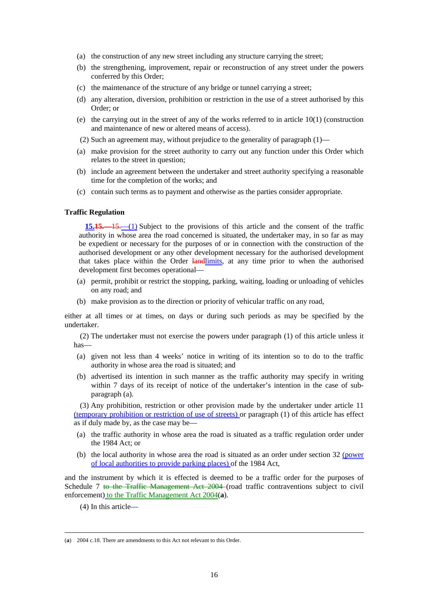- (a) the construction of any new street including any structure carrying the street;
- (b) the strengthening, improvement, repair or reconstruction of any street under the powers conferred by this Order;
- (c) the maintenance of the structure of any bridge or tunnel carrying a street;
- (d) any alteration, diversion, prohibition or restriction in the use of a street authorised by this Order; or
- (e) the carrying out in the street of any of the works referred to in article 10(1) (construction and maintenance of new or altered means of access).
- (2) Such an agreement may, without prejudice to the generality of paragraph  $(1)$ —
- (a) make provision for the street authority to carry out any function under this Order which relates to the street in question;
- (b) include an agreement between the undertaker and street authority specifying a reasonable time for the completion of the works; and
- (c) contain such terms as to payment and otherwise as the parties consider appropriate.

#### **Traffic Regulation**

**15.15.**—15.—(1) Subject to the provisions of this article and the consent of the traffic authority in whose area the road concerned is situated, the undertaker may, in so far as may be expedient or necessary for the purposes of or in connection with the construction of the authorised development or any other development necessary for the authorised development that takes place within the Order land limits, at any time prior to when the authorised development first becomes operational—

- (a) permit, prohibit or restrict the stopping, parking, waiting, loading or unloading of vehicles on any road; and
- (b) make provision as to the direction or priority of vehicular traffic on any road,

either at all times or at times, on days or during such periods as may be specified by the undertaker.

(2) The undertaker must not exercise the powers under paragraph (1) of this article unless it has—

- (a) given not less than 4 weeks' notice in writing of its intention so to do to the traffic authority in whose area the road is situated; and
- (b) advertised its intention in such manner as the traffic authority may specify in writing within 7 days of its receipt of notice of the undertaker's intention in the case of subparagraph (a).

(3) Any prohibition, restriction or other provision made by the undertaker under article 11 (temporary prohibition or restriction of use of streets) or paragraph (1) of this article has effect as if duly made by, as the case may be—

- (a) the traffic authority in whose area the road is situated as a traffic regulation order under the 1984 Act; or
- (b) the local authority in whose area the road is situated as an order under section 32 (power of local authorities to provide parking places) of the 1984 Act,

and the instrument by which it is effected is deemed to be a traffic order for the purposes of Schedule 7 to the Traffic Management Act 2004 (road traffic contraventions subject to civil enforcement) to the Traffic Management Act 2004(**a**).

(4) In this article—

<sup>(</sup>**a**) 2004 c.18. There are amendments to this Act not relevant to this Order.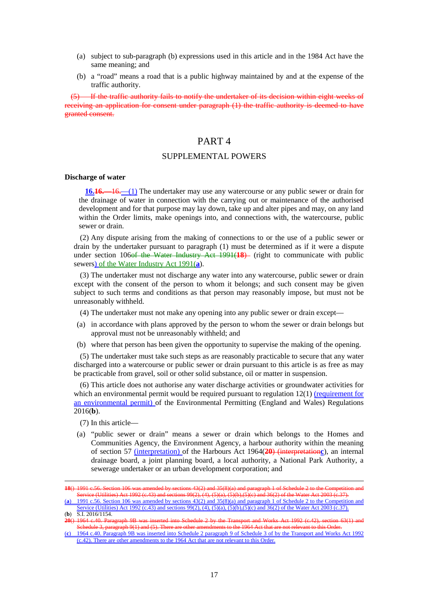- (a) subject to sub-paragraph (b) expressions used in this article and in the 1984 Act have the same meaning; and
- (b) a "road" means a road that is a public highway maintained by and at the expense of the traffic authority.

If the traffic authority fails to notify the undertaker of its decision within eight weeks of receiving an application for consent under paragraph (1) the traffic authority is deemed to have granted consent.

### PART 4

### SUPPLEMENTAL POWERS

#### **Discharge of water**

**16.16.**—16.—(1) The undertaker may use any watercourse or any public sewer or drain for the drainage of water in connection with the carrying out or maintenance of the authorised development and for that purpose may lay down, take up and alter pipes and may, on any land within the Order limits, make openings into, and connections with, the watercourse, public sewer or drain.

(2) Any dispute arising from the making of connections to or the use of a public sewer or drain by the undertaker pursuant to paragraph (1) must be determined as if it were a dispute under section 106<del>of the Water Industry Act 1991(18)</del> (right to communicate with public sewers) of the Water Industry Act 1991(**a**).

(3) The undertaker must not discharge any water into any watercourse, public sewer or drain except with the consent of the person to whom it belongs; and such consent may be given subject to such terms and conditions as that person may reasonably impose, but must not be unreasonably withheld.

(4) The undertaker must not make any opening into any public sewer or drain except—

- (a) in accordance with plans approved by the person to whom the sewer or drain belongs but approval must not be unreasonably withheld; and
- (b) where that person has been given the opportunity to supervise the making of the opening.

(5) The undertaker must take such steps as are reasonably practicable to secure that any water discharged into a watercourse or public sewer or drain pursuant to this article is as free as may be practicable from gravel, soil or other solid substance, oil or matter in suspension.

(6) This article does not authorise any water discharge activities or groundwater activities for which an environmental permit would be required pursuant to regulation  $12(1)$  (requirement for an environmental permit) of the Environmental Permitting (England and Wales) Regulations 2016(**b**).

(7) In this article—

<u>.</u>

(a) "public sewer or drain" means a sewer or drain which belongs to the Homes and Communities Agency, the Environment Agency, a harbour authority within the meaning of section 57 (interpretation) of the Harbours Act 1964(**20**) (interpretation**c**), an internal drainage board, a joint planning board, a local authority, a National Park Authority, a sewerage undertaker or an urban development corporation; and

**<sup>18</sup>**() 1991 c.56. Section 106 was amended by sections 43(2) and 35(8)(a) and paragraph 1 of Schedule 2 to the Competition and Service (Utilities) Act 1992 (c.43) and sections 99(2), (4), (5)(a), (5)(b),(5)(c) and 36(2) of the Water Act 2003 (c.37).

<sup>(</sup>**a**) 1991 c.56. Section 106 was amended by sections 43(2) and 35(8)(a) and paragraph 1 of Schedule 2 to the Competition and ervice (Utilities) Act 1992 (c.43) and sections 99(2), (4), (5)(a), (5)(b),(5)(c) and 36(2) of the Water Act 2003 (c.37). (**b**) S.I. 2016/1154.

**<sup>20</sup>**() 1964 c.40. Paragraph 9B was inserted into Schedule 2 by the Transport and Works Act 1992 (c.42), section 63(1) and Schedule 3, paragraph 9(1) and (5). There are other amendments to the 1964 Act that are not relevant to this Order.

<sup>(</sup>**c**) 1964 c.40. Paragraph 9B was inserted into Schedule 2 paragraph 9 of Schedule 3 of by the Transport and Works Act 1992 (c.42). There are other amendments to the 1964 Act that are not relevant to this Order.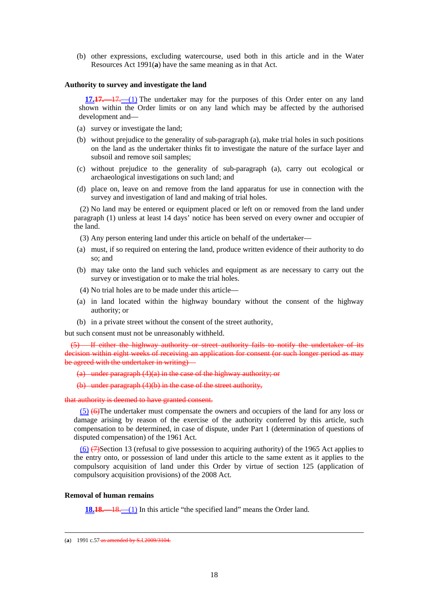(b) other expressions, excluding watercourse, used both in this article and in the Water Resources Act 1991(**a**) have the same meaning as in that Act.

#### **Authority to survey and investigate the land**

**17.17.**—17.—(1) The undertaker may for the purposes of this Order enter on any land shown within the Order limits or on any land which may be affected by the authorised development and—

- (a) survey or investigate the land;
- (b) without prejudice to the generality of sub-paragraph (a), make trial holes in such positions on the land as the undertaker thinks fit to investigate the nature of the surface layer and subsoil and remove soil samples;
- (c) without prejudice to the generality of sub-paragraph (a), carry out ecological or archaeological investigations on such land; and
- (d) place on, leave on and remove from the land apparatus for use in connection with the survey and investigation of land and making of trial holes.

(2) No land may be entered or equipment placed or left on or removed from the land under paragraph (1) unless at least 14 days' notice has been served on every owner and occupier of the land.

(3) Any person entering land under this article on behalf of the undertaker—

- (a) must, if so required on entering the land, produce written evidence of their authority to do so; and
- (b) may take onto the land such vehicles and equipment as are necessary to carry out the survey or investigation or to make the trial holes.
- (4) No trial holes are to be made under this article—
- (a) in land located within the highway boundary without the consent of the highway authority; or
- (b) in a private street without the consent of the street authority,

but such consent must not be unreasonably withheld.

If either the highway authority or street authority fails to notify the undertaker of its decision within eight weeks of receiving an application for consent (or such longer period as may be agreed with the undertaker in writing)—

(a) under paragraph (4)(a) in the case of the highway authority; or

(b) under paragraph (4)(b) in the case of the street authority,

that authority is deemed to have granted consent.

 $(5)$  (6)The undertaker must compensate the owners and occupiers of the land for any loss or damage arising by reason of the exercise of the authority conferred by this article, such compensation to be determined, in case of dispute, under Part 1 (determination of questions of disputed compensation) of the 1961 Act.

 $(6)$  ( $\rightarrow$ )Section 13 (refusal to give possession to acquiring authority) of the 1965 Act applies to the entry onto, or possession of land under this article to the same extent as it applies to the compulsory acquisition of land under this Order by virtue of section 125 (application of compulsory acquisition provisions) of the 2008 Act.

### **Removal of human remains**

<u>.</u>

**18.18.**—18.—(1) In this article "the specified land" means the Order land.

<sup>(</sup>**a**) 1991 c.57 as amended by S.I.2009/3104.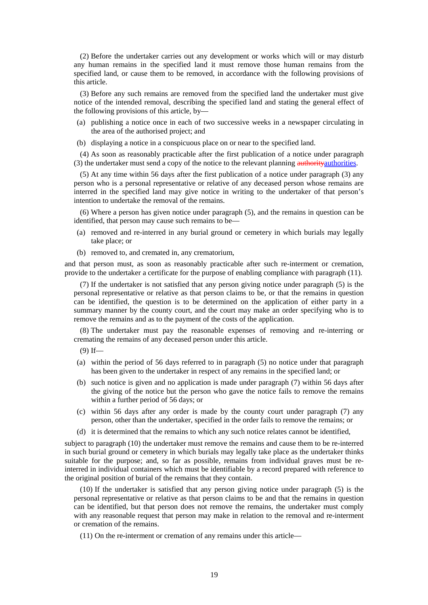(2) Before the undertaker carries out any development or works which will or may disturb any human remains in the specified land it must remove those human remains from the specified land, or cause them to be removed, in accordance with the following provisions of this article.

(3) Before any such remains are removed from the specified land the undertaker must give notice of the intended removal, describing the specified land and stating the general effect of the following provisions of this article, by—

- (a) publishing a notice once in each of two successive weeks in a newspaper circulating in the area of the authorised project; and
- (b) displaying a notice in a conspicuous place on or near to the specified land.

(4) As soon as reasonably practicable after the first publication of a notice under paragraph (3) the undertaker must send a copy of the notice to the relevant planning authorities.

(5) At any time within 56 days after the first publication of a notice under paragraph (3) any person who is a personal representative or relative of any deceased person whose remains are interred in the specified land may give notice in writing to the undertaker of that person's intention to undertake the removal of the remains.

(6) Where a person has given notice under paragraph (5), and the remains in question can be identified, that person may cause such remains to be—

- (a) removed and re-interred in any burial ground or cemetery in which burials may legally take place; or
- (b) removed to, and cremated in, any crematorium,

and that person must, as soon as reasonably practicable after such re-interment or cremation, provide to the undertaker a certificate for the purpose of enabling compliance with paragraph (11).

(7) If the undertaker is not satisfied that any person giving notice under paragraph (5) is the personal representative or relative as that person claims to be, or that the remains in question can be identified, the question is to be determined on the application of either party in a summary manner by the county court, and the court may make an order specifying who is to remove the remains and as to the payment of the costs of the application.

(8) The undertaker must pay the reasonable expenses of removing and re-interring or cremating the remains of any deceased person under this article.

- $(9)$  If—
- (a) within the period of 56 days referred to in paragraph (5) no notice under that paragraph has been given to the undertaker in respect of any remains in the specified land; or
- (b) such notice is given and no application is made under paragraph (7) within 56 days after the giving of the notice but the person who gave the notice fails to remove the remains within a further period of 56 days; or
- (c) within 56 days after any order is made by the county court under paragraph (7) any person, other than the undertaker, specified in the order fails to remove the remains; or
- (d) it is determined that the remains to which any such notice relates cannot be identified,

subject to paragraph (10) the undertaker must remove the remains and cause them to be re-interred in such burial ground or cemetery in which burials may legally take place as the undertaker thinks suitable for the purpose; and, so far as possible, remains from individual graves must be reinterred in individual containers which must be identifiable by a record prepared with reference to the original position of burial of the remains that they contain.

(10) If the undertaker is satisfied that any person giving notice under paragraph (5) is the personal representative or relative as that person claims to be and that the remains in question can be identified, but that person does not remove the remains, the undertaker must comply with any reasonable request that person may make in relation to the removal and re-interment or cremation of the remains.

(11) On the re-interment or cremation of any remains under this article—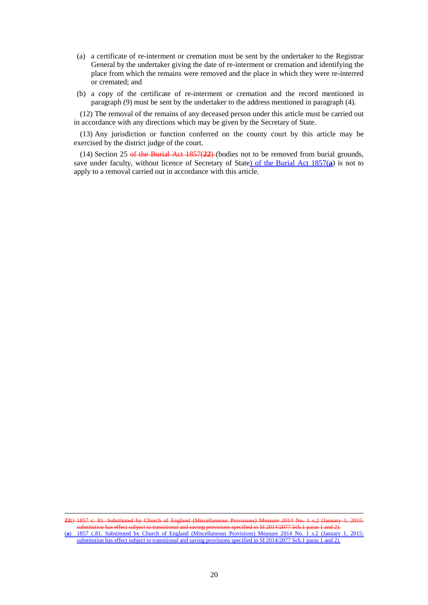- (a) a certificate of re-interment or cremation must be sent by the undertaker to the Registrar General by the undertaker giving the date of re-interment or cremation and identifying the place from which the remains were removed and the place in which they were re-interred or cremated; and
- (b) a copy of the certificate of re-interment or cremation and the record mentioned in paragraph (9) must be sent by the undertaker to the address mentioned in paragraph (4).

(12) The removal of the remains of any deceased person under this article must be carried out in accordance with any directions which may be given by the Secretary of State.

(13) Any jurisdiction or function conferred on the county court by this article may be exercised by the district judge of the court.

(14) Section 25 of the Burial Act 1857(**22**) (bodies not to be removed from burial grounds, save under faculty, without licence of Secretary of State) of the Burial Act 1857(**a**) is not to apply to a removal carried out in accordance with this article.

**22**() 1857 c. 81. Substituted by Church of England (Miscellaneous Provisions) Measure 2014 No. 1 s.2 (January 1, 2015: substitution has effect subject to transitional and saving provisions specified in SI 2014/2077 Sch.1 paras 1 and 2). (**a**) 1857 c.81. Substituted by Church of England (Miscellaneous Provisions) Measure 2014 No. 1 s.2 (January 1, 2015: substitution has effect subject to transitional and saving provisions specified in SI 2014/2077 Sch.1 paras 1 and 2).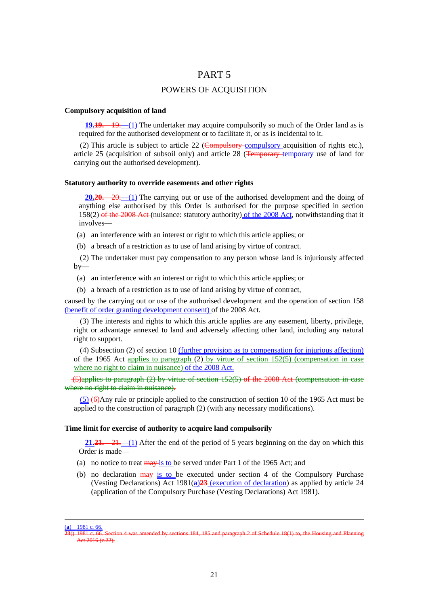### PART 5

### POWERS OF ACQUISITION

#### **Compulsory acquisition of land**

**19.19.** —19. —(1) The undertaker may acquire compulsorily so much of the Order land as is required for the authorised development or to facilitate it, or as is incidental to it.

(2) This article is subject to article 22 (Compulsory compulsory acquisition of rights etc.), article 25 (acquisition of subsoil only) and article 28  $\overline{(Temperature + 25)}$  (Temporary use of land for carrying out the authorised development).

#### **Statutory authority to override easements and other rights**

**20.20.**—20.—(1) The carrying out or use of the authorised development and the doing of anything else authorised by this Order is authorised for the purpose specified in section 158(2) of the 2008 Act (nuisance: statutory authority) of the 2008 Act, notwithstanding that it involves—

- (a) an interference with an interest or right to which this article applies; or
- (b) a breach of a restriction as to use of land arising by virtue of contract.

(2) The undertaker must pay compensation to any person whose land is injuriously affected  $bv$ —

- (a) an interference with an interest or right to which this article applies; or
- (b) a breach of a restriction as to use of land arising by virtue of contract,

caused by the carrying out or use of the authorised development and the operation of section 158 (benefit of order granting development consent) of the 2008 Act.

(3) The interests and rights to which this article applies are any easement, liberty, privilege, right or advantage annexed to land and adversely affecting other land, including any natural right to support.

(4) Subsection (2) of section 10 (further provision as to compensation for injurious affection) of the 1965 Act <u>applies to paragraph (2) by virtue of section 152(5)</u> (compensation in case where no right to claim in nuisance) of the 2008 Act.

 (5)applies to paragraph (2) by virtue of section 152(5) of the 2008 Act (compensation in case where no right to claim in nuisance).

 $(5)$  ( $\Theta$ Any rule or principle applied to the construction of section 10 of the 1965 Act must be applied to the construction of paragraph (2) (with any necessary modifications).

#### **Time limit for exercise of authority to acquire land compulsorily**

**21.21.**—21.—(1) After the end of the period of 5 years beginning on the day on which this Order is made—

- (a) no notice to treat  $\frac{\text{max}}{\text{is to be served under Part 1 of the 1965.}}$  Act; and
- (b) no declaration  $\frac{may is}{to}$  to be executed under section 4 of the Compulsory Purchase (Vesting Declarations) Act 1981(**a**)**23** (execution of declaration) as applied by article 24 (application of the Compulsory Purchase (Vesting Declarations) Act 1981).

<sup>(</sup>**a**) 1981 c. 66.

**<sup>23</sup>**() 1981 c. 66. Section 4 was amended by sections 184, 185 and paragraph 2 of Schedule 18(1) to, the Housing and Planning  $\frac{1}{4}$ ct 2016 (c.22).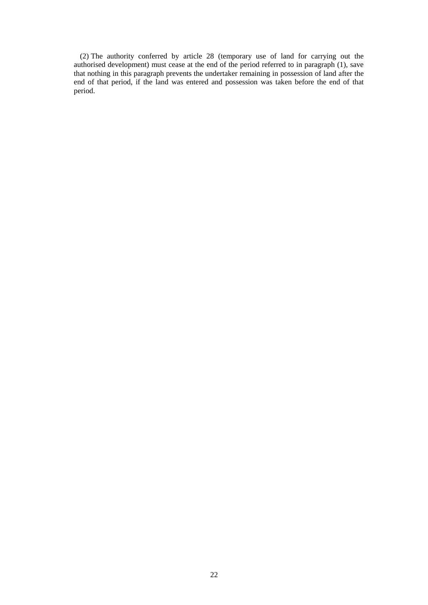(2) The authority conferred by article 28 (temporary use of land for carrying out the authorised development) must cease at the end of the period referred to in paragraph (1), save that nothing in this paragraph prevents the undertaker remaining in possession of land after the end of that period, if the land was entered and possession was taken before the end of that period.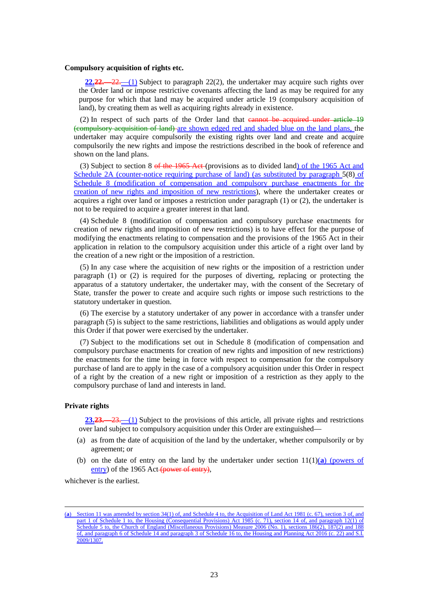#### **Compulsory acquisition of rights etc.**

**22.22.**—22.—(1) Subject to paragraph 22(2), the undertaker may acquire such rights over the Order land or impose restrictive covenants affecting the land as may be required for any purpose for which that land may be acquired under article 19 (compulsory acquisition of land), by creating them as well as acquiring rights already in existence.

(2) In respect of such parts of the Order land that cannot be acquired under article 19 (compulsory acquisition of land) are shown edged red and shaded blue on the land plans, the undertaker may acquire compulsorily the existing rights over land and create and acquire compulsorily the new rights and impose the restrictions described in the book of reference and shown on the land plans.

(3) Subject to section 8  $\theta$  the 1965 Act (provisions as to divided land) of the 1965 Act and Schedule 2A (counter-notice requiring purchase of land) (as substituted by paragraph 5(8) of Schedule 8 (modification of compensation and compulsory purchase enactments for the creation of new rights and imposition of new restrictions), where the undertaker creates or acquires a right over land or imposes a restriction under paragraph (1) or (2), the undertaker is not to be required to acquire a greater interest in that land.

(4) Schedule 8 (modification of compensation and compulsory purchase enactments for creation of new rights and imposition of new restrictions) is to have effect for the purpose of modifying the enactments relating to compensation and the provisions of the 1965 Act in their application in relation to the compulsory acquisition under this article of a right over land by the creation of a new right or the imposition of a restriction.

(5) In any case where the acquisition of new rights or the imposition of a restriction under paragraph (1) or (2) is required for the purposes of diverting, replacing or protecting the apparatus of a statutory undertaker, the undertaker may, with the consent of the Secretary of State, transfer the power to create and acquire such rights or impose such restrictions to the statutory undertaker in question.

(6) The exercise by a statutory undertaker of any power in accordance with a transfer under paragraph (5) is subject to the same restrictions, liabilities and obligations as would apply under this Order if that power were exercised by the undertaker.

(7) Subject to the modifications set out in Schedule 8 (modification of compensation and compulsory purchase enactments for creation of new rights and imposition of new restrictions) the enactments for the time being in force with respect to compensation for the compulsory purchase of land are to apply in the case of a compulsory acquisition under this Order in respect of a right by the creation of a new right or imposition of a restriction as they apply to the compulsory purchase of land and interests in land.

### **Private rights**

<u>.</u>

**23.23.**—23.—(1) Subject to the provisions of this article, all private rights and restrictions over land subject to compulsory acquisition under this Order are extinguished—

- (a) as from the date of acquisition of the land by the undertaker, whether compulsorily or by agreement; or
- (b) on the date of entry on the land by the undertaker under section  $11(1)(a)$  (powers of entry) of the 1965 Act (power of entry),

whichever is the earliest.

<sup>(</sup>**a**) Section 11 was amended by section 34(1) of, and Schedule 4 to, the Acquisition of Land Act 1981 (c. 67), section 3 of, and part 1 of Schedule 1 to, the Housing (Consequential Provisions) Act 1985 (c. 71), section 14 of, and paragraph 12(1) of Schedule 5 to, the Church of England (Miscellaneous Provisions) Measure 2006 (No. 1), sections 186(2), 187(2) and 188 of, and paragraph 6 of Schedule 14 and paragraph 3 of Schedule 16 to, the Housing and Planning Act 2016 (c. 22) and S.I. 2009/1307.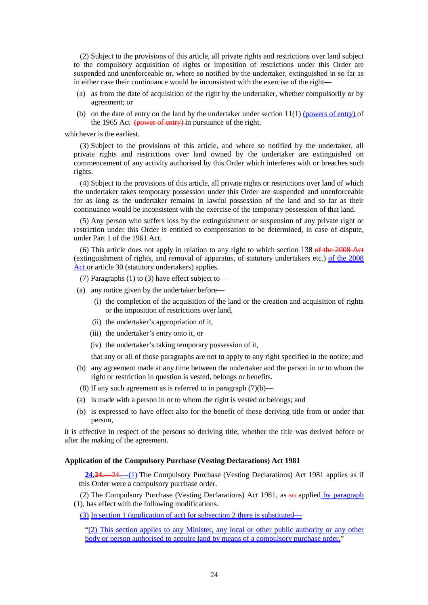(2) Subject to the provisions of this article, all private rights and restrictions over land subject to the compulsory acquisition of rights or imposition of restrictions under this Order are suspended and unenforceable or, where so notified by the undertaker, extinguished in so far as in either case their continuance would be inconsistent with the exercise of the right—

- (a) as from the date of acquisition of the right by the undertaker, whether compulsorily or by agreement; or
- (b) on the date of entry on the land by the undertaker under section  $11(1)$  (powers of entry) of the 1965 Act (power of entry) in pursuance of the right,

whichever is the earliest.

(3) Subject to the provisions of this article, and where so notified by the undertaker, all private rights and restrictions over land owned by the undertaker are extinguished on commencement of any activity authorised by this Order which interferes with or breaches such rights.

(4) Subject to the provisions of this article, all private rights or restrictions over land of which the undertaker takes temporary possession under this Order are suspended and unenforceable for as long as the undertaker remains in lawful possession of the land and so far as their continuance would be inconsistent with the exercise of the temporary possession of that land.

(5) Any person who suffers loss by the extinguishment or suspension of any private right or restriction under this Order is entitled to compensation to be determined, in case of dispute, under Part 1 of the 1961 Act.

(6) This article does not apply in relation to any right to which section  $138$  of the 2008 Aet (extinguishment of rights, and removal of apparatus, of statutory undertakers etc.) of the 2008 Act or article 30 (statutory undertakers) applies.

(7) Paragraphs (1) to (3) have effect subject to—

- (a) any notice given by the undertaker before—
	- (i) the completion of the acquisition of the land or the creation and acquisition of rights or the imposition of restrictions over land,
	- (ii) the undertaker's appropriation of it,
	- (iii) the undertaker's entry onto it, or
	- (iv) the undertaker's taking temporary possession of it,

that any or all of those paragraphs are not to apply to any right specified in the notice; and

- (b) any agreement made at any time between the undertaker and the person in or to whom the right or restriction in question is vested, belongs or benefits.
- (8) If any such agreement as is referred to in paragraph  $(7)(b)$ —
- (a) is made with a person in or to whom the right is vested or belongs; and
- (b) is expressed to have effect also for the benefit of those deriving title from or under that person,

it is effective in respect of the persons so deriving title, whether the title was derived before or after the making of the agreement.

### **Application of the Compulsory Purchase (Vesting Declarations) Act 1981**

**24.24.**—24.—(1) The Compulsory Purchase (Vesting Declarations) Act 1981 applies as if this Order were a compulsory purchase order.

(2) The Compulsory Purchase (Vesting Declarations) Act 1981, as so-applied by paragraph (1), has effect with the following modifications.

(3) In section 1 (application of act) for subsection 2 there is substituted—

"(2) This section applies to any Minister, any local or other public authority or any other body or person authorised to acquire land by means of a compulsory purchase order."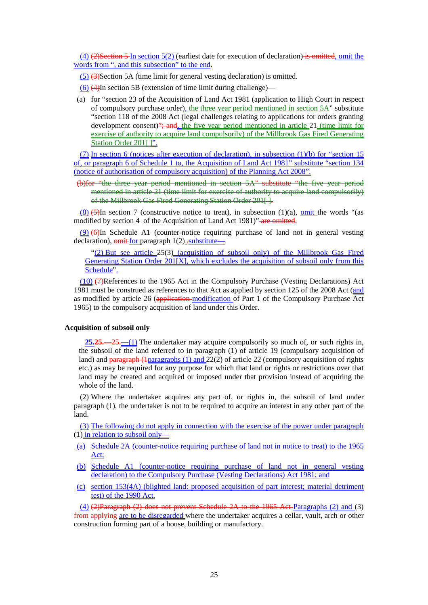$(4)$  (2) Section 5 In section 5(2) (earliest date for execution of declaration) is omitted, omit the words from ", and this subsection" to the end.

(5) (3)Section 5A (time limit for general vesting declaration) is omitted.

(6) (4)In section 5B (extension of time limit during challenge)—

(a) for "section 23 of the Acquisition of Land Act 1981 (application to High Court in respect of compulsory purchase order), the three year period mentioned in section 5A" substitute "section 118 of the 2008 Act (legal challenges relating to applications for orders granting development consent)"; and, the five year period mentioned in article 21 (time limit for exercise of authority to acquire land compulsorily) of the Millbrook Gas Fired Generating Station Order 201[]".

(7) In section 6 (notices after execution of declaration), in subsection (1)(b) for "section 15 of, or paragraph 6 of Schedule 1 to, the Acquisition of Land Act 1981" substitute "section 134 (notice of authorisation of compulsory acquisition) of the Planning Act 2008".

(b)for "the three year period mentioned in section 5A" substitute "the five year period mentioned in article 21 (time limit for exercise of authority to acquire land compulsorily) of the Millbrook Gas Fired Generating Station Order 201[].

 $(8)$  (5)In section 7 (constructive notice to treat), in subsection (1)(a), omit the words "(as modified by section 4 of the Acquisition of Land Act 1981)" are omitted.

 $(9)$   $(6)$  In Schedule A1 (counter-notice requiring purchase of land not in general vesting declaration),  $\frac{\text{omit-for}}{\text{paragn}}$  1(2)  $\frac{\text{substitute}}{\text{other}}$ 

"(2) But see article 25(3) (acquisition of subsoil only) of the Millbrook Gas Fired Generating Station Order 201[X], which excludes the acquisition of subsoil only from this Schedule".

(10) (7)References to the 1965 Act in the Compulsory Purchase (Vesting Declarations) Act 1981 must be construed as references to that Act as applied by section 125 of the 2008 Act (and as modified by article 26 (application-modification of Part 1 of the Compulsory Purchase  $\overline{Act}$ 1965) to the compulsory acquisition of land under this Order.

### **Acquisition of subsoil only**

**25.25.**—25.—(1) The undertaker may acquire compulsorily so much of, or such rights in, the subsoil of the land referred to in paragraph (1) of article 19 (compulsory acquisition of land) and paragraph (1paragraphs (1) and 22(2) of article 22 (compulsory acquisition of rights etc.) as may be required for any purpose for which that land or rights or restrictions over that land may be created and acquired or imposed under that provision instead of acquiring the whole of the land.

(2) Where the undertaker acquires any part of, or rights in, the subsoil of land under paragraph (1), the undertaker is not to be required to acquire an interest in any other part of the land.

(3) The following do not apply in connection with the exercise of the power under paragraph (1) in relation to subsoil only—

- (a) Schedule 2A (counter-notice requiring purchase of land not in notice to treat) to the 1965 Act;
- (b) Schedule A1 (counter-notice requiring purchase of land not in general vesting declaration) to the Compulsory Purchase (Vesting Declarations) Act 1981; and
- (c) section 153(4A) (blighted land: proposed acquisition of part interest; material detriment test) of the 1990 Act.

(4) (2)Paragraph (2) does not prevent Schedule 2A to the 1965 Act Paragraphs (2) and (3) from applying are to be disregarded where the undertaker acquires a cellar, vault, arch or other construction forming part of a house, building or manufactory.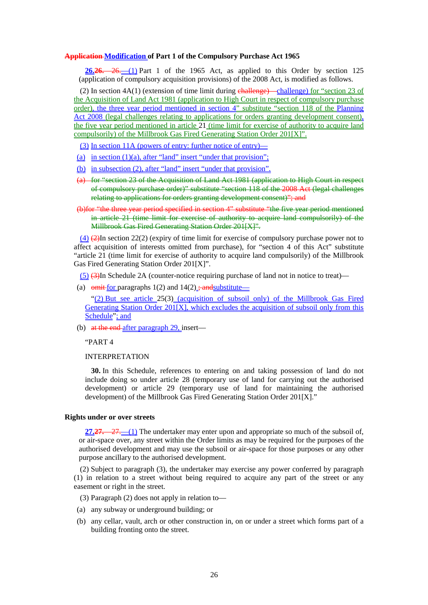#### **Application Modification of Part 1 of the Compulsory Purchase Act 1965**

**26.26.**—26.—(1) Part 1 of the 1965 Act, as applied to this Order by section 125 (application of compulsory acquisition provisions) of the 2008 Act, is modified as follows.

(2) In section  $4A(1)$  (extension of time limit during challenge)—challenge) for "section 23 of the Acquisition of Land Act 1981 (application to High Court in respect of compulsory purchase order), the three year period mentioned in section 4" substitute "section 118 of the Planning Act 2008 (legal challenges relating to applications for orders granting development consent). the five year period mentioned in article 21 (time limit for exercise of authority to acquire land compulsorily) of the Millbrook Gas Fired Generating Station Order 201[X]".

(3) In section 11A (powers of entry: further notice of entry)—

- (a) in section  $(1)(a)$ , after "land" insert "under that provision";
- (b) in subsection (2), after "land" insert "under that provision".
- (a) for "section 23 of the Acquisition of Land Act 1981 (application to High Court in respect of compulsory purchase order)" substitute "section 118 of the 2008 Act (legal challenges relating to applications for orders granting development consent)": and
- (b)for "the three year period specified in section 4" substitute "the five year period mentioned in article 21 (time limit for exercise of authority to acquire land compulsorily) of the Millbrook Gas Fired Generating Station Order 201[X]".

 $(4)$   $(2)$ In section 22(2) (expiry of time limit for exercise of compulsory purchase power not to affect acquisition of interests omitted from purchase), for "section 4 of this Act" substitute "article 21 (time limit for exercise of authority to acquire land compulsorily) of the Millbrook Gas Fired Generating Station Order 201[X]".

 $(5)$   $(3)$ In Schedule 2A (counter-notice requiring purchase of land not in notice to treat)—

(a)  $\theta$  omit for paragraphs 1(2) and 14(2); and substitute—

"(2) But see article 25(3) (acquisition of subsoil only) of the Millbrook Gas Fired Generating Station Order 201[X], which excludes the acquisition of subsoil only from this Schedule"; and

(b) at the end-after paragraph 29, insert—

"PART 4

INTERPRETATION

**30.** In this Schedule, references to entering on and taking possession of land do not include doing so under article 28 (temporary use of land for carrying out the authorised development) or article 29 (temporary use of land for maintaining the authorised development) of the Millbrook Gas Fired Generating Station Order 201[X]."

#### **Rights under or over streets**

**27.27.**—27.—(1) The undertaker may enter upon and appropriate so much of the subsoil of, or air-space over, any street within the Order limits as may be required for the purposes of the authorised development and may use the subsoil or air-space for those purposes or any other purpose ancillary to the authorised development.

(2) Subject to paragraph (3), the undertaker may exercise any power conferred by paragraph (1) in relation to a street without being required to acquire any part of the street or any easement or right in the street.

- (3) Paragraph (2) does not apply in relation to—
- (a) any subway or underground building; or
- (b) any cellar, vault, arch or other construction in, on or under a street which forms part of a building fronting onto the street.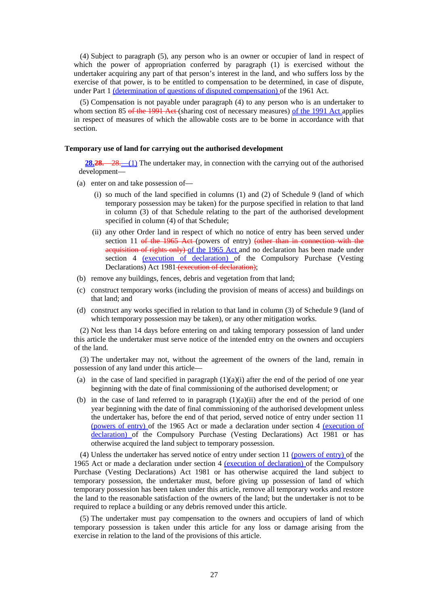(4) Subject to paragraph (5), any person who is an owner or occupier of land in respect of which the power of appropriation conferred by paragraph (1) is exercised without the undertaker acquiring any part of that person's interest in the land, and who suffers loss by the exercise of that power, is to be entitled to compensation to be determined, in case of dispute, under Part 1 <u>(determination of questions of disputed compensation</u>) of the 1961 Act.

(5) Compensation is not payable under paragraph (4) to any person who is an undertaker to whom section 85 of the 1991 Act (sharing cost of necessary measures) of the 1991 Act applies in respect of measures of which the allowable costs are to be borne in accordance with that section.

#### **Temporary use of land for carrying out the authorised development**

**28.28.**—28.—(1) The undertaker may, in connection with the carrying out of the authorised development—

- (a) enter on and take possession of—
	- (i) so much of the land specified in columns (1) and (2) of Schedule 9 (land of which temporary possession may be taken) for the purpose specified in relation to that land in column (3) of that Schedule relating to the part of the authorised development specified in column (4) of that Schedule;
	- (ii) any other Order land in respect of which no notice of entry has been served under section 11 of the 1965 Act (powers of entry) (other than in connection with the acquisition of rights only) of the 1965 Act and no declaration has been made under section 4 (execution of declaration) of the Compulsory Purchase (Vesting Declarations) Act 1981 (execution of declaration);
- (b) remove any buildings, fences, debris and vegetation from that land;
- (c) construct temporary works (including the provision of means of access) and buildings on that land; and
- (d) construct any works specified in relation to that land in column (3) of Schedule 9 (land of which temporary possession may be taken), or any other mitigation works.

(2) Not less than 14 days before entering on and taking temporary possession of land under this article the undertaker must serve notice of the intended entry on the owners and occupiers of the land.

(3) The undertaker may not, without the agreement of the owners of the land, remain in possession of any land under this article—

- (a) in the case of land specified in paragraph  $(1)(a)(i)$  after the end of the period of one year beginning with the date of final commissioning of the authorised development; or
- (b) in the case of land referred to in paragraph  $(1)(a)(ii)$  after the end of the period of one year beginning with the date of final commissioning of the authorised development unless the undertaker has, before the end of that period, served notice of entry under section 11 (powers of entry) of the 1965 Act or made a declaration under section 4 (execution of declaration) of the Compulsory Purchase (Vesting Declarations) Act 1981 or has otherwise acquired the land subject to temporary possession.

(4) Unless the undertaker has served notice of entry under section 11 (powers of entry) of the 1965 Act or made a declaration under section 4 (execution of declaration) of the Compulsory Purchase (Vesting Declarations) Act 1981 or has otherwise acquired the land subject to temporary possession, the undertaker must, before giving up possession of land of which temporary possession has been taken under this article, remove all temporary works and restore the land to the reasonable satisfaction of the owners of the land; but the undertaker is not to be required to replace a building or any debris removed under this article.

(5) The undertaker must pay compensation to the owners and occupiers of land of which temporary possession is taken under this article for any loss or damage arising from the exercise in relation to the land of the provisions of this article.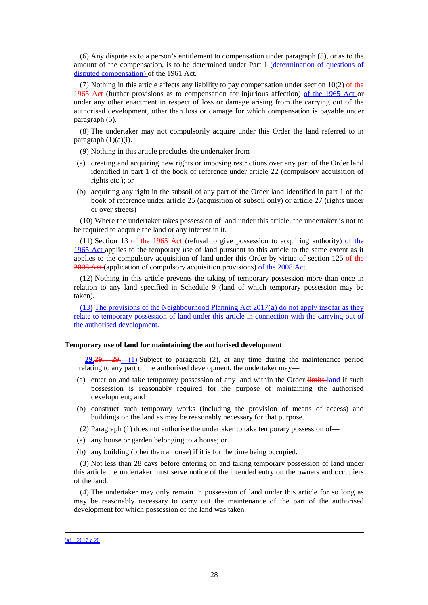(6) Any dispute as to a person's entitlement to compensation under paragraph (5), or as to the amount of the compensation, is to be determined under Part 1 (determination of questions of disputed compensation) of the 1961 Act.

(7) Nothing in this article affects any liability to pay compensation under section  $10(2)$  of the 1965 Act (further provisions as to compensation for injurious affection) of the 1965 Act or under any other enactment in respect of loss or damage arising from the carrying out of the authorised development, other than loss or damage for which compensation is payable under paragraph (5).

(8) The undertaker may not compulsorily acquire under this Order the land referred to in paragraph  $(1)(a)(i)$ .

(9) Nothing in this article precludes the undertaker from—

- (a) creating and acquiring new rights or imposing restrictions over any part of the Order land identified in part 1 of the book of reference under article 22 (compulsory acquisition of rights etc.); or
- (b) acquiring any right in the subsoil of any part of the Order land identified in part 1 of the book of reference under article 25 (acquisition of subsoil only) or article 27 (rights under or over streets)

(10) Where the undertaker takes possession of land under this article, the undertaker is not to be required to acquire the land or any interest in it.

 $(11)$  Section 13 of the 1965 Act (refusal to give possession to acquiring authority) of the 1965 Act applies to the temporary use of land pursuant to this article to the same extent as it applies to the compulsory acquisition of land under this Order by virtue of section  $125 \theta$  the 2008 Act (application of compulsory acquisition provisions) of the 2008 Act.

(12) Nothing in this article prevents the taking of temporary possession more than once in relation to any land specified in Schedule 9 (land of which temporary possession may be taken).

(13) The provisions of the Neighbourhood Planning Act 2017(**a**) do not apply insofar as they relate to temporary possession of land under this article in connection with the carrying out of the authorised development.

#### **Temporary use of land for maintaining the authorised development**

**29.29.**—29.—(1) Subject to paragraph (2), at any time during the maintenance period relating to any part of the authorised development, the undertaker may—

- (a) enter on and take temporary possession of any land within the Order limits-land if such possession is reasonably required for the purpose of maintaining the authorised development; and
- (b) construct such temporary works (including the provision of means of access) and buildings on the land as may be reasonably necessary for that purpose.
- (2) Paragraph (1) does not authorise the undertaker to take temporary possession of—
- (a) any house or garden belonging to a house; or
- (b) any building (other than a house) if it is for the time being occupied.

(3) Not less than 28 days before entering on and taking temporary possession of land under this article the undertaker must serve notice of the intended entry on the owners and occupiers of the land.

(4) The undertaker may only remain in possession of land under this article for so long as may be reasonably necessary to carry out the maintenance of the part of the authorised development for which possession of the land was taken.

(**a**) 2017 c.20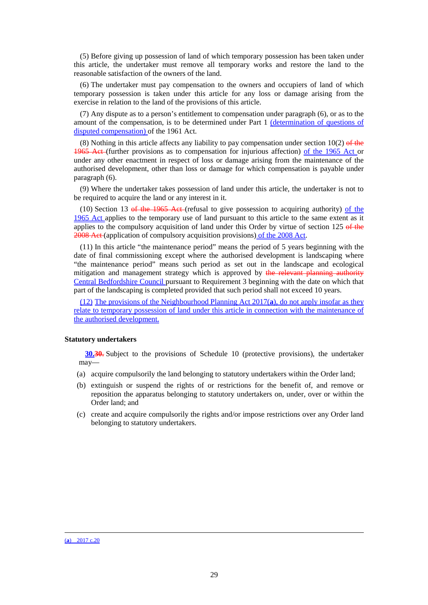(5) Before giving up possession of land of which temporary possession has been taken under this article, the undertaker must remove all temporary works and restore the land to the reasonable satisfaction of the owners of the land.

(6) The undertaker must pay compensation to the owners and occupiers of land of which temporary possession is taken under this article for any loss or damage arising from the exercise in relation to the land of the provisions of this article.

(7) Any dispute as to a person's entitlement to compensation under paragraph (6), or as to the amount of the compensation, is to be determined under Part 1 (determination of questions of disputed compensation) of the 1961 Act.

(8) Nothing in this article affects any liability to pay compensation under section  $10(2)$  of the 1965 Act (further provisions as to compensation for injurious affection) of the 1965 Act or under any other enactment in respect of loss or damage arising from the maintenance of the authorised development, other than loss or damage for which compensation is payable under paragraph (6).

(9) Where the undertaker takes possession of land under this article, the undertaker is not to be required to acquire the land or any interest in it.

(10) Section 13 of the 1965 Act (refusal to give possession to acquiring authority) of the 1965 Act applies to the temporary use of land pursuant to this article to the same extent as it applies to the compulsory acquisition of land under this Order by virtue of section  $125 \theta$  the 2008 Act (application of compulsory acquisition provisions) of the 2008 Act.

(11) In this article "the maintenance period" means the period of 5 years beginning with the date of final commissioning except where the authorised development is landscaping where "the maintenance period" means such period as set out in the landscape and ecological mitigation and management strategy which is approved by the relevant planning authority Central Bedfordshire Council pursuant to Requirement 3 beginning with the date on which that part of the landscaping is completed provided that such period shall not exceed 10 years.

(12) The provisions of the Neighbourhood Planning Act 2017(**a**), do not apply insofar as they relate to temporary possession of land under this article in connection with the maintenance of the authorised development.

#### **Statutory undertakers**

**30.30.** Subject to the provisions of Schedule 10 (protective provisions), the undertaker may—

- (a) acquire compulsorily the land belonging to statutory undertakers within the Order land;
- (b) extinguish or suspend the rights of or restrictions for the benefit of, and remove or reposition the apparatus belonging to statutory undertakers on, under, over or within the Order land; and
- (c) create and acquire compulsorily the rights and/or impose restrictions over any Order land belonging to statutory undertakers.

(**a**) 2017 c.20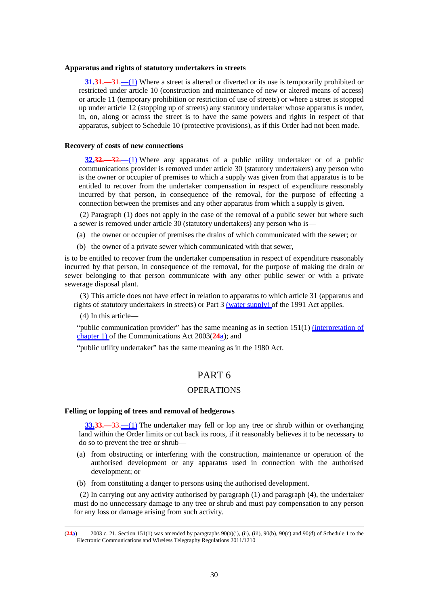#### **Apparatus and rights of statutory undertakers in streets**

**31.31.**—31.—(1) Where a street is altered or diverted or its use is temporarily prohibited or restricted under article 10 (construction and maintenance of new or altered means of access) or article 11 (temporary prohibition or restriction of use of streets) or where a street is stopped up under article 12 (stopping up of streets) any statutory undertaker whose apparatus is under, in, on, along or across the street is to have the same powers and rights in respect of that apparatus, subject to Schedule 10 (protective provisions), as if this Order had not been made.

#### **Recovery of costs of new connections**

**32.32.**—32.—(1) Where any apparatus of a public utility undertaker or of a public communications provider is removed under article 30 (statutory undertakers) any person who is the owner or occupier of premises to which a supply was given from that apparatus is to be entitled to recover from the undertaker compensation in respect of expenditure reasonably incurred by that person, in consequence of the removal, for the purpose of effecting a connection between the premises and any other apparatus from which a supply is given.

(2) Paragraph (1) does not apply in the case of the removal of a public sewer but where such a sewer is removed under article 30 (statutory undertakers) any person who is—

(a) the owner or occupier of premises the drains of which communicated with the sewer; or

(b) the owner of a private sewer which communicated with that sewer,

is to be entitled to recover from the undertaker compensation in respect of expenditure reasonably incurred by that person, in consequence of the removal, for the purpose of making the drain or sewer belonging to that person communicate with any other public sewer or with a private sewerage disposal plant.

(3) This article does not have effect in relation to apparatus to which article 31 (apparatus and rights of statutory undertakers in streets) or Part 3 (water supply) of the 1991 Act applies.

(4) In this article—

<u>.</u>

"public communication provider" has the same meaning as in section 151(1) (interpretation of chapter 1) of the Communications Act 2003(**24a**); and

"public utility undertaker" has the same meaning as in the 1980 Act.

### PART 6

### **OPERATIONS**

#### **Felling or lopping of trees and removal of hedgerows**

**33.33.**—33.—(1) The undertaker may fell or lop any tree or shrub within or overhanging land within the Order limits or cut back its roots, if it reasonably believes it to be necessary to do so to prevent the tree or shrub—

- (a) from obstructing or interfering with the construction, maintenance or operation of the authorised development or any apparatus used in connection with the authorised development; or
- (b) from constituting a danger to persons using the authorised development.

(2) In carrying out any activity authorised by paragraph (1) and paragraph (4), the undertaker must do no unnecessary damage to any tree or shrub and must pay compensation to any person for any loss or damage arising from such activity.

<sup>(</sup>**24a**) 2003 c. 21. Section 151(1) was amended by paragraphs 90(a)(i), (ii), (iii), 90(b), 90(c) and 90(d) of Schedule 1 to the Electronic Communications and Wireless Telegraphy Regulations 2011/1210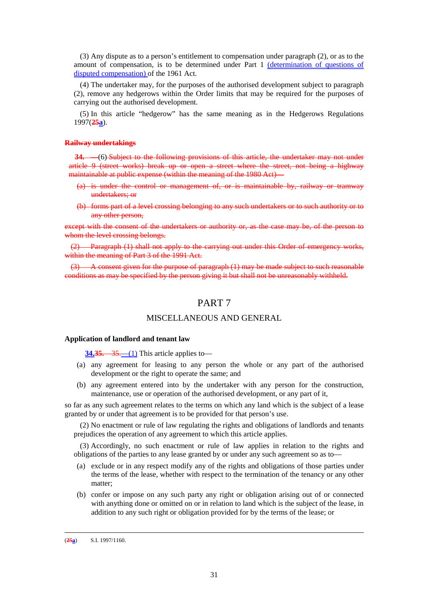(3) Any dispute as to a person's entitlement to compensation under paragraph (2), or as to the amount of compensation, is to be determined under Part 1 (determination of questions of disputed compensation) of the 1961 Act.

(4) The undertaker may, for the purposes of the authorised development subject to paragraph (2), remove any hedgerows within the Order limits that may be required for the purposes of carrying out the authorised development.

(5) In this article "hedgerow" has the same meaning as in the Hedgerows Regulations 1997(**25a**).

### **Railway undertakings**

**34.** —(6) Subject to the following provisions of this article, the undertaker may not under article 9 (street works) break up or open a street where the street, not being a highway maintainable at public expense (within the meaning of the 1980 Act) —

- (a) is under the control or management of, or is maintainable by, railway or tramway undertakers; or
- (b) forms part of a level crossing belonging to any such undertakers or to such authority or to any other person,

except with the consent of the undertakers or authority or, as the case may be, of the person to whom the level crossing belongs.

(2) Paragraph (1) shall not apply to the carrying out under this Order of emergency works, within the meaning of Part 3 of the 1991 Act.

(3) A consent given for the purpose of paragraph (1) may be made subject to such reasonable conditions as may be specified by the person giving it but shall not be unreasonably withheld.

### PART 7

### MISCELLANEOUS AND GENERAL

### **Application of landlord and tenant law**

**34.35.**—35.—(1) This article applies to—

- (a) any agreement for leasing to any person the whole or any part of the authorised development or the right to operate the same; and
- (b) any agreement entered into by the undertaker with any person for the construction, maintenance, use or operation of the authorised development, or any part of it,

so far as any such agreement relates to the terms on which any land which is the subject of a lease granted by or under that agreement is to be provided for that person's use.

(2) No enactment or rule of law regulating the rights and obligations of landlords and tenants prejudices the operation of any agreement to which this article applies.

(3) Accordingly, no such enactment or rule of law applies in relation to the rights and obligations of the parties to any lease granted by or under any such agreement so as to—

- (a) exclude or in any respect modify any of the rights and obligations of those parties under the terms of the lease, whether with respect to the termination of the tenancy or any other matter;
- (b) confer or impose on any such party any right or obligation arising out of or connected with anything done or omitted on or in relation to land which is the subject of the lease, in addition to any such right or obligation provided for by the terms of the lease; or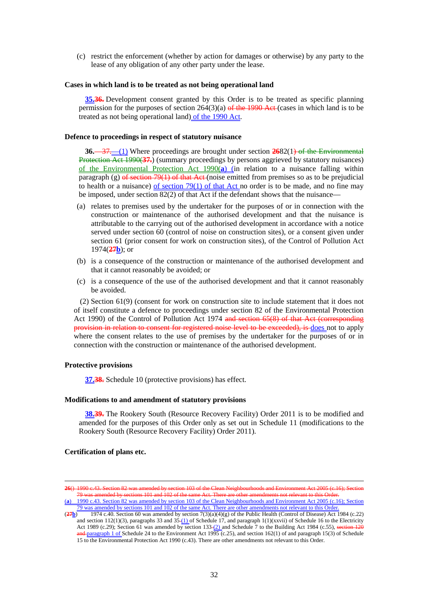(c) restrict the enforcement (whether by action for damages or otherwise) by any party to the lease of any obligation of any other party under the lease.

#### **Cases in which land is to be treated as not being operational land**

**35.36.** Development consent granted by this Order is to be treated as specific planning permission for the purposes of section  $264(3)(a)$  of the 1990 Act (cases in which land is to be treated as not being operational land) of the 1990 Act.

#### **Defence to proceedings in respect of statutory nuisance**

**36.**—37. (1) Where proceedings are brought under section 2682(1) of the Environmental Protection Act 1990(**37.**) (summary proceedings by persons aggrieved by statutory nuisances) of the Environmental Protection Act 1990(**a**) (in relation to a nuisance falling within paragraph (g)  $\theta$  section 79(1) of that Act (noise emitted from premises so as to be prejudicial to health or a nuisance) of section  $79(1)$  of that Act no order is to be made, and no fine may be imposed, under section 82(2) of that Act if the defendant shows that the nuisance—

- (a) relates to premises used by the undertaker for the purposes of or in connection with the construction or maintenance of the authorised development and that the nuisance is attributable to the carrying out of the authorised development in accordance with a notice served under section 60 (control of noise on construction sites), or a consent given under section 61 (prior consent for work on construction sites), of the Control of Pollution Act 1974(**27b**); or
- (b) is a consequence of the construction or maintenance of the authorised development and that it cannot reasonably be avoided; or
- (c) is a consequence of the use of the authorised development and that it cannot reasonably be avoided.

(2) Section 61(9) (consent for work on construction site to include statement that it does not of itself constitute a defence to proceedings under section 82 of the Environmental Protection Act 1990) of the Control of Pollution Act 1974 and section 65(8) of that Act (corresponding provision in relation to consent for registered noise level to be exceeded), is does not to apply where the consent relates to the use of premises by the undertaker for the purposes of or in connection with the construction or maintenance of the authorised development.

#### **Protective provisions**

**37.38.** Schedule 10 (protective provisions) has effect.

### **Modifications to and amendment of statutory provisions**

**38.39.** The Rookery South (Resource Recovery Facility) Order 2011 is to be modified and amended for the purposes of this Order only as set out in Schedule 11 (modifications to the Rookery South (Resource Recovery Facility) Order 2011).

### **Certification of plans etc.**

**<sup>26</sup>**() 1990 c.43. Section 82 was amended by section 103 of the Clean Neighbourhoods and Environment Act 2005 (c.16); Section  $\frac{101 \text{ and } 102 \text{ of the}}{50}$ (**a**) 1990 c.43. Section 82 was amended by section 103 of the Clean Neighbourhoods and Environment Act 2005 (c.16); Section

 $\frac{79 \text{ was amended by sections } 101 \text{ and } 102 \text{ of the same Act. There are other amendments not relevant to this Orde (27b) } 1974 \text{ c}.40. Section 60 was amended by section  $7(3)(a)(4)(g)$  of the Public Health (Control of Disease) Act$ 

<sup>(</sup>**27b**) 1974 c.40. Section 60 was amended by section 7(3)(a)(4)(g) of the Public Health (Control of Disease) Act 1984 (c.22) and section  $112(1)(3)$ , paragraphs 33 and  $35(1)$  of Schedule 17, and paragraph  $1(1)(xxvii)$  of Schedule 16 to the Electricity Act 1989 (c.29); Section 61 was amended by section 133 $-$ (2) and Schedule 7 to the Building Act 1984 (c.55), section 120  $\frac{\text{and-}$  paragraph 1 of Schedule 24 to the Environment Act 1995 (c.25), and section 162(1) of and paragraph 15(3) of Schedule 15 to the Environmental Protection Act 1990 (c.43). There are other amendments not relevant to this Order.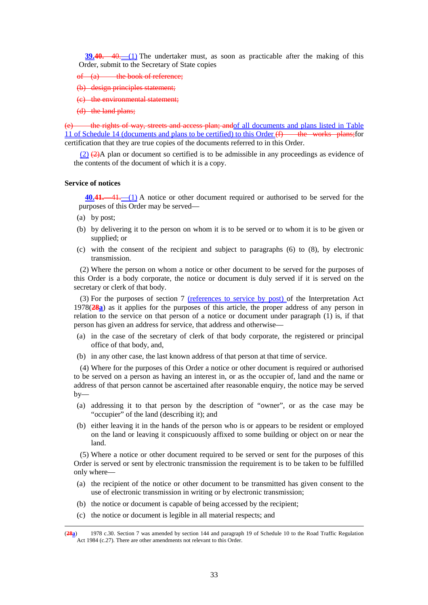**39.40.**—40.—(1) The undertaker must, as soon as practicable after the making of this Order, submit to the Secretary of State copies

- of  $(a)$  the book of reference:
- (b) design principles statement;
- (c) the environmental statement;
- (d) the land plans;

(e) the rights of way, streets and access plan; andof all documents and plans listed in Table 11 of Schedule 14 (documents and plans to be certified) to this Order  $(f)$  the works plans; for certification that they are true copies of the documents referred to in this Order.

 $(2)$   $(2)$   $(2)$   $(2)$  plan or document so certified is to be admissible in any proceedings as evidence of the contents of the document of which it is a copy.

#### **Service of notices**

**40.41.**—41.—(1) A notice or other document required or authorised to be served for the purposes of this Order may be served—

(a) by post;

<u>.</u>

- (b) by delivering it to the person on whom it is to be served or to whom it is to be given or supplied; or
- (c) with the consent of the recipient and subject to paragraphs (6) to (8), by electronic transmission.

(2) Where the person on whom a notice or other document to be served for the purposes of this Order is a body corporate, the notice or document is duly served if it is served on the secretary or clerk of that body.

(3) For the purposes of section 7 (references to service by post) of the Interpretation Act 1978(**28a**) as it applies for the purposes of this article, the proper address of any person in relation to the service on that person of a notice or document under paragraph (1) is, if that person has given an address for service, that address and otherwise—

- (a) in the case of the secretary of clerk of that body corporate, the registered or principal office of that body, and,
- (b) in any other case, the last known address of that person at that time of service.

(4) Where for the purposes of this Order a notice or other document is required or authorised to be served on a person as having an interest in, or as the occupier of, land and the name or address of that person cannot be ascertained after reasonable enquiry, the notice may be served  $by-$ 

- (a) addressing it to that person by the description of "owner", or as the case may be "occupier" of the land (describing it); and
- (b) either leaving it in the hands of the person who is or appears to be resident or employed on the land or leaving it conspicuously affixed to some building or object on or near the land.

(5) Where a notice or other document required to be served or sent for the purposes of this Order is served or sent by electronic transmission the requirement is to be taken to be fulfilled only where—

- (a) the recipient of the notice or other document to be transmitted has given consent to the use of electronic transmission in writing or by electronic transmission;
- (b) the notice or document is capable of being accessed by the recipient;
- (c) the notice or document is legible in all material respects; and

<sup>(</sup>**28a**) 1978 c.30. Section 7 was amended by section 144 and paragraph 19 of Schedule 10 to the Road Traffic Regulation Act 1984 (c.27). There are other amendments not relevant to this Order.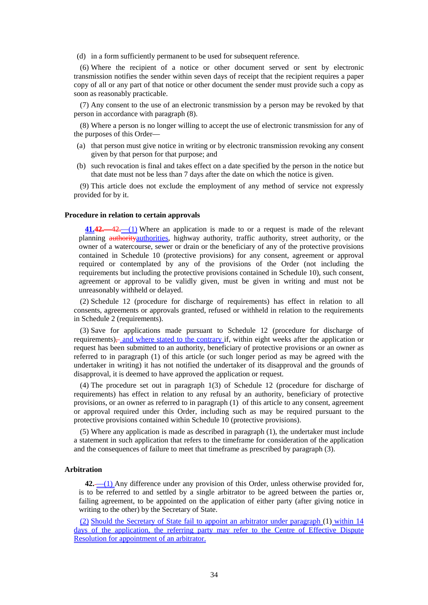(d) in a form sufficiently permanent to be used for subsequent reference.

(6) Where the recipient of a notice or other document served or sent by electronic transmission notifies the sender within seven days of receipt that the recipient requires a paper copy of all or any part of that notice or other document the sender must provide such a copy as soon as reasonably practicable.

(7) Any consent to the use of an electronic transmission by a person may be revoked by that person in accordance with paragraph (8).

(8) Where a person is no longer willing to accept the use of electronic transmission for any of the purposes of this Order—

- (a) that person must give notice in writing or by electronic transmission revoking any consent given by that person for that purpose; and
- (b) such revocation is final and takes effect on a date specified by the person in the notice but that date must not be less than 7 days after the date on which the notice is given.

(9) This article does not exclude the employment of any method of service not expressly provided for by it.

### **Procedure in relation to certain approvals**

**41.42.**—42.—(1) Where an application is made to or a request is made of the relevant planning authorityauthorities, highway authority, traffic authority, street authority, or the owner of a watercourse, sewer or drain or the beneficiary of any of the protective provisions contained in Schedule 10 (protective provisions) for any consent, agreement or approval required or contemplated by any of the provisions of the Order (not including the requirements but including the protective provisions contained in Schedule 10), such consent, agreement or approval to be validly given, must be given in writing and must not be unreasonably withheld or delayed.

(2) Schedule 12 (procedure for discharge of requirements) has effect in relation to all consents, agreements or approvals granted, refused or withheld in relation to the requirements in Schedule 2 (requirements).

(3) Save for applications made pursuant to Schedule 12 (procedure for discharge of requirements)— and where stated to the contrary if, within eight weeks after the application or request has been submitted to an authority, beneficiary of protective provisions or an owner as referred to in paragraph (1) of this article (or such longer period as may be agreed with the undertaker in writing) it has not notified the undertaker of its disapproval and the grounds of disapproval, it is deemed to have approved the application or request.

(4) The procedure set out in paragraph 1(3) of Schedule 12 (procedure for discharge of requirements) has effect in relation to any refusal by an authority, beneficiary of protective provisions, or an owner as referred to in paragraph (1) of this article to any consent, agreement or approval required under this Order, including such as may be required pursuant to the protective provisions contained within Schedule 10 (protective provisions).

(5) Where any application is made as described in paragraph (1), the undertaker must include a statement in such application that refers to the timeframe for consideration of the application and the consequences of failure to meet that timeframe as prescribed by paragraph (3).

### **Arbitration**

42. <sup>(1)</sup> Any difference under any provision of this Order, unless otherwise provided for, is to be referred to and settled by a single arbitrator to be agreed between the parties or, failing agreement, to be appointed on the application of either party (after giving notice in writing to the other) by the Secretary of State.

(2) Should the Secretary of State fail to appoint an arbitrator under paragraph (1) within 14 days of the application, the referring party may refer to the Centre of Effective Dispute Resolution for appointment of an arbitrator.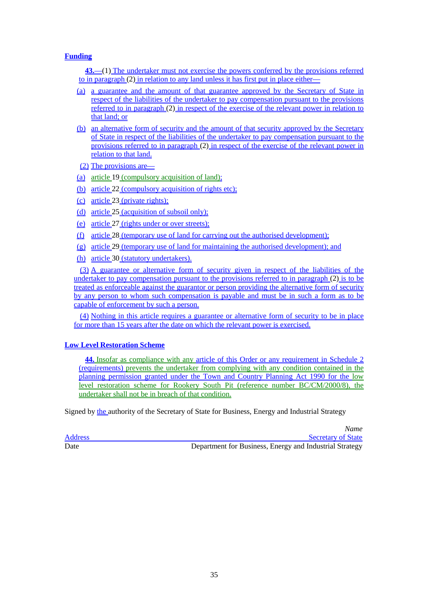### **Funding**

**43.**—(1) The undertaker must not exercise the powers conferred by the provisions referred to in paragraph (2) in relation to any land unless it has first put in place either—

- (a) a guarantee and the amount of that guarantee approved by the Secretary of State in respect of the liabilities of the undertaker to pay compensation pursuant to the provisions referred to in paragraph (2) in respect of the exercise of the relevant power in relation to that land; or
- (b) an alternative form of security and the amount of that security approved by the Secretary of State in respect of the liabilities of the undertaker to pay compensation pursuant to the provisions referred to in paragraph (2) in respect of the exercise of the relevant power in relation to that land.
- (2) The provisions are—
- (a) article 19 (compulsory acquisition of land);
- (b) article 22 (compulsory acquisition of rights etc):
- (c) article 23 (private rights);
- (d) article 25 (acquisition of subsoil only);
- (e) article 27 (rights under or over streets);
- (f) article 28 (temporary use of land for carrying out the authorised development);
- (g) article 29 (temporary use of land for maintaining the authorised development); and
- (h) article 30 (statutory undertakers).

(3) A guarantee or alternative form of security given in respect of the liabilities of the undertaker to pay compensation pursuant to the provisions referred to in paragraph (2) is to be treated as enforceable against the guarantor or person providing the alternative form of security by any person to whom such compensation is payable and must be in such a form as to be capable of enforcement by such a person.

(4) Nothing in this article requires a guarantee or alternative form of security to be in place for more than 15 years after the date on which the relevant power is exercised.

### **Low Level Restoration Scheme**

**44.** Insofar as compliance with any article of this Order or any requirement in Schedule 2 (requirements) prevents the undertaker from complying with any condition contained in the planning permission granted under the Town and Country Planning Act 1990 for the low level restoration scheme for Rookery South Pit (reference number BC/CM/2000/8), the undertaker shall not be in breach of that condition.

Signed by the authority of the Secretary of State for Business, Energy and Industrial Strategy

*Name*

Address Secretary of State Address Secretary of State Address Secretary of State Address Secretary of State Address Secretary of State Address Secretary of State Address Secretary of State Address Secretary of State Addres Date Department for Business, Energy and Industrial Strategy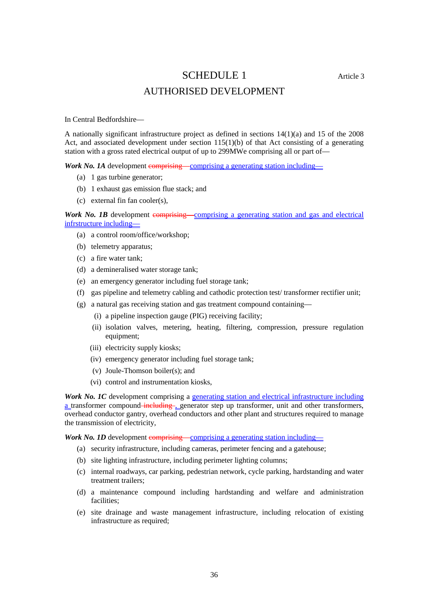### SCHEDULE 1 Article 3

### AUTHORISED DEVELOPMENT

In Central Bedfordshire—

A nationally significant infrastructure project as defined in sections 14(1)(a) and 15 of the 2008 Act, and associated development under section  $115(1)(b)$  of that Act consisting of a generating station with a gross rated electrical output of up to 299MWe comprising all or part of—

*Work No. 1A* development comprising—comprising a generating station including—

- (a) 1 gas turbine generator;
- (b) 1 exhaust gas emission flue stack; and
- (c) external fin fan cooler(s),

**Work No. 1B** development comprising—comprising a generating station and gas and electrical infrstructure including—

- (a) a control room/office/workshop;
- (b) telemetry apparatus;
- (c) a fire water tank;
- (d) a demineralised water storage tank;
- (e) an emergency generator including fuel storage tank;
- (f) gas pipeline and telemetry cabling and cathodic protection test/ transformer rectifier unit;
- (g) a natural gas receiving station and gas treatment compound containing—
	- (i) a pipeline inspection gauge (PIG) receiving facility;
	- (ii) isolation valves, metering, heating, filtering, compression, pressure regulation equipment;
	- (iii) electricity supply kiosks;
	- (iv) emergency generator including fuel storage tank;
	- (v) Joule-Thomson boiler(s); and
	- (vi) control and instrumentation kiosks,

*Work No. 1C* development comprising a generating station and electrical infrastructure including a transformer compound-including , generator step up transformer, unit and other transformers, overhead conductor gantry, overhead conductors and other plant and structures required to manage the transmission of electricity,

*Work No. 1D* development comprising—comprising a generating station including—

- (a) security infrastructure, including cameras, perimeter fencing and a gatehouse;
- (b) site lighting infrastructure, including perimeter lighting columns;
- (c) internal roadways, car parking, pedestrian network, cycle parking, hardstanding and water treatment trailers;
- (d) a maintenance compound including hardstanding and welfare and administration facilities;
- (e) site drainage and waste management infrastructure, including relocation of existing infrastructure as required;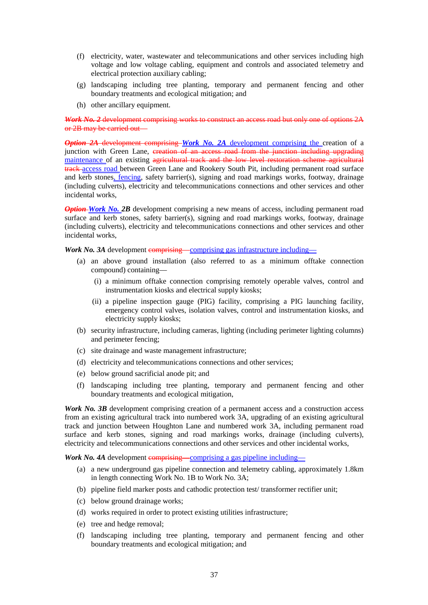- (f) electricity, water, wastewater and telecommunications and other services including high voltage and low voltage cabling, equipment and controls and associated telemetry and electrical protection auxiliary cabling;
- (g) landscaping including tree planting, temporary and permanent fencing and other boundary treatments and ecological mitigation; and
- (h) other ancillary equipment.

*Work No. 2* development comprising works to construct an access road but only one of options 2A or 2B may be carried out—

*Option 2A* development comprising *Work No. 2A* development comprising the creation of a junction with Green Lane, creation of an access road from the junction including upgrading maintenance of an existing agricultural track and the low level restoration scheme agricultural track access road between Green Lane and Rookery South Pit, including permanent road surface and kerb stones, fencing, safety barrier(s), signing and road markings works, footway, drainage (including culverts), electricity and telecommunications connections and other services and other incidental works,

*Option-Work No. 2B* development comprising a new means of access, including permanent road surface and kerb stones, safety barrier(s), signing and road markings works, footway, drainage (including culverts), electricity and telecommunications connections and other services and other incidental works,

*Work No. 3A* development comprising—comprising gas infrastructure including—

- (a) an above ground installation (also referred to as a minimum offtake connection compound) containing—
	- (i) a minimum offtake connection comprising remotely operable valves, control and instrumentation kiosks and electrical supply kiosks;
	- (ii) a pipeline inspection gauge (PIG) facility, comprising a PIG launching facility, emergency control valves, isolation valves, control and instrumentation kiosks, and electricity supply kiosks;
- (b) security infrastructure, including cameras, lighting (including perimeter lighting columns) and perimeter fencing;
- (c) site drainage and waste management infrastructure;
- (d) electricity and telecommunications connections and other services;
- (e) below ground sacrificial anode pit; and
- (f) landscaping including tree planting, temporary and permanent fencing and other boundary treatments and ecological mitigation,

*Work No. 3B* development comprising creation of a permanent access and a construction access from an existing agricultural track into numbered work 3A, upgrading of an existing agricultural track and junction between Houghton Lane and numbered work 3A, including permanent road surface and kerb stones, signing and road markings works, drainage (including culverts), electricity and telecommunications connections and other services and other incidental works,

*Work No. 4A* development comprising—comprising a gas pipeline including—

- (a) a new underground gas pipeline connection and telemetry cabling, approximately 1.8km in length connecting Work No. 1B to Work No. 3A;
- (b) pipeline field marker posts and cathodic protection test/ transformer rectifier unit;
- (c) below ground drainage works;
- (d) works required in order to protect existing utilities infrastructure;
- (e) tree and hedge removal;
- (f) landscaping including tree planting, temporary and permanent fencing and other boundary treatments and ecological mitigation; and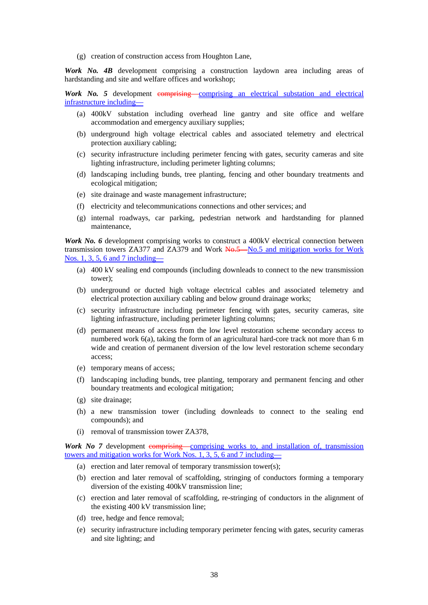(g) creation of construction access from Houghton Lane,

*Work No. 4B* development comprising a construction laydown area including areas of hardstanding and site and welfare offices and workshop;

*Work No. 5* development comprising—comprising an electrical substation and electrical infrastructure including—

- (a) 400kV substation including overhead line gantry and site office and welfare accommodation and emergency auxiliary supplies;
- (b) underground high voltage electrical cables and associated telemetry and electrical protection auxiliary cabling;
- (c) security infrastructure including perimeter fencing with gates, security cameras and site lighting infrastructure, including perimeter lighting columns;
- (d) landscaping including bunds, tree planting, fencing and other boundary treatments and ecological mitigation;
- (e) site drainage and waste management infrastructure;
- (f) electricity and telecommunications connections and other services; and
- (g) internal roadways, car parking, pedestrian network and hardstanding for planned maintenance,

*Work No. 6* development comprising works to construct a 400kV electrical connection between transmission towers ZA377 and ZA379 and Work No.5—No.5 and mitigation works for Work Nos. 1, 3, 5, 6 and 7 including—

- (a) 400 kV sealing end compounds (including downleads to connect to the new transmission tower);
- (b) underground or ducted high voltage electrical cables and associated telemetry and electrical protection auxiliary cabling and below ground drainage works;
- (c) security infrastructure including perimeter fencing with gates, security cameras, site lighting infrastructure, including perimeter lighting columns;
- (d) permanent means of access from the low level restoration scheme secondary access to numbered work  $6(a)$ , taking the form of an agricultural hard-core track not more than  $6 \text{ m}$ wide and creation of permanent diversion of the low level restoration scheme secondary access;
- (e) temporary means of access;
- (f) landscaping including bunds, tree planting, temporary and permanent fencing and other boundary treatments and ecological mitigation;
- (g) site drainage;
- (h) a new transmission tower (including downleads to connect to the sealing end compounds); and
- (i) removal of transmission tower ZA378,

*Work No 7* development comprising—comprising works to, and installation of, transmission towers and mitigation works for Work Nos. 1, 3, 5, 6 and 7 including—

- (a) erection and later removal of temporary transmission tower(s);
- (b) erection and later removal of scaffolding, stringing of conductors forming a temporary diversion of the existing 400kV transmission line;
- (c) erection and later removal of scaffolding, re-stringing of conductors in the alignment of the existing 400 kV transmission line;
- (d) tree, hedge and fence removal;
- (e) security infrastructure including temporary perimeter fencing with gates, security cameras and site lighting; and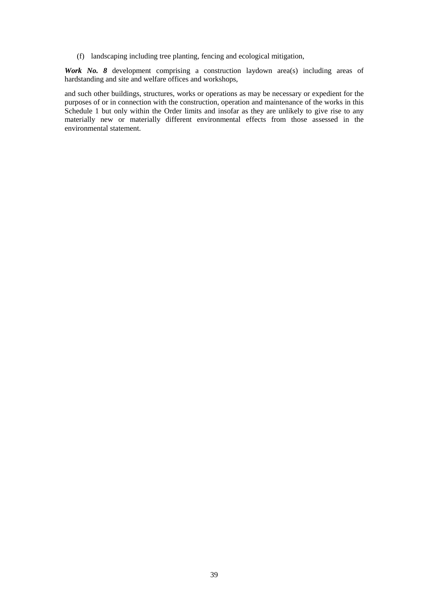(f) landscaping including tree planting, fencing and ecological mitigation,

*Work No. 8* development comprising a construction laydown area(s) including areas of hardstanding and site and welfare offices and workshops,

and such other buildings, structures, works or operations as may be necessary or expedient for the purposes of or in connection with the construction, operation and maintenance of the works in this Schedule 1 but only within the Order limits and insofar as they are unlikely to give rise to any materially new or materially different environmental effects from those assessed in the environmental statement.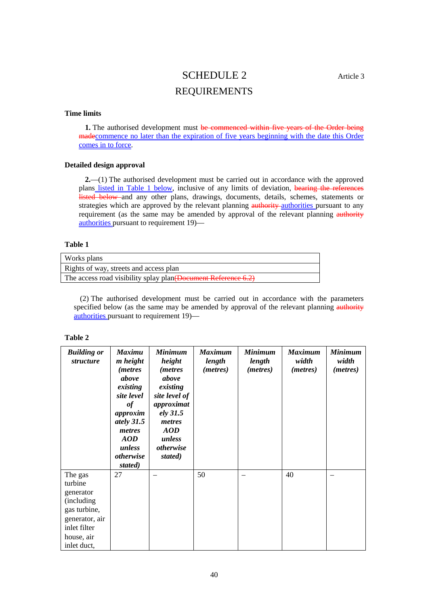# SCHEDULE 2 Article 3 REQUIREMENTS

### **Time limits**

**1.** The authorised development must be commenced within five years of the Order being madecommence no later than the expiration of five years beginning with the date this Order comes in to force.

### **Detailed design approval**

**2.**—(1) The authorised development must be carried out in accordance with the approved plans listed in Table 1 below, inclusive of any limits of deviation, bearing the references listed below and any other plans, drawings, documents, details, schemes, statements or strategies which are approved by the relevant planning **authority** authorities pursuant to any requirement (as the same may be amended by approval of the relevant planning authority authorities pursuant to requirement 19)—

### **Table 1**

| Works plans                                                    |
|----------------------------------------------------------------|
| Rights of way, streets and access plan                         |
| The access road visibility splay plan (Document Reference 6.2) |

(2) The authorised development must be carried out in accordance with the parameters specified below (as the same may be amended by approval of the relevant planning authority authorities pursuant to requirement 19)—

| <b>Building or</b><br><i>structure</i>                                                                                       | <b>Maximu</b><br><i>m</i> height<br><i>(metres)</i><br>above<br>existing<br>site level<br>of<br>approxim<br>ately 31.5<br>metres<br><b>AOD</b><br>unless<br>otherwise<br>stated) | <b>Minimum</b><br>height<br><i>(metres)</i><br>above<br>existing<br>site level of<br>approximat<br>ely 31.5<br>metres<br><b>AOD</b><br>unless<br>otherwise<br>stated) | <b>Maximum</b><br>length<br>( <i>metres</i> ) | <b>Minimum</b><br>length<br>( <i>metres</i> ) | <b>Maximum</b><br>width<br>( <i>metres</i> ) | <b>Minimum</b><br>width<br>( <i>metres</i> ) |
|------------------------------------------------------------------------------------------------------------------------------|----------------------------------------------------------------------------------------------------------------------------------------------------------------------------------|-----------------------------------------------------------------------------------------------------------------------------------------------------------------------|-----------------------------------------------|-----------------------------------------------|----------------------------------------------|----------------------------------------------|
| The gas<br>turbine<br>generator<br>(including<br>gas turbine,<br>generator, air<br>inlet filter<br>house, air<br>inlet duct, | 27                                                                                                                                                                               |                                                                                                                                                                       | 50                                            |                                               | 40                                           |                                              |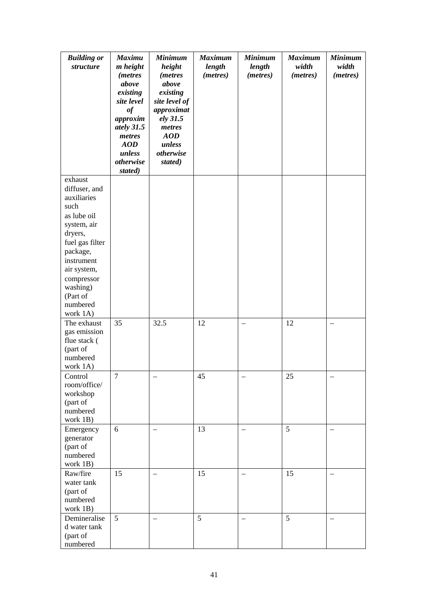| <b>Building or</b><br>structure                                                                                                                                                                                    | <b>Maximu</b><br>m height<br><i>(metres)</i><br>above<br>existing<br>site level       | <b>Minimum</b><br>height<br><i>(metres)</i><br>above<br>existing<br>site level of | <b>Maximum</b><br>length<br>(metres) | <b>Minimum</b><br>length<br>(metres) | <b>Maximum</b><br>width<br>(metres) | <b>Minimum</b><br>width<br>(metres) |
|--------------------------------------------------------------------------------------------------------------------------------------------------------------------------------------------------------------------|---------------------------------------------------------------------------------------|-----------------------------------------------------------------------------------|--------------------------------------|--------------------------------------|-------------------------------------|-------------------------------------|
|                                                                                                                                                                                                                    | $\it of$<br>approxim<br>ately 31.5<br>metres<br>AOD<br>unless<br>otherwise<br>stated) | approximat<br>ely 31.5<br>metres<br>AOD<br>unless<br>otherwise<br>stated)         |                                      |                                      |                                     |                                     |
| exhaust<br>diffuser, and<br>auxiliaries<br>such<br>as lube oil<br>system, air<br>dryers,<br>fuel gas filter<br>package,<br>instrument<br>air system,<br>compressor<br>washing)<br>(Part of<br>numbered<br>work 1A) |                                                                                       |                                                                                   |                                      |                                      |                                     |                                     |
| The exhaust<br>gas emission<br>flue stack (<br>(part of<br>numbered<br>work 1A)                                                                                                                                    | 35                                                                                    | 32.5                                                                              | 12                                   |                                      | 12                                  |                                     |
| Control<br>room/office/<br>workshop<br>(part of<br>numbered<br>work 1B)                                                                                                                                            | 7                                                                                     |                                                                                   | 45                                   |                                      | 25                                  |                                     |
| Emergency<br>generator<br>(part of<br>numbered<br>work 1B)                                                                                                                                                         | 6                                                                                     |                                                                                   | 13                                   |                                      | 5                                   |                                     |
| Raw/fire<br>water tank<br>(part of<br>numbered<br>work 1B)                                                                                                                                                         | 15                                                                                    | $\qquad \qquad -$                                                                 | 15                                   |                                      | 15                                  |                                     |
| Demineralise<br>d water tank<br>(part of<br>numbered                                                                                                                                                               | 5 <sup>5</sup>                                                                        | $\qquad \qquad -$                                                                 | 5                                    |                                      | 5                                   |                                     |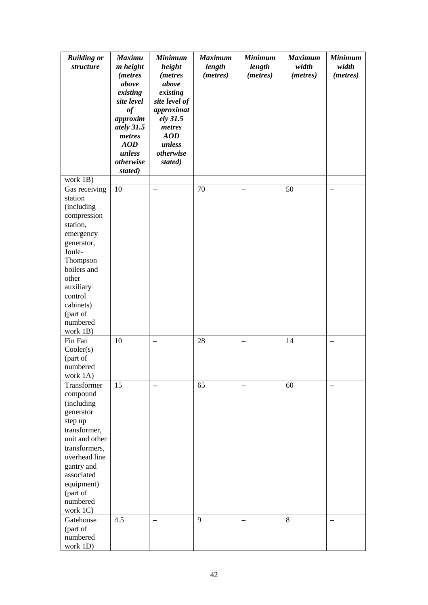| <b>Building or</b><br>structure                                                                                                                                                                                     | <b>Maximu</b><br><i>m</i> height<br><i>(metres)</i><br>above                                                    | <b>Minimum</b><br>height<br><i>(metres)</i><br>above                                                   | <b>Maximum</b><br>length<br>(metres) | <b>Minimum</b><br>length<br>(metres) | <b>Maximum</b><br>width<br>(metres) | <b>Minimum</b><br>width<br>(metres) |
|---------------------------------------------------------------------------------------------------------------------------------------------------------------------------------------------------------------------|-----------------------------------------------------------------------------------------------------------------|--------------------------------------------------------------------------------------------------------|--------------------------------------|--------------------------------------|-------------------------------------|-------------------------------------|
|                                                                                                                                                                                                                     | existing<br>site level<br>$\it of$<br>approxim<br>ately 31.5<br>metres<br>AOD<br>unless<br>otherwise<br>stated) | existing<br>site level of<br>approximat<br>ely 31.5<br>metres<br>AOD<br>unless<br>otherwise<br>stated) |                                      |                                      |                                     |                                     |
| work 1B)                                                                                                                                                                                                            |                                                                                                                 |                                                                                                        |                                      |                                      |                                     |                                     |
| Gas receiving<br>station<br>(including<br>compression<br>station,<br>emergency<br>generator,<br>Joule-<br>Thompson<br>boilers and<br>other<br>auxiliary<br>control<br>cabinets)<br>(part of<br>numbered<br>work 1B) | 10                                                                                                              | $=$                                                                                                    | 70                                   |                                      | 50                                  |                                     |
| Fin Fan<br>Cooler(s)<br>(part of<br>numbered<br>work 1A)                                                                                                                                                            | 10                                                                                                              |                                                                                                        | 28                                   |                                      | 14                                  |                                     |
| Transformer<br>compound<br>(including<br>generator<br>step up<br>transformer,<br>unit and other<br>transformers,<br>overhead line<br>gantry and<br>associated<br>equipment)<br>(part of<br>numbered<br>work 1C)     | 15                                                                                                              | $\overline{\phantom{0}}$                                                                               | 65                                   |                                      | 60                                  |                                     |
| Gatehouse<br>(part of<br>numbered<br>work 1D)                                                                                                                                                                       | 4.5                                                                                                             |                                                                                                        | 9                                    |                                      | 8                                   |                                     |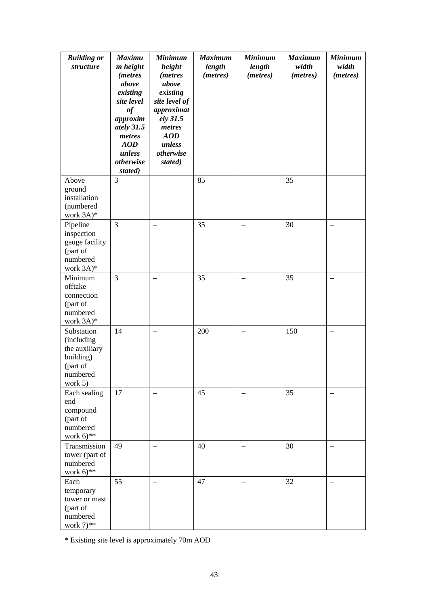| <b>Building or</b><br>structure                                                            | <b>Maximu</b><br><i>m</i> height<br><i>(metres)</i><br>above<br>existing<br>site level<br>$\it of$<br>approxim<br>ately 31.5<br>metres<br>AOD<br>unless<br>otherwise<br>stated) | <b>Minimum</b><br>height<br><i>(metres)</i><br>above<br>existing<br>site level of<br>approximat<br>ely 31.5<br>metres<br>AOD<br>unless<br>otherwise<br>stated) | <b>Maximum</b><br>length<br>(metres) | <b>Minimum</b><br>length<br>(metres) | <b>Maximum</b><br>width<br>(metres) | <b>Minimum</b><br>width<br>(metres) |
|--------------------------------------------------------------------------------------------|---------------------------------------------------------------------------------------------------------------------------------------------------------------------------------|----------------------------------------------------------------------------------------------------------------------------------------------------------------|--------------------------------------|--------------------------------------|-------------------------------------|-------------------------------------|
| Above<br>ground<br>installation<br>(numbered<br>work $3A$ <sup>*</sup>                     | $\overline{3}$                                                                                                                                                                  |                                                                                                                                                                | 85                                   |                                      | 35                                  |                                     |
| Pipeline<br>inspection<br>gauge facility<br>(part of<br>numbered<br>work $3A$ <sup>*</sup> | 3                                                                                                                                                                               | $\qquad \qquad -$                                                                                                                                              | 35                                   |                                      | 30                                  |                                     |
| Minimum<br>offtake<br>connection<br>(part of<br>numbered<br>work $3A$ <sup>*</sup>         | $\overline{3}$                                                                                                                                                                  |                                                                                                                                                                | 35                                   |                                      | 35                                  |                                     |
| Substation<br>(including<br>the auxiliary<br>building)<br>(part of<br>numbered<br>work 5)  | 14                                                                                                                                                                              |                                                                                                                                                                | 200                                  |                                      | 150                                 |                                     |
| Each sealing<br>end<br>compound<br>(part of<br>numbered<br>work $6$ <sup>**</sup>          | 17                                                                                                                                                                              | $\overline{\phantom{m}}$                                                                                                                                       | 45                                   | $\overline{\phantom{m}}$             | 35                                  |                                     |
| Transmission<br>tower (part of<br>numbered<br>work $6$ <sup>**</sup>                       | 49                                                                                                                                                                              |                                                                                                                                                                | 40                                   |                                      | 30                                  |                                     |
| Each<br>temporary<br>tower or mast<br>(part of<br>numbered<br>work $7$ <sup>**</sup>       | 55                                                                                                                                                                              |                                                                                                                                                                | 47                                   |                                      | 32                                  |                                     |

\* Existing site level is approximately 70m AOD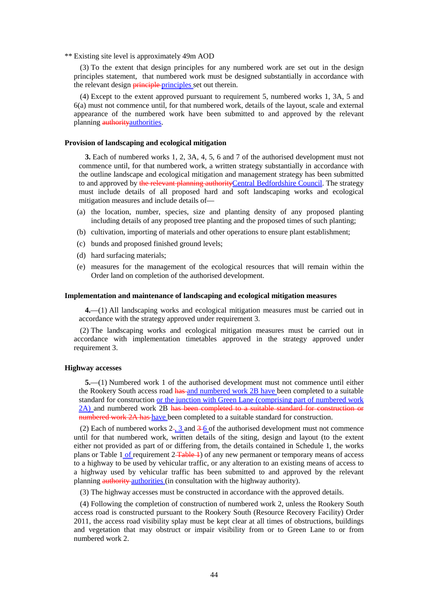\*\* Existing site level is approximately 49m AOD

(3) To the extent that design principles for any numbered work are set out in the design principles statement, that numbered work must be designed substantially in accordance with the relevant design **principle** principles set out therein.

(4) Except to the extent approved pursuant to requirement 5, numbered works 1, 3A, 5 and 6(a) must not commence until, for that numbered work, details of the layout, scale and external appearance of the numbered work have been submitted to and approved by the relevant planning authority authorities.

#### **Provision of landscaping and ecological mitigation**

**3.** Each of numbered works 1, 2, 3A, 4, 5, 6 and 7 of the authorised development must not commence until, for that numbered work, a written strategy substantially in accordance with the outline landscape and ecological mitigation and management strategy has been submitted to and approved by the relevant planning authorityCentral Bedfordshire Council. The strategy must include details of all proposed hard and soft landscaping works and ecological mitigation measures and include details of—

- (a) the location, number, species, size and planting density of any proposed planting including details of any proposed tree planting and the proposed times of such planting;
- (b) cultivation, importing of materials and other operations to ensure plant establishment;
- (c) bunds and proposed finished ground levels;
- (d) hard surfacing materials;
- (e) measures for the management of the ecological resources that will remain within the Order land on completion of the authorised development.

#### **Implementation and maintenance of landscaping and ecological mitigation measures**

**4.**—(1) All landscaping works and ecological mitigation measures must be carried out in accordance with the strategy approved under requirement 3.

(2) The landscaping works and ecological mitigation measures must be carried out in accordance with implementation timetables approved in the strategy approved under requirement 3.

### **Highway accesses**

**5.**—(1) Numbered work 1 of the authorised development must not commence until either the Rookery South access road has and numbered work 2B have been completed to a suitable standard for construction or the junction with Green Lane (comprising part of numbered work 2A) and numbered work 2B has been completed to a suitable standard for construction or numbered work 2A has have been completed to a suitable standard for construction.

(2) Each of numbered works  $2 - 3$  and  $3 - 6$  of the authorised development must not commence until for that numbered work, written details of the siting, design and layout (to the extent either not provided as part of or differing from, the details contained in Schedule 1, the works plans or Table 1 of requirement 2<del>Table 1</del>) of any new permanent or temporary means of access to a highway to be used by vehicular traffic, or any alteration to an existing means of access to a highway used by vehicular traffic has been submitted to and approved by the relevant planning **authority** authorities (in consultation with the highway authority).

(3) The highway accesses must be constructed in accordance with the approved details.

(4) Following the completion of construction of numbered work 2, unless the Rookery South access road is constructed pursuant to the Rookery South (Resource Recovery Facility) Order 2011, the access road visibility splay must be kept clear at all times of obstructions, buildings and vegetation that may obstruct or impair visibility from or to Green Lane to or from numbered work 2.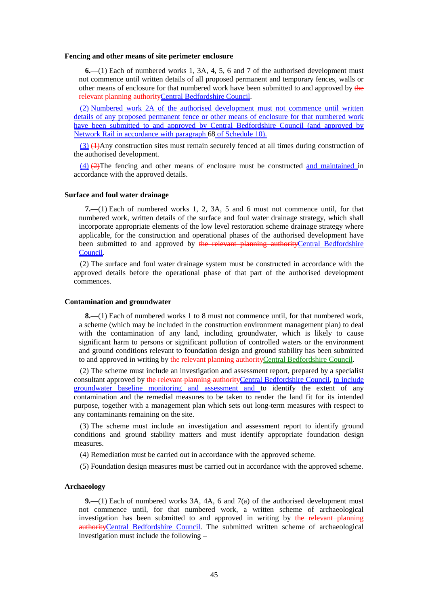#### **Fencing and other means of site perimeter enclosure**

**6.**—(1) Each of numbered works 1, 3A, 4, 5, 6 and 7 of the authorised development must not commence until written details of all proposed permanent and temporary fences, walls or other means of enclosure for that numbered work have been submitted to and approved by the relevant planning authorityCentral Bedfordshire Council.

(2) Numbered work 2A of the authorised development must not commence until written details of any proposed permanent fence or other means of enclosure for that numbered work have been submitted to and approved by Central Bedfordshire Council (and approved by Network Rail in accordance with paragraph 68 of Schedule 10).

(3) (1)Any construction sites must remain securely fenced at all times during construction of the authorised development.

(4) (2)The fencing and other means of enclosure must be constructed and maintained in accordance with the approved details.

### **Surface and foul water drainage**

**7.**—(1) Each of numbered works 1, 2, 3A, 5 and 6 must not commence until, for that numbered work, written details of the surface and foul water drainage strategy, which shall incorporate appropriate elements of the low level restoration scheme drainage strategy where applicable, for the construction and operational phases of the authorised development have been submitted to and approved by the relevant planning authorityCentral Bedfordshire Council.

(2) The surface and foul water drainage system must be constructed in accordance with the approved details before the operational phase of that part of the authorised development commences.

### **Contamination and groundwater**

**8.**—(1) Each of numbered works 1 to 8 must not commence until, for that numbered work, a scheme (which may be included in the construction environment management plan) to deal with the contamination of any land, including groundwater, which is likely to cause significant harm to persons or significant pollution of controlled waters or the environment and ground conditions relevant to foundation design and ground stability has been submitted to and approved in writing by the relevant planning authority Central Bedfordshire Council.

(2) The scheme must include an investigation and assessment report, prepared by a specialist consultant approved by the relevant planning authorityCentral Bedfordshire Council, to include groundwater baseline monitoring and assessment and to identify the extent of any contamination and the remedial measures to be taken to render the land fit for its intended purpose, together with a management plan which sets out long-term measures with respect to any contaminants remaining on the site.

(3) The scheme must include an investigation and assessment report to identify ground conditions and ground stability matters and must identify appropriate foundation design measures.

(4) Remediation must be carried out in accordance with the approved scheme.

(5) Foundation design measures must be carried out in accordance with the approved scheme.

### **Archaeology**

**9.**—(1) Each of numbered works 3A, 4A, 6 and 7(a) of the authorised development must not commence until, for that numbered work, a written scheme of archaeological investigation has been submitted to and approved in writing by the relevant planning authorityCentral Bedfordshire Council. The submitted written scheme of archaeological investigation must include the following –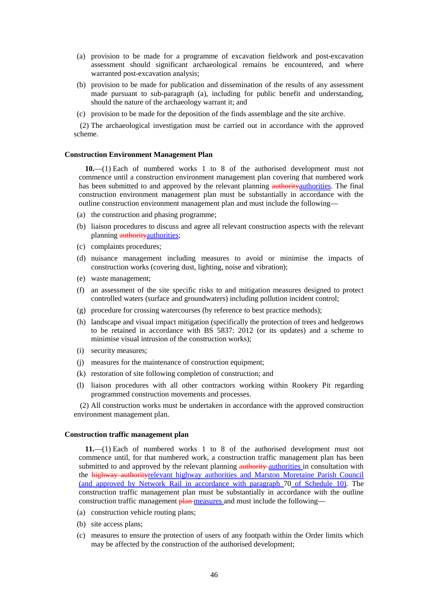- (a) provision to be made for a programme of excavation fieldwork and post-excavation assessment should significant archaeological remains be encountered, and where warranted post-excavation analysis;
- (b) provision to be made for publication and dissemination of the results of any assessment made pursuant to sub-paragraph (a), including for public benefit and understanding, should the nature of the archaeology warrant it; and
- (c) provision to be made for the deposition of the finds assemblage and the site archive.

(2) The archaeological investigation must be carried out in accordance with the approved scheme.

#### **Construction Environment Management Plan**

**10.**—(1) Each of numbered works 1 to 8 of the authorised development must not commence until a construction environment management plan covering that numbered work has been submitted to and approved by the relevant planning authority authorities. The final construction environment management plan must be substantially in accordance with the outline construction environment management plan and must include the following—

- (a) the construction and phasing programme;
- (b) liaison procedures to discuss and agree all relevant construction aspects with the relevant planning authority authorities;
- (c) complaints procedures;
- (d) nuisance management including measures to avoid or minimise the impacts of construction works (covering dust, lighting, noise and vibration);
- (e) waste management;
- (f) an assessment of the site specific risks to and mitigation measures designed to protect controlled waters (surface and groundwaters) including pollution incident control;
- (g) procedure for crossing watercourses (by reference to best practice methods);
- (h) landscape and visual impact mitigation (specifically the protection of trees and hedgerows to be retained in accordance with BS 5837: 2012 (or its updates) and a scheme to minimise visual intrusion of the construction works);
- (i) security measures;
- (j) measures for the maintenance of construction equipment;
- (k) restoration of site following completion of construction; and
- (l) liaison procedures with all other contractors working within Rookery Pit regarding programmed construction movements and processes.

(2) All construction works must be undertaken in accordance with the approved construction environment management plan.

#### **Construction traffic management plan**

**11.**—(1) Each of numbered works 1 to 8 of the authorised development must not commence until, for that numbered work, a construction traffic management plan has been submitted to and approved by the relevant planning authority-authorities in consultation with the highway authorityrelevant highway authorities and Marston Moretaine Parish Council (and approved by Network Rail in accordance with paragraph 70 of Schedule 10). The construction traffic management plan must be substantially in accordance with the outline construction traffic management plan measures and must include the following—

- (a) construction vehicle routing plans;
- (b) site access plans;
- (c) measures to ensure the protection of users of any footpath within the Order limits which may be affected by the construction of the authorised development;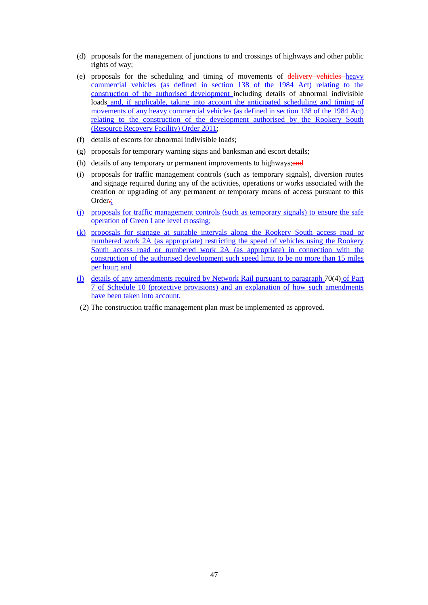- (d) proposals for the management of junctions to and crossings of highways and other public rights of way;
- (e) proposals for the scheduling and timing of movements of delivery vehicles heavy commercial vehicles (as defined in section 138 of the 1984 Act) relating to the construction of the authorised development including details of abnormal indivisible loads and, if applicable, taking into account the anticipated scheduling and timing of movements of any heavy commercial vehicles (as defined in section 138 of the 1984 Act) relating to the construction of the development authorised by the Rookery South (Resource Recovery Facility) Order 2011;
- (f) details of escorts for abnormal indivisible loads;
- (g) proposals for temporary warning signs and banksman and escort details;
- (h) details of any temporary or permanent improvements to highways; and
- (i) proposals for traffic management controls (such as temporary signals), diversion routes and signage required during any of the activities, operations or works associated with the creation or upgrading of any permanent or temporary means of access pursuant to this Order-:
- (j) proposals for traffic management controls (such as temporary signals) to ensure the safe operation of Green Lane level crossing;
- (k) proposals for signage at suitable intervals along the Rookery South access road or numbered work 2A (as appropriate) restricting the speed of vehicles using the Rookery South access road or numbered work 2A (as appropriate) in connection with the construction of the authorised development such speed limit to be no more than 15 miles per hour; and
- (l) details of any amendments required by Network Rail pursuant to paragraph 70(4) of Part 7 of Schedule 10 (protective provisions) and an explanation of how such amendments have been taken into account.
- (2) The construction traffic management plan must be implemented as approved.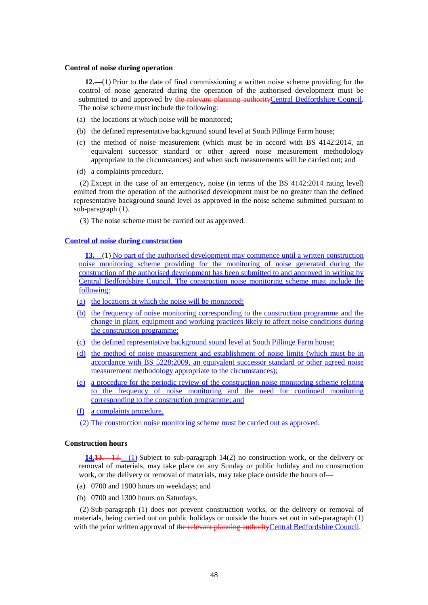### **Control of noise during operation**

**12.**—(1) Prior to the date of final commissioning a written noise scheme providing for the control of noise generated during the operation of the authorised development must be submitted to and approved by the relevant planning authorityCentral Bedfordshire Council. The noise scheme must include the following:

- (a) the locations at which noise will be monitored;
- (b) the defined representative background sound level at South Pillinge Farm house;
- (c) the method of noise measurement (which must be in accord with BS 4142:2014, an equivalent successor standard or other agreed noise measurement methodology appropriate to the circumstances) and when such measurements will be carried out; and
- (d) a complaints procedure.

(2) Except in the case of an emergency, noise (in terms of the BS 4142:2014 rating level) emitted from the operation of the authorised development must be no greater than the defined representative background sound level as approved in the noise scheme submitted pursuant to sub-paragraph (1).

(3) The noise scheme must be carried out as approved.

### **Control of noise during construction**

**13.**—(1) No part of the authorised development may commence until a written construction noise monitoring scheme providing for the monitoring of noise generated during the construction of the authorised development has been submitted to and approved in writing by Central Bedfordshire Council. The construction noise monitoring scheme must include the following:

- (a) the locations at which the noise will be monitored;
- (b) the frequency of noise monitoring corresponding to the construction programme and the change in plant, equipment and working practices likely to affect noise conditions during the construction programme;
- (c) the defined representative background sound level at South Pillinge Farm house;
- (d) the method of noise measurement and establishment of noise limits (which must be in accordance with BS 5228:2009, an equivalent successor standard or other agreed noise measurement methodology appropriate to the circumstances);
- (e) a procedure for the periodic review of the construction noise monitoring scheme relating to the frequency of noise monitoring and the need for continued monitoring corresponding to the construction programme; and
- (f) a complaints procedure.
- (2) The construction noise monitoring scheme must be carried out as approved.

### **Construction hours**

**14.13.**—13.—(1) Subject to sub-paragraph 14(2) no construction work, or the delivery or removal of materials, may take place on any Sunday or public holiday and no construction work, or the delivery or removal of materials, may take place outside the hours of—

- (a) 0700 and 1900 hours on weekdays; and
- (b) 0700 and 1300 hours on Saturdays.

(2) Sub-paragraph (1) does not prevent construction works, or the delivery or removal of materials, being carried out on public holidays or outside the hours set out in sub-paragraph (1) with the prior written approval of the relevant planning authority Central Bedfordshire Council.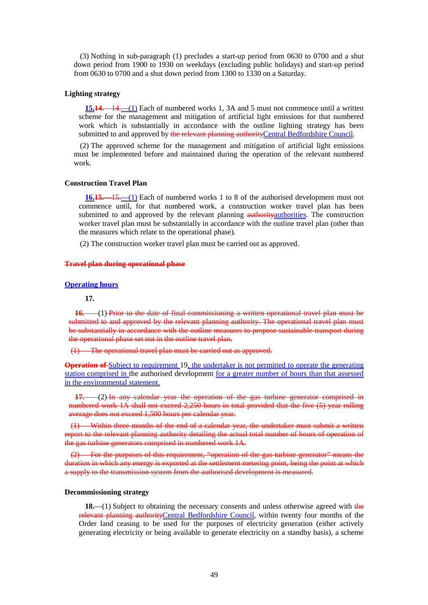(3) Nothing in sub-paragraph (1) precludes a start-up period from 0630 to 0700 and a shut down period from 1900 to 1930 on weekdays (excluding public holidays) and start-up period from 0630 to 0700 and a shut down period from 1300 to 1330 on a Saturday.

#### **Lighting strategy**

**15.14.**—14.—(1) Each of numbered works 1, 3A and 5 must not commence until a written scheme for the management and mitigation of artificial light emissions for that numbered work which is substantially in accordance with the outline lighting strategy has been submitted to and approved by the relevant planning authorityCentral Bedfordshire Council.

(2) The approved scheme for the management and mitigation of artificial light emissions must be implemented before and maintained during the operation of the relevant numbered work.

#### **Construction Travel Plan**

**16.15.**—15.—(1) Each of numbered works 1 to 8 of the authorised development must not commence until, for that numbered work, a construction worker travel plan has been submitted to and approved by the relevant planning authority authorities. The construction worker travel plan must be substantially in accordance with the outline travel plan (other than the measures which relate to the operational phase).

(2) The construction worker travel plan must be carried out as approved.

### **Travel plan during operational phase**

### **Operating hours**

#### **17.**

**16.** —(1) Prior to the date of final commissioning a written operational travel plan must be submitted to and approved by the relevant planning authority. The operational travel plan must be substantially in accordance with the outline measures to propose sustainable transport during the operational phase set out in the outline travel plan.

(1) The operational travel plan must be carried out as approved.

**Operation of** Subject to requirement 19, the undertaker is not permitted to operate the generating station comprised in the authorised development for a greater number of hours than that assessed in the environmental statement.

**17.** —(2) In any calendar year the operation of the gas turbine generator comprised in numbered work 1A shall not exceed 2,250 hours in total provided that the five (5) year rolling average does not exceed 1,500 hours per calendar year.

(1) Within three months of the end of a calendar year, the undertaker must submit a written report to the relevant planning authority detailing the actual total number of hours of operation of the gas turbine generators comprised in numbered work 1A.

(2) For the purposes of this requirement, "operation of the gas turbine generator" means the duration in which any energy is exported at the settlement metering point, being the point at which a supply to the transmission system from the authorised development is measured.

### **Decommissioning strategy**

**18.**—(1) Subject to obtaining the necessary consents and unless otherwise agreed with the relevant planning authorityCentral Bedfordshire Council, within twenty four months of the Order land ceasing to be used for the purposes of electricity generation (either actively generating electricity or being available to generate electricity on a standby basis), a scheme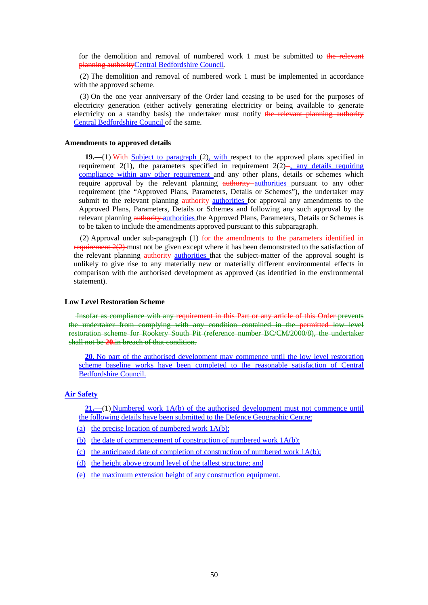for the demolition and removal of numbered work 1 must be submitted to the relevant planning authorityCentral Bedfordshire Council.

(2) The demolition and removal of numbered work 1 must be implemented in accordance with the approved scheme.

(3) On the one year anniversary of the Order land ceasing to be used for the purposes of electricity generation (either actively generating electricity or being available to generate electricity on a standby basis) the undertaker must notify the relevant planning authority Central Bedfordshire Council of the same.

#### **Amendments to approved details**

**19.**—(1) With Subject to paragraph (2), with respect to the approved plans specified in requirement 2(1), the parameters specified in requirement  $2(2)$ , any details requiring compliance within any other requirement and any other plans, details or schemes which require approval by the relevant planning authority authorities pursuant to any other requirement (the "Approved Plans, Parameters, Details or Schemes"), the undertaker may submit to the relevant planning authority authorities for approval any amendments to the Approved Plans, Parameters, Details or Schemes and following any such approval by the relevant planning authority authorities the Approved Plans, Parameters, Details or Schemes is to be taken to include the amendments approved pursuant to this subparagraph.

(2) Approval under sub-paragraph  $(1)$  for the amendments to the parameters identified in requirement  $2(2)$  must not be given except where it has been demonstrated to the satisfaction of the relevant planning authority authorities that the subject-matter of the approval sought is unlikely to give rise to any materially new or materially different environmental effects in comparison with the authorised development as approved (as identified in the environmental statement).

### **Low Level Restoration Scheme**

 Insofar as compliance with any requirement in this Part or any article of this Order prevents the undertaker from complying with any condition contained in the permitted low level restoration scheme for Rookery South Pit (reference number BC/CM/2000/8), the undertaker shall not be **20.**in breach of that condition.

**20.** No part of the authorised development may commence until the low level restoration scheme baseline works have been completed to the reasonable satisfaction of Central Bedfordshire Council.

### **Air Safety**

**21.**—(1) Numbered work 1A(b) of the authorised development must not commence until the following details have been submitted to the Defence Geographic Centre:

- (a) the precise location of numbered work  $1A(b)$ ;
- (b) the date of commencement of construction of numbered work 1A(b);
- (c) the anticipated date of completion of construction of numbered work  $1A(b)$ ;
- (d) the height above ground level of the tallest structure; and
- (e) the maximum extension height of any construction equipment.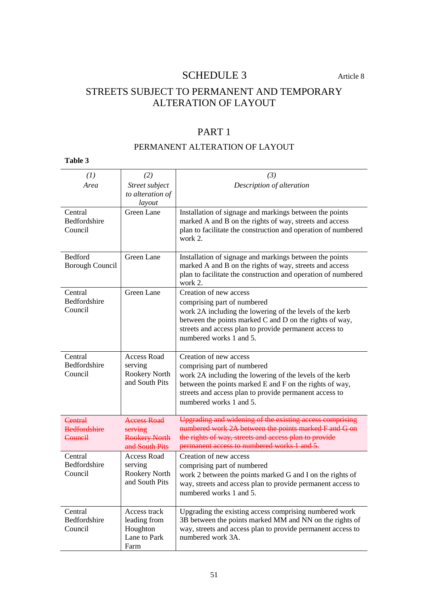## SCHEDULE 3 Article 8

# STREETS SUBJECT TO PERMANENT AND TEMPORARY ALTERATION OF LAYOUT

# PART 1

## PERMANENT ALTERATION OF LAYOUT

| (1)                                              | (2)                                                                     | (3)                                                                                                                                                                                                                                                               |
|--------------------------------------------------|-------------------------------------------------------------------------|-------------------------------------------------------------------------------------------------------------------------------------------------------------------------------------------------------------------------------------------------------------------|
| Area                                             | Street subject<br>to alteration of<br>layout                            | Description of alteration                                                                                                                                                                                                                                         |
| Central<br>Bedfordshire<br>Council               | Green Lane                                                              | Installation of signage and markings between the points<br>marked A and B on the rights of way, streets and access<br>plan to facilitate the construction and operation of numbered<br>work 2.                                                                    |
| Bedford<br><b>Borough Council</b>                | Green Lane                                                              | Installation of signage and markings between the points<br>marked A and B on the rights of way, streets and access<br>plan to facilitate the construction and operation of numbered<br>work 2.                                                                    |
| Central<br>Bedfordshire<br>Council               | Green Lane                                                              | Creation of new access<br>comprising part of numbered<br>work 2A including the lowering of the levels of the kerb<br>between the points marked C and D on the rights of way,<br>streets and access plan to provide permanent access to<br>numbered works 1 and 5. |
| Central<br>Bedfordshire<br>Council               | <b>Access Road</b><br>serving<br>Rookery North<br>and South Pits        | Creation of new access<br>comprising part of numbered<br>work 2A including the lowering of the levels of the kerb<br>between the points marked E and F on the rights of way,<br>streets and access plan to provide permanent access to<br>numbered works 1 and 5. |
| <b>Central</b><br><b>Bedfordshire</b><br>Council | <b>Access Road</b><br>serving<br><b>Rookery North</b><br>and South Pits | Upgrading and widening of the existing access comprising<br>numbered work 2A between the points marked F and G on<br>the rights of way, streets and access plan to provide<br>permanent access to numbered works 1 and 5.                                         |
| Central<br><b>Bedfordshire</b><br>Council        | <b>Access Road</b><br>serving<br>Rookery North<br>and South Pits        | Creation of new access<br>comprising part of numbered<br>work 2 between the points marked G and I on the rights of<br>way, streets and access plan to provide permanent access to<br>numbered works 1 and 5.                                                      |
| Central<br>Bedfordshire<br>Council               | Access track<br>leading from<br>Houghton<br>Lane to Park<br>Farm        | Upgrading the existing access comprising numbered work<br>3B between the points marked MM and NN on the rights of<br>way, streets and access plan to provide permanent access to<br>numbered work 3A.                                                             |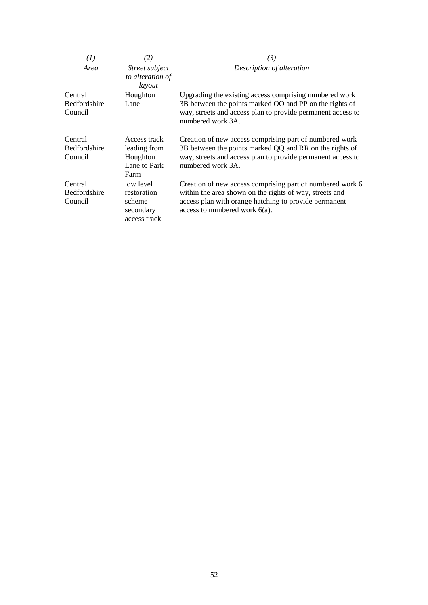| (I)                 | $\mathbf{2)}$    | (3)                                                                              |
|---------------------|------------------|----------------------------------------------------------------------------------|
| Area                | Street subject   | Description of alteration                                                        |
|                     | to alteration of |                                                                                  |
|                     | layout           |                                                                                  |
| Central             | Houghton         | Upgrading the existing access comprising numbered work                           |
| <b>Bedfordshire</b> | Lane             | 3B between the points marked OO and PP on the rights of                          |
| Council             |                  | way, streets and access plan to provide permanent access to<br>numbered work 3A. |
|                     |                  |                                                                                  |
| Central             | Access track     | Creation of new access comprising part of numbered work                          |
| <b>Bedfordshire</b> | leading from     | 3B between the points marked QQ and RR on the rights of                          |
| Council             | Houghton         | way, streets and access plan to provide permanent access to                      |
|                     | Lane to Park     | numbered work 3A.                                                                |
|                     | Farm             |                                                                                  |
| Central             | low level        | Creation of new access comprising part of numbered work 6                        |
| <b>Bedfordshire</b> | restoration      | within the area shown on the rights of way, streets and                          |
| Council             | scheme           | access plan with orange hatching to provide permanent                            |
|                     | secondary        | access to numbered work $6(a)$ .                                                 |
|                     | access track     |                                                                                  |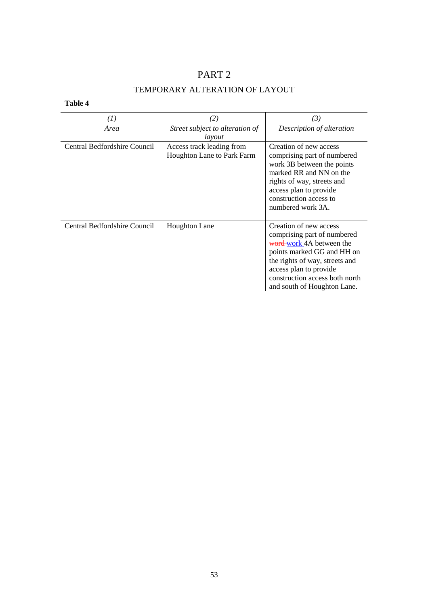# PART 2 TEMPORARY ALTERATION OF LAYOUT

| $\left(1\right)$             | (2)                                                     | (3)                                                                                                                                                                                                                                          |
|------------------------------|---------------------------------------------------------|----------------------------------------------------------------------------------------------------------------------------------------------------------------------------------------------------------------------------------------------|
| Area                         | Street subject to alteration of<br>layout               | Description of alteration                                                                                                                                                                                                                    |
| Central Bedfordshire Council | Access track leading from<br>Houghton Lane to Park Farm | Creation of new access<br>comprising part of numbered<br>work 3B between the points<br>marked RR and NN on the<br>rights of way, streets and<br>access plan to provide<br>construction access to<br>numbered work 3A.                        |
| Central Bedfordshire Council | <b>Houghton Lane</b>                                    | Creation of new access<br>comprising part of numbered<br>word-work 4A between the<br>points marked GG and HH on<br>the rights of way, streets and<br>access plan to provide<br>construction access both north<br>and south of Houghton Lane. |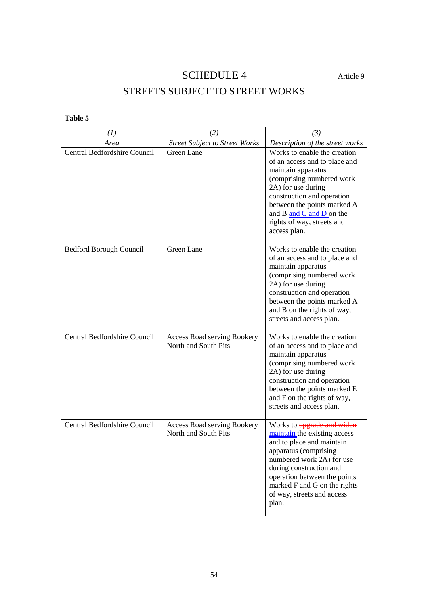# SCHEDULE 4 Article 9

# STREETS SUBJECT TO STREET WORKS

| (1)                                 | (2)                                                        | (3)                                                                                                                                                                                                                                                                             |
|-------------------------------------|------------------------------------------------------------|---------------------------------------------------------------------------------------------------------------------------------------------------------------------------------------------------------------------------------------------------------------------------------|
| Area                                | <b>Street Subject to Street Works</b>                      | Description of the street works                                                                                                                                                                                                                                                 |
| <b>Central Bedfordshire Council</b> | Green Lane                                                 | Works to enable the creation<br>of an access and to place and<br>maintain apparatus<br>(comprising numbered work<br>2A) for use during<br>construction and operation<br>between the points marked A<br>and B and C and D on the<br>rights of way, streets and<br>access plan.   |
| Bedford Borough Council             | Green Lane                                                 | Works to enable the creation<br>of an access and to place and<br>maintain apparatus<br>(comprising numbered work<br>2A) for use during<br>construction and operation<br>between the points marked A<br>and B on the rights of way,<br>streets and access plan.                  |
| Central Bedfordshire Council        | <b>Access Road serving Rookery</b><br>North and South Pits | Works to enable the creation<br>of an access and to place and<br>maintain apparatus<br>(comprising numbered work<br>2A) for use during<br>construction and operation<br>between the points marked E<br>and F on the rights of way,<br>streets and access plan.                  |
| Central Bedfordshire Council        | <b>Access Road serving Rookery</b><br>North and South Pits | Works to upgrade and widen<br>maintain the existing access<br>and to place and maintain<br>apparatus (comprising<br>numbered work 2A) for use<br>during construction and<br>operation between the points<br>marked F and G on the rights<br>of way, streets and access<br>plan. |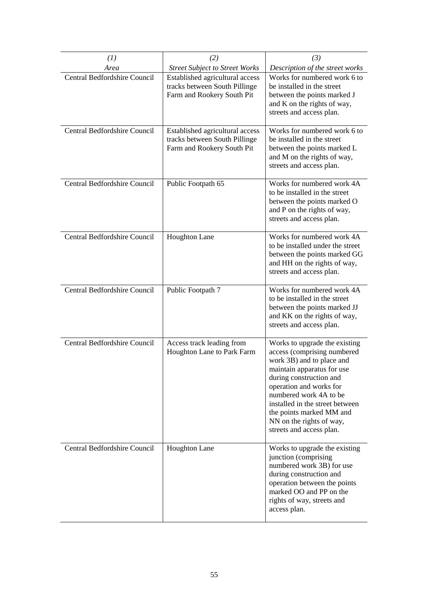| (1)                                 | (2)                                                                                            | (3)                                                                                                                                                                                                                                                                                                                            |
|-------------------------------------|------------------------------------------------------------------------------------------------|--------------------------------------------------------------------------------------------------------------------------------------------------------------------------------------------------------------------------------------------------------------------------------------------------------------------------------|
| Area                                | <b>Street Subject to Street Works</b>                                                          | Description of the street works                                                                                                                                                                                                                                                                                                |
| Central Bedfordshire Council        | Established agricultural access<br>tracks between South Pillinge<br>Farm and Rookery South Pit | Works for numbered work 6 to<br>be installed in the street<br>between the points marked J<br>and K on the rights of way,<br>streets and access plan.                                                                                                                                                                           |
| <b>Central Bedfordshire Council</b> | Established agricultural access<br>tracks between South Pillinge<br>Farm and Rookery South Pit | Works for numbered work 6 to<br>be installed in the street<br>between the points marked L<br>and M on the rights of way,<br>streets and access plan.                                                                                                                                                                           |
| <b>Central Bedfordshire Council</b> | Public Footpath 65                                                                             | Works for numbered work 4A<br>to be installed in the street<br>between the points marked O<br>and P on the rights of way,<br>streets and access plan.                                                                                                                                                                          |
| Central Bedfordshire Council        | Houghton Lane                                                                                  | Works for numbered work 4A<br>to be installed under the street<br>between the points marked GG<br>and HH on the rights of way,<br>streets and access plan.                                                                                                                                                                     |
| <b>Central Bedfordshire Council</b> | Public Footpath 7                                                                              | Works for numbered work 4A<br>to be installed in the street<br>between the points marked JJ<br>and KK on the rights of way,<br>streets and access plan.                                                                                                                                                                        |
| <b>Central Bedfordshire Council</b> | Access track leading from<br>Houghton Lane to Park Farm                                        | Works to upgrade the existing<br>access (comprising numbered<br>work 3B) and to place and<br>maintain apparatus for use<br>during construction and<br>operation and works for<br>numbered work 4A to be<br>installed in the street between<br>the points marked MM and<br>NN on the rights of way,<br>streets and access plan. |
| Central Bedfordshire Council        | <b>Houghton Lane</b>                                                                           | Works to upgrade the existing<br>junction (comprising<br>numbered work 3B) for use<br>during construction and<br>operation between the points<br>marked OO and PP on the<br>rights of way, streets and<br>access plan.                                                                                                         |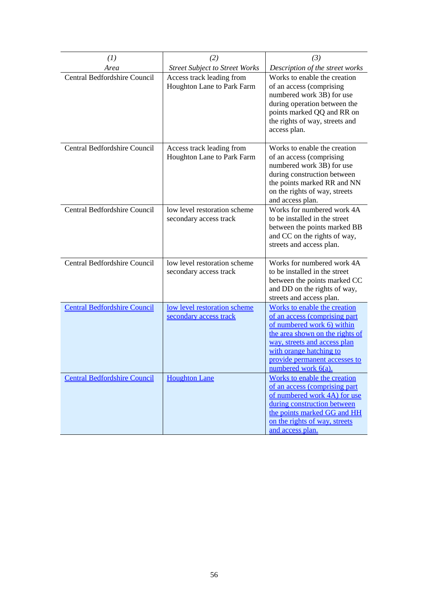| (1)                                 | (2)                                                     | (3)                                                                                                                                                                                                                                                  |
|-------------------------------------|---------------------------------------------------------|------------------------------------------------------------------------------------------------------------------------------------------------------------------------------------------------------------------------------------------------------|
| Area                                | <b>Street Subject to Street Works</b>                   | Description of the street works                                                                                                                                                                                                                      |
| Central Bedfordshire Council        | Access track leading from<br>Houghton Lane to Park Farm | Works to enable the creation<br>of an access (comprising<br>numbered work 3B) for use<br>during operation between the<br>points marked QQ and RR on<br>the rights of way, streets and<br>access plan.                                                |
| <b>Central Bedfordshire Council</b> | Access track leading from<br>Houghton Lane to Park Farm | Works to enable the creation<br>of an access (comprising<br>numbered work 3B) for use<br>during construction between<br>the points marked RR and NN<br>on the rights of way, streets<br>and access plan.                                             |
| Central Bedfordshire Council        | low level restoration scheme<br>secondary access track  | Works for numbered work 4A<br>to be installed in the street<br>between the points marked BB<br>and CC on the rights of way,<br>streets and access plan.                                                                                              |
| <b>Central Bedfordshire Council</b> | low level restoration scheme<br>secondary access track  | Works for numbered work 4A<br>to be installed in the street<br>between the points marked CC<br>and DD on the rights of way,<br>streets and access plan.                                                                                              |
| <b>Central Bedfordshire Council</b> | low level restoration scheme<br>secondary access track  | Works to enable the creation<br>of an access (comprising part<br>of numbered work 6) within<br>the area shown on the rights of<br>way, streets and access plan<br>with orange hatching to<br>provide permanent accesses to<br>numbered work $6(a)$ . |
| <b>Central Bedfordshire Council</b> | <b>Houghton Lane</b>                                    | Works to enable the creation<br>of an access (comprising part<br>of numbered work 4A) for use<br>during construction between<br>the points marked GG and HH<br>on the rights of way, streets<br>and access plan.                                     |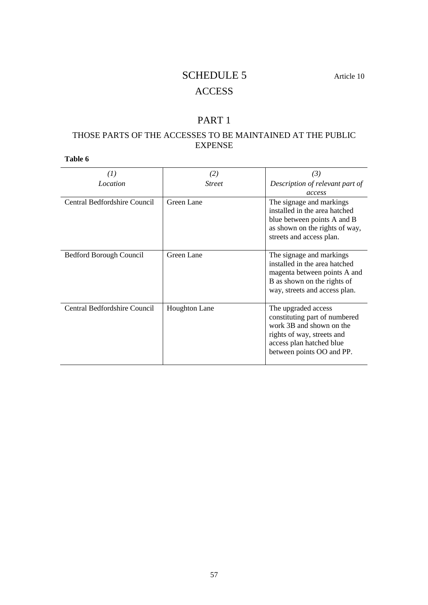## SCHEDULE 5 Article 10

# **ACCESS**

## PART 1

## THOSE PARTS OF THE ACCESSES TO BE MAINTAINED AT THE PUBLIC EXPENSE

| (1)                          | (2)                  | (3)                                                                                                                                                                     |
|------------------------------|----------------------|-------------------------------------------------------------------------------------------------------------------------------------------------------------------------|
| <i>Location</i>              | <b>Street</b>        | Description of relevant part of<br>access                                                                                                                               |
| Central Bedfordshire Council | Green Lane           | The signage and markings<br>installed in the area hatched<br>blue between points A and B<br>as shown on the rights of way,<br>streets and access plan.                  |
| Bedford Borough Council      | Green Lane           | The signage and markings<br>installed in the area hatched<br>magenta between points A and<br>B as shown on the rights of<br>way, streets and access plan.               |
| Central Bedfordshire Council | <b>Houghton Lane</b> | The upgraded access<br>constituting part of numbered<br>work 3B and shown on the<br>rights of way, streets and<br>access plan hatched blue<br>between points OO and PP. |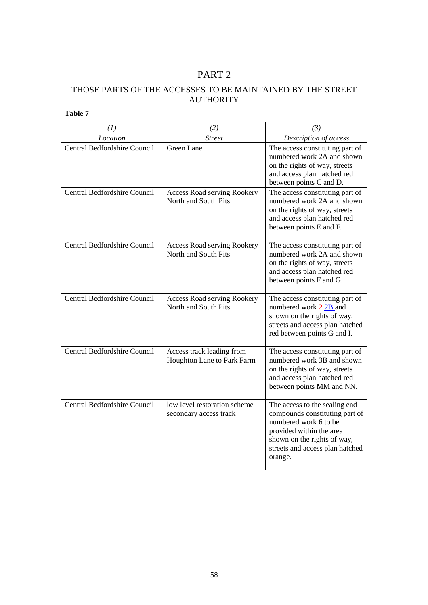# PART 2

## THOSE PARTS OF THE ACCESSES TO BE MAINTAINED BY THE STREET AUTHORITY

| (1)                                 | (2)                                                        | (3)                                                                                                                                                                                               |
|-------------------------------------|------------------------------------------------------------|---------------------------------------------------------------------------------------------------------------------------------------------------------------------------------------------------|
| Location                            | <b>Street</b>                                              | Description of access                                                                                                                                                                             |
| <b>Central Bedfordshire Council</b> | Green Lane                                                 | The access constituting part of<br>numbered work 2A and shown<br>on the rights of way, streets<br>and access plan hatched red<br>between points C and D.                                          |
| <b>Central Bedfordshire Council</b> | <b>Access Road serving Rookery</b><br>North and South Pits | The access constituting part of<br>numbered work 2A and shown<br>on the rights of way, streets<br>and access plan hatched red<br>between points E and F.                                          |
| <b>Central Bedfordshire Council</b> | <b>Access Road serving Rookery</b><br>North and South Pits | The access constituting part of<br>numbered work 2A and shown<br>on the rights of way, streets<br>and access plan hatched red<br>between points F and G.                                          |
| Central Bedfordshire Council        | <b>Access Road serving Rookery</b><br>North and South Pits | The access constituting part of<br>numbered work $\frac{2-2B}{2}$ and<br>shown on the rights of way,<br>streets and access plan hatched<br>red between points G and I.                            |
| <b>Central Bedfordshire Council</b> | Access track leading from<br>Houghton Lane to Park Farm    | The access constituting part of<br>numbered work 3B and shown<br>on the rights of way, streets<br>and access plan hatched red<br>between points MM and NN.                                        |
| <b>Central Bedfordshire Council</b> | low level restoration scheme<br>secondary access track     | The access to the sealing end<br>compounds constituting part of<br>numbered work 6 to be<br>provided within the area<br>shown on the rights of way,<br>streets and access plan hatched<br>orange. |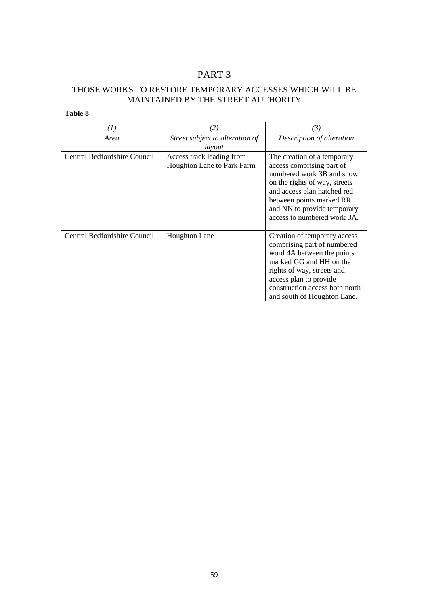# PART 3

### THOSE WORKS TO RESTORE TEMPORARY ACCESSES WHICH WILL BE MAINTAINED BY THE STREET AUTHORITY

| $\left(1\right)$             | (2)                                                     | (3)                                                                                                                                                                                                                                              |
|------------------------------|---------------------------------------------------------|--------------------------------------------------------------------------------------------------------------------------------------------------------------------------------------------------------------------------------------------------|
| Area                         | Street subject to alteration of                         | Description of alteration                                                                                                                                                                                                                        |
|                              | layout                                                  |                                                                                                                                                                                                                                                  |
| Central Bedfordshire Council | Access track leading from<br>Houghton Lane to Park Farm | The creation of a temporary<br>access comprising part of<br>numbered work 3B and shown<br>on the rights of way, streets<br>and access plan hatched red<br>between points marked RR<br>and NN to provide temporary<br>access to numbered work 3A. |
| Central Bedfordshire Council | <b>Houghton Lane</b>                                    | Creation of temporary access<br>comprising part of numbered<br>word 4A between the points<br>marked GG and HH on the<br>rights of way, streets and<br>access plan to provide<br>construction access both north<br>and south of Houghton Lane.    |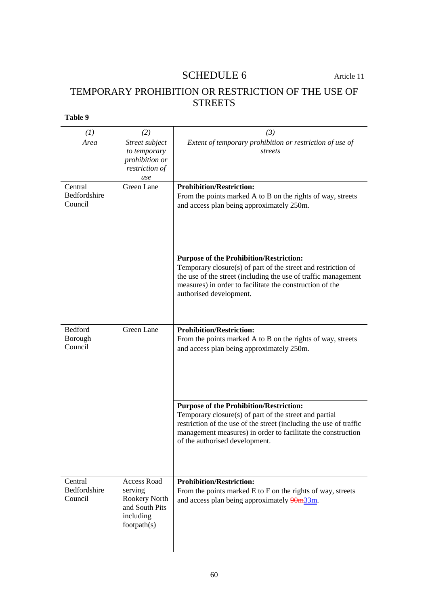# SCHEDULE 6 Article 11

# TEMPORARY PROHIBITION OR RESTRICTION OF THE USE OF **STREETS**

| (1)                | (2)                            | (3)                                                                                                             |
|--------------------|--------------------------------|-----------------------------------------------------------------------------------------------------------------|
| Area               | Street subject                 | Extent of temporary prohibition or restriction of use of                                                        |
|                    | to temporary<br>prohibition or | streets                                                                                                         |
|                    | restriction of                 |                                                                                                                 |
|                    | use                            |                                                                                                                 |
| Central            | Green Lane                     | <b>Prohibition/Restriction:</b>                                                                                 |
| Bedfordshire       |                                | From the points marked A to B on the rights of way, streets                                                     |
| Council            |                                | and access plan being approximately 250m.                                                                       |
|                    |                                |                                                                                                                 |
|                    |                                |                                                                                                                 |
|                    |                                |                                                                                                                 |
|                    |                                |                                                                                                                 |
|                    |                                |                                                                                                                 |
|                    |                                | <b>Purpose of the Prohibition/Restriction:</b><br>Temporary closure(s) of part of the street and restriction of |
|                    |                                | the use of the street (including the use of traffic management                                                  |
|                    |                                | measures) in order to facilitate the construction of the                                                        |
|                    |                                | authorised development.                                                                                         |
|                    |                                |                                                                                                                 |
|                    |                                |                                                                                                                 |
|                    |                                |                                                                                                                 |
| Bedford            | <b>Green Lane</b>              | <b>Prohibition/Restriction:</b>                                                                                 |
| Borough<br>Council |                                | From the points marked A to B on the rights of way, streets                                                     |
|                    |                                | and access plan being approximately 250m.                                                                       |
|                    |                                |                                                                                                                 |
|                    |                                |                                                                                                                 |
|                    |                                |                                                                                                                 |
|                    |                                |                                                                                                                 |
|                    |                                | <b>Purpose of the Prohibition/Restriction:</b>                                                                  |
|                    |                                | Temporary closure(s) of part of the street and partial                                                          |
|                    |                                | restriction of the use of the street (including the use of traffic                                              |
|                    |                                | management measures) in order to facilitate the construction                                                    |
|                    |                                | of the authorised development.                                                                                  |
|                    |                                |                                                                                                                 |
|                    |                                |                                                                                                                 |
|                    |                                |                                                                                                                 |
| Central            | <b>Access Road</b>             | <b>Prohibition/Restriction:</b>                                                                                 |
| Bedfordshire       | serving                        | From the points marked E to F on the rights of way, streets                                                     |
| Council            | Rookery North                  | and access plan being approximately 90m33m.                                                                     |
|                    | and South Pits<br>including    |                                                                                                                 |
|                    | footpath(s)                    |                                                                                                                 |
|                    |                                |                                                                                                                 |
|                    |                                |                                                                                                                 |
|                    |                                |                                                                                                                 |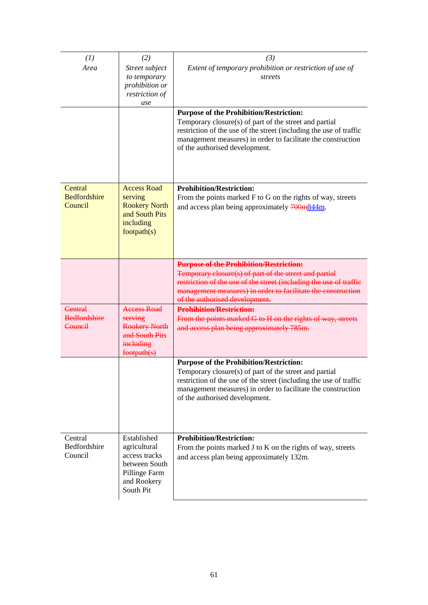| (I)<br>Area                                      | (2)<br>Street subject<br>to temporary<br>prohibition or<br>restriction of<br>use                           | (3)<br>Extent of temporary prohibition or restriction of use of<br>streets<br><b>Purpose of the Prohibition/Restriction:</b>                                                                                                                                                     |
|--------------------------------------------------|------------------------------------------------------------------------------------------------------------|----------------------------------------------------------------------------------------------------------------------------------------------------------------------------------------------------------------------------------------------------------------------------------|
|                                                  |                                                                                                            | Temporary closure(s) of part of the street and partial<br>restriction of the use of the street (including the use of traffic<br>management measures) in order to facilitate the construction<br>of the authorised development.                                                   |
| Central<br><b>Bedfordshire</b><br>Council        | <b>Access Road</b><br>serving<br><b>Rookery North</b><br>and South Pits<br>including<br>footpath(s)        | <b>Prohibition/Restriction:</b><br>From the points marked F to G on the rights of way, streets<br>and access plan being approximately 700m844m.                                                                                                                                  |
|                                                  |                                                                                                            | <b>Purpose of the Prohibition/Restriction:</b><br>Temporary closure(s) of part of the street and partial<br>restriction of the use of the street (including the use of traffic<br>management measures) in order to facilitate the construction<br>of the authorised development. |
| <b>Central</b><br><b>Bedfordshire</b><br>Council | <b>Access Road</b><br>serving<br><b>Rookery North</b><br>and South Pits<br>ineluding<br>footpath(s)        | <b>Prohibition/Restriction:</b><br>From the points marked G to H on the rights of way, streets<br>and access plan being approximately 785m.                                                                                                                                      |
|                                                  |                                                                                                            | <b>Purpose of the Prohibition/Restriction:</b><br>Temporary closure(s) of part of the street and partial<br>restriction of the use of the street (including the use of traffic<br>management measures) in order to facilitate the construction<br>of the authorised development. |
| Central<br>Bedfordshire<br>Council               | Established<br>agricultural<br>access tracks<br>between South<br>Pillinge Farm<br>and Rookery<br>South Pit | <b>Prohibition/Restriction:</b><br>From the points marked J to K on the rights of way, streets<br>and access plan being approximately 132m.                                                                                                                                      |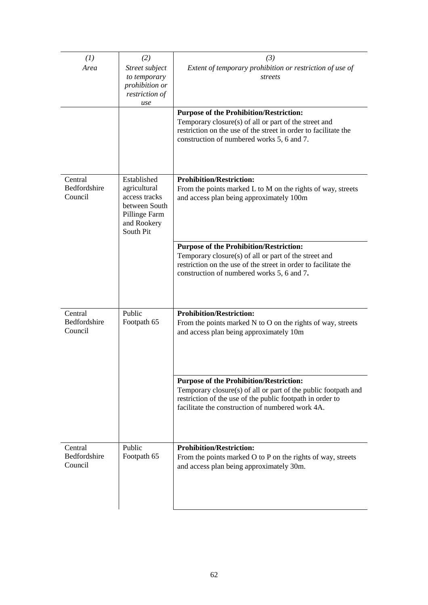| (I)                                | (2)                                                                                         | (3)                                                                                                                                                                                                                               |
|------------------------------------|---------------------------------------------------------------------------------------------|-----------------------------------------------------------------------------------------------------------------------------------------------------------------------------------------------------------------------------------|
| Area                               | Street subject                                                                              | Extent of temporary prohibition or restriction of use of                                                                                                                                                                          |
|                                    | to temporary                                                                                | streets                                                                                                                                                                                                                           |
|                                    | prohibition or<br>restriction of                                                            |                                                                                                                                                                                                                                   |
|                                    | use                                                                                         |                                                                                                                                                                                                                                   |
|                                    |                                                                                             | <b>Purpose of the Prohibition/Restriction:</b>                                                                                                                                                                                    |
|                                    |                                                                                             | Temporary closure(s) of all or part of the street and<br>restriction on the use of the street in order to facilitate the<br>construction of numbered works 5, 6 and 7.                                                            |
|                                    |                                                                                             |                                                                                                                                                                                                                                   |
| Central                            | Established                                                                                 | <b>Prohibition/Restriction:</b>                                                                                                                                                                                                   |
| Bedfordshire<br>Council            | agricultural<br>access tracks<br>between South<br>Pillinge Farm<br>and Rookery<br>South Pit | From the points marked L to M on the rights of way, streets<br>and access plan being approximately 100m                                                                                                                           |
|                                    |                                                                                             | <b>Purpose of the Prohibition/Restriction:</b>                                                                                                                                                                                    |
|                                    |                                                                                             | Temporary closure(s) of all or part of the street and<br>restriction on the use of the street in order to facilitate the<br>construction of numbered works 5, 6 and 7.                                                            |
|                                    |                                                                                             |                                                                                                                                                                                                                                   |
| Central<br>Bedfordshire<br>Council | Public<br>Footpath 65                                                                       | <b>Prohibition/Restriction:</b><br>From the points marked N to O on the rights of way, streets<br>and access plan being approximately 10m                                                                                         |
|                                    |                                                                                             |                                                                                                                                                                                                                                   |
|                                    |                                                                                             | <b>Purpose of the Prohibition/Restriction:</b><br>Temporary closure(s) of all or part of the public footpath and<br>restriction of the use of the public footpath in order to<br>facilitate the construction of numbered work 4A. |
|                                    |                                                                                             |                                                                                                                                                                                                                                   |
| Central<br>Bedfordshire<br>Council | Public<br>Footpath 65                                                                       | <b>Prohibition/Restriction:</b><br>From the points marked O to P on the rights of way, streets<br>and access plan being approximately 30m.                                                                                        |
|                                    |                                                                                             |                                                                                                                                                                                                                                   |
|                                    |                                                                                             |                                                                                                                                                                                                                                   |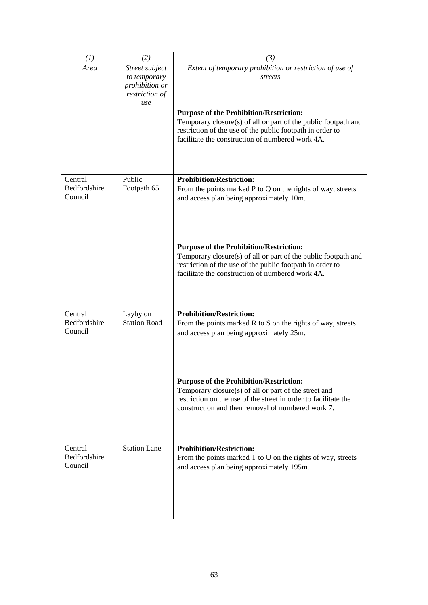| (I)                            | (2)                             | (3)                                                                                                                         |
|--------------------------------|---------------------------------|-----------------------------------------------------------------------------------------------------------------------------|
| Area                           | Street subject                  | Extent of temporary prohibition or restriction of use of                                                                    |
|                                | to temporary<br>prohibition or  | streets                                                                                                                     |
|                                | restriction of                  |                                                                                                                             |
|                                | use                             |                                                                                                                             |
|                                |                                 | <b>Purpose of the Prohibition/Restriction:</b>                                                                              |
|                                |                                 | Temporary closure(s) of all or part of the public footpath and<br>restriction of the use of the public footpath in order to |
|                                |                                 | facilitate the construction of numbered work 4A.                                                                            |
|                                |                                 |                                                                                                                             |
| Central<br>Bedfordshire        | Public<br>Footpath 65           | <b>Prohibition/Restriction:</b><br>From the points marked $P$ to $Q$ on the rights of way, streets                          |
| Council                        |                                 | and access plan being approximately 10m.                                                                                    |
|                                |                                 |                                                                                                                             |
|                                |                                 | <b>Purpose of the Prohibition/Restriction:</b>                                                                              |
|                                |                                 | Temporary closure(s) of all or part of the public footpath and                                                              |
|                                |                                 | restriction of the use of the public footpath in order to<br>facilitate the construction of numbered work 4A.               |
|                                |                                 |                                                                                                                             |
|                                |                                 |                                                                                                                             |
| Central<br><b>Bedfordshire</b> | Layby on<br><b>Station Road</b> | <b>Prohibition/Restriction:</b>                                                                                             |
| Council                        |                                 | From the points marked R to S on the rights of way, streets<br>and access plan being approximately 25m.                     |
|                                |                                 |                                                                                                                             |
|                                |                                 |                                                                                                                             |
|                                |                                 | <b>Purpose of the Prohibition/Restriction:</b>                                                                              |
|                                |                                 | Temporary closure(s) of all or part of the street and                                                                       |
|                                |                                 | restriction on the use of the street in order to facilitate the<br>construction and then removal of numbered work 7.        |
|                                |                                 |                                                                                                                             |
| Central                        | <b>Station Lane</b>             | <b>Prohibition/Restriction:</b>                                                                                             |
| Bedfordshire<br>Council        |                                 | From the points marked T to U on the rights of way, streets<br>and access plan being approximately 195m.                    |
|                                |                                 |                                                                                                                             |
|                                |                                 |                                                                                                                             |
|                                |                                 |                                                                                                                             |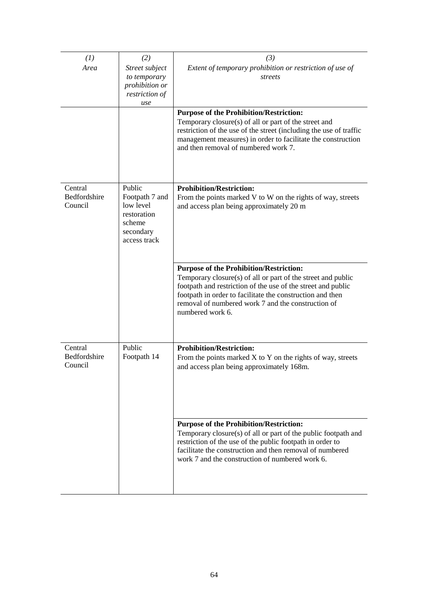| (I)                     | (2)                         | (3)                                                                |
|-------------------------|-----------------------------|--------------------------------------------------------------------|
| Area                    | Street subject              | Extent of temporary prohibition or restriction of use of           |
|                         | to temporary                | streets                                                            |
|                         | prohibition or              |                                                                    |
|                         | restriction of              |                                                                    |
|                         | use                         | <b>Purpose of the Prohibition/Restriction:</b>                     |
|                         |                             | Temporary closure(s) of all or part of the street and              |
|                         |                             | restriction of the use of the street (including the use of traffic |
|                         |                             | management measures) in order to facilitate the construction       |
|                         |                             | and then removal of numbered work 7.                               |
|                         |                             |                                                                    |
|                         |                             |                                                                    |
|                         |                             |                                                                    |
| Central                 | Public                      | <b>Prohibition/Restriction:</b>                                    |
| Bedfordshire<br>Council | Footpath 7 and<br>low level | From the points marked V to W on the rights of way, streets        |
|                         | restoration                 | and access plan being approximately 20 m                           |
|                         | scheme                      |                                                                    |
|                         | secondary                   |                                                                    |
|                         | access track                |                                                                    |
|                         |                             |                                                                    |
|                         |                             | <b>Purpose of the Prohibition/Restriction:</b>                     |
|                         |                             | Temporary closure(s) of all or part of the street and public       |
|                         |                             | footpath and restriction of the use of the street and public       |
|                         |                             | footpath in order to facilitate the construction and then          |
|                         |                             | removal of numbered work 7 and the construction of                 |
|                         |                             | numbered work 6.                                                   |
|                         |                             |                                                                    |
|                         |                             |                                                                    |
| Central                 | Public                      | <b>Prohibition/Restriction:</b>                                    |
| Bedfordshire            | Footpath 14                 | From the points marked $X$ to $Y$ on the rights of way, streets    |
| Council                 |                             | and access plan being approximately 168m.                          |
|                         |                             |                                                                    |
|                         |                             |                                                                    |
|                         |                             |                                                                    |
|                         |                             |                                                                    |
|                         |                             | <b>Purpose of the Prohibition/Restriction:</b>                     |
|                         |                             | Temporary closure(s) of all or part of the public footpath and     |
|                         |                             | restriction of the use of the public footpath in order to          |
|                         |                             | facilitate the construction and then removal of numbered           |
|                         |                             | work 7 and the construction of numbered work 6.                    |
|                         |                             |                                                                    |
|                         |                             |                                                                    |
|                         |                             |                                                                    |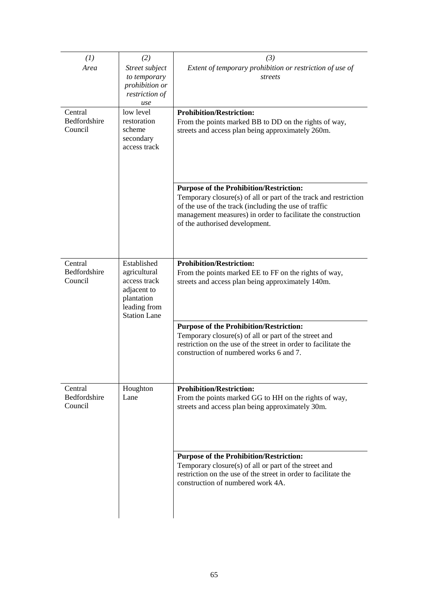| (1)          | (2)                              | (3)                                                                                                                      |
|--------------|----------------------------------|--------------------------------------------------------------------------------------------------------------------------|
| Area         | Street subject                   | Extent of temporary prohibition or restriction of use of                                                                 |
|              | to temporary                     | streets                                                                                                                  |
|              | prohibition or<br>restriction of |                                                                                                                          |
|              | use                              |                                                                                                                          |
| Central      | low level                        | <b>Prohibition/Restriction:</b>                                                                                          |
| Bedfordshire | restoration                      | From the points marked BB to DD on the rights of way,                                                                    |
| Council      | scheme                           | streets and access plan being approximately 260m.                                                                        |
|              | secondary<br>access track        |                                                                                                                          |
|              |                                  |                                                                                                                          |
|              |                                  |                                                                                                                          |
|              |                                  |                                                                                                                          |
|              |                                  | <b>Purpose of the Prohibition/Restriction:</b>                                                                           |
|              |                                  | Temporary closure(s) of all or part of the track and restriction                                                         |
|              |                                  | of the use of the track (including the use of traffic                                                                    |
|              |                                  | management measures) in order to facilitate the construction<br>of the authorised development.                           |
|              |                                  |                                                                                                                          |
|              |                                  |                                                                                                                          |
|              |                                  |                                                                                                                          |
| Central      | Established                      | <b>Prohibition/Restriction:</b>                                                                                          |
| Bedfordshire | agricultural                     | From the points marked EE to FF on the rights of way,                                                                    |
| Council      | access track<br>adjacent to      | streets and access plan being approximately 140m.                                                                        |
|              | plantation                       |                                                                                                                          |
|              | leading from                     |                                                                                                                          |
|              | <b>Station Lane</b>              |                                                                                                                          |
|              |                                  | <b>Purpose of the Prohibition/Restriction:</b>                                                                           |
|              |                                  | Temporary closure(s) of all or part of the street and<br>restriction on the use of the street in order to facilitate the |
|              |                                  | construction of numbered works 6 and 7.                                                                                  |
|              |                                  |                                                                                                                          |
|              |                                  |                                                                                                                          |
| Central      |                                  | <b>Prohibition/Restriction:</b>                                                                                          |
| Bedfordshire | Houghton<br>Lane                 | From the points marked GG to HH on the rights of way,                                                                    |
| Council      |                                  | streets and access plan being approximately 30m.                                                                         |
|              |                                  |                                                                                                                          |
|              |                                  |                                                                                                                          |
|              |                                  |                                                                                                                          |
|              |                                  |                                                                                                                          |
|              |                                  | <b>Purpose of the Prohibition/Restriction:</b>                                                                           |
|              |                                  | Temporary closure(s) of all or part of the street and<br>restriction on the use of the street in order to facilitate the |
|              |                                  | construction of numbered work 4A.                                                                                        |
|              |                                  |                                                                                                                          |
|              |                                  |                                                                                                                          |
|              |                                  |                                                                                                                          |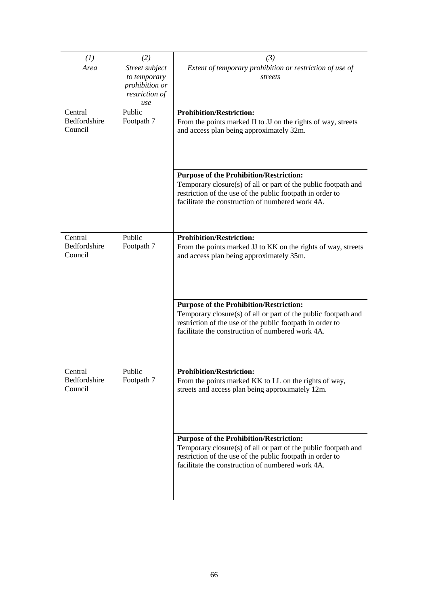| (1)                     | (2)                            | (3)                                                                                                                         |
|-------------------------|--------------------------------|-----------------------------------------------------------------------------------------------------------------------------|
|                         |                                |                                                                                                                             |
| Area                    | Street subject<br>to temporary | Extent of temporary prohibition or restriction of use of<br>streets                                                         |
|                         | prohibition or                 |                                                                                                                             |
|                         | restriction of                 |                                                                                                                             |
|                         | use                            |                                                                                                                             |
| Central                 | Public                         | <b>Prohibition/Restriction:</b>                                                                                             |
| Bedfordshire            | Footpath 7                     | From the points marked II to JJ on the rights of way, streets                                                               |
| Council                 |                                | and access plan being approximately 32m.                                                                                    |
|                         |                                |                                                                                                                             |
|                         |                                |                                                                                                                             |
|                         |                                |                                                                                                                             |
|                         |                                |                                                                                                                             |
|                         |                                | <b>Purpose of the Prohibition/Restriction:</b><br>Temporary closure(s) of all or part of the public footpath and            |
|                         |                                | restriction of the use of the public footpath in order to                                                                   |
|                         |                                | facilitate the construction of numbered work 4A.                                                                            |
|                         |                                |                                                                                                                             |
|                         |                                |                                                                                                                             |
|                         |                                |                                                                                                                             |
| Central<br>Bedfordshire | Public                         | <b>Prohibition/Restriction:</b>                                                                                             |
| Council                 | Footpath 7                     | From the points marked JJ to KK on the rights of way, streets                                                               |
|                         |                                | and access plan being approximately 35m.                                                                                    |
|                         |                                |                                                                                                                             |
|                         |                                |                                                                                                                             |
|                         |                                |                                                                                                                             |
|                         |                                | <b>Purpose of the Prohibition/Restriction:</b>                                                                              |
|                         |                                | Temporary closure(s) of all or part of the public footpath and                                                              |
|                         |                                | restriction of the use of the public footpath in order to                                                                   |
|                         |                                | facilitate the construction of numbered work 4A.                                                                            |
|                         |                                |                                                                                                                             |
|                         |                                |                                                                                                                             |
|                         |                                |                                                                                                                             |
| Central                 | Public                         | <b>Prohibition/Restriction:</b>                                                                                             |
| Bedfordshire            | Footpath 7                     | From the points marked KK to LL on the rights of way,                                                                       |
| Council                 |                                | streets and access plan being approximately 12m.                                                                            |
|                         |                                |                                                                                                                             |
|                         |                                |                                                                                                                             |
|                         |                                |                                                                                                                             |
|                         |                                |                                                                                                                             |
|                         |                                | <b>Purpose of the Prohibition/Restriction:</b>                                                                              |
|                         |                                | Temporary closure(s) of all or part of the public footpath and<br>restriction of the use of the public footpath in order to |
|                         |                                | facilitate the construction of numbered work 4A.                                                                            |
|                         |                                |                                                                                                                             |
|                         |                                |                                                                                                                             |
|                         |                                |                                                                                                                             |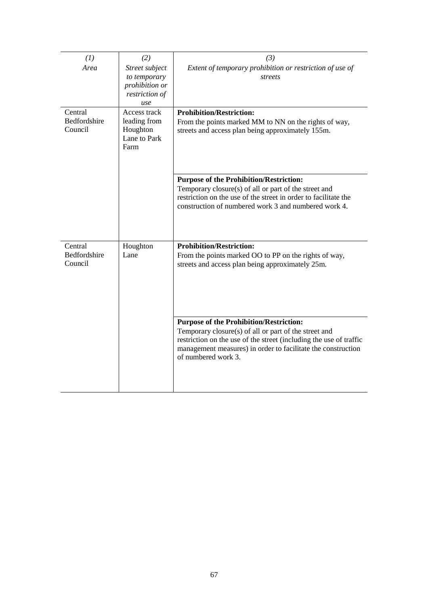| (1)                                | (2)                                                                       | (3)                                                                                                                                                                                                                                                                  |  |
|------------------------------------|---------------------------------------------------------------------------|----------------------------------------------------------------------------------------------------------------------------------------------------------------------------------------------------------------------------------------------------------------------|--|
| Area                               | Street subject<br>to temporary<br>prohibition or<br>restriction of<br>use | Extent of temporary prohibition or restriction of use of<br>streets                                                                                                                                                                                                  |  |
| Central<br>Bedfordshire<br>Council | Access track<br>leading from<br>Houghton<br>Lane to Park<br>Farm          | <b>Prohibition/Restriction:</b><br>From the points marked MM to NN on the rights of way,<br>streets and access plan being approximately 155m.                                                                                                                        |  |
|                                    |                                                                           | <b>Purpose of the Prohibition/Restriction:</b><br>Temporary closure(s) of all or part of the street and<br>restriction on the use of the street in order to facilitate the<br>construction of numbered work 3 and numbered work 4.                                   |  |
| Central<br>Bedfordshire<br>Council | Houghton<br>Lane                                                          | <b>Prohibition/Restriction:</b><br>From the points marked OO to PP on the rights of way,<br>streets and access plan being approximately 25m.                                                                                                                         |  |
|                                    |                                                                           | <b>Purpose of the Prohibition/Restriction:</b><br>Temporary closure(s) of all or part of the street and<br>restriction on the use of the street (including the use of traffic<br>management measures) in order to facilitate the construction<br>of numbered work 3. |  |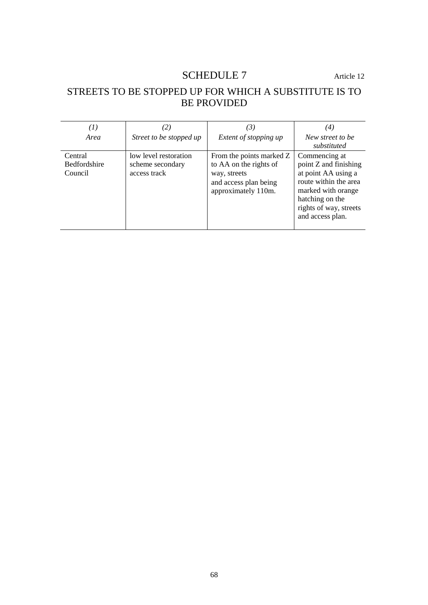# SCHEDULE 7 Article 12

# STREETS TO BE STOPPED UP FOR WHICH A SUBSTITUTE IS TO BE PROVIDED

| (I)<br>Area                               | 2)<br>Street to be stopped up                             | (3)<br>Extent of stopping up                                                                                       | $\left( 4\right)$<br>New street to be<br>substituted                                                                                                                          |
|-------------------------------------------|-----------------------------------------------------------|--------------------------------------------------------------------------------------------------------------------|-------------------------------------------------------------------------------------------------------------------------------------------------------------------------------|
| Central<br><b>Bedfordshire</b><br>Council | low level restoration<br>scheme secondary<br>access track | From the points marked Z<br>to AA on the rights of<br>way, streets<br>and access plan being<br>approximately 110m. | Commencing at<br>point Z and finishing<br>at point AA using a<br>route within the area<br>marked with orange<br>hatching on the<br>rights of way, streets<br>and access plan. |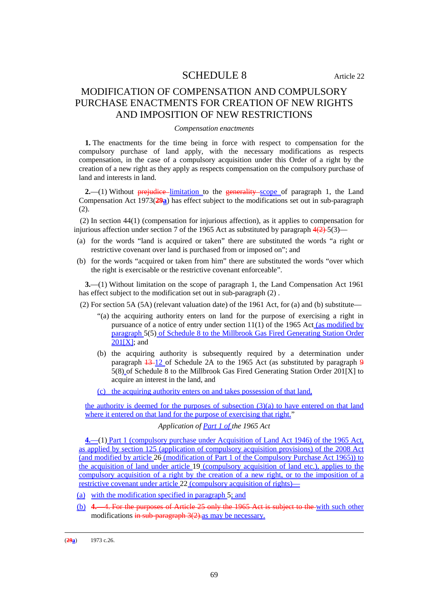### SCHEDULE 8 Article 22

## MODIFICATION OF COMPENSATION AND COMPULSORY PURCHASE ENACTMENTS FOR CREATION OF NEW RIGHTS AND IMPOSITION OF NEW RESTRICTIONS

### *Compensation enactments*

**1.** The enactments for the time being in force with respect to compensation for the compulsory purchase of land apply, with the necessary modifications as respects compensation, in the case of a compulsory acquisition under this Order of a right by the creation of a new right as they apply as respects compensation on the compulsory purchase of land and interests in land.

**2.**—(1) Without **prejudice** limitation to the generality scope of paragraph 1, the Land Compensation Act 1973(**29a**) has effect subject to the modifications set out in sub-paragraph (2).

(2) In section 44(1) (compensation for injurious affection), as it applies to compensation for injurious affection under section 7 of the 1965 Act as substituted by paragraph  $4(2)$ -5(3)—

- (a) for the words "land is acquired or taken" there are substituted the words "a right or restrictive covenant over land is purchased from or imposed on"; and
- (b) for the words "acquired or taken from him" there are substituted the words "over which the right is exercisable or the restrictive covenant enforceable".

**3.**—(1) Without limitation on the scope of paragraph 1, the Land Compensation Act 1961 has effect subject to the modification set out in sub-paragraph (2) .

(2) For section 5A (5A) (relevant valuation date) of the 1961 Act, for (a) and (b) substitute—

- "(a) the acquiring authority enters on land for the purpose of exercising a right in pursuance of a notice of entry under section 11(1) of the 1965 Act (as modified by paragraph 5(5) of Schedule 8 to the Millbrook Gas Fired Generating Station Order  $201[X]$ ; and
- (b) the acquiring authority is subsequently required by a determination under paragraph  $\frac{13-12}{9}$  of Schedule 2A to the 1965 Act (as substituted by paragraph 9 5(8) of Schedule 8 to the Millbrook Gas Fired Generating Station Order 201[X] to acquire an interest in the land, and

(c) the acquiring authority enters on and takes possession of that land,

the authority is deemed for the purposes of subsection (3)(a) to have entered on that land where it entered on that land for the purpose of exercising that right."

### *Application of Part 1 of the 1965 Act*

**4.**—(1) Part 1 (compulsory purchase under Acquisition of Land Act 1946) of the 1965 Act, as applied by section 125 (application of compulsory acquisition provisions) of the 2008 Act (and modified by article 26 (modification of Part 1 of the Compulsory Purchase Act 1965)) to the acquisition of land under article 19 (compulsory acquisition of land etc.), applies to the compulsory acquisition of a right by the creation of a new right, or to the imposition of a restrictive covenant under article 22 (compulsory acquisition of rights)—

- (a) with the modification specified in paragraph 5; and
- (b) **4.**—4. For the purposes of Article 25 only the 1965 Act is subject to the with such other modifications  $\frac{1}{2}$  and  $\frac{1}{2}$  may be necessary.

<u>.</u>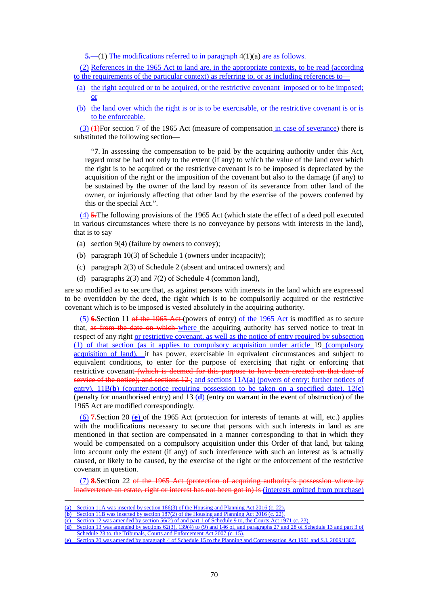**5.**—(1) The modifications referred to in paragraph 4(1)(a) are as follows.

(2) References in the 1965 Act to land are, in the appropriate contexts, to be read (according to the requirements of the particular context) as referring to, or as including references to—

- (a) the right acquired or to be acquired, or the restrictive covenant imposed or to be imposed; or
- (b) the land over which the right is or is to be exercisable, or the restrictive covenant is or is to be enforceable.

 $(3)$  (4)For section 7 of the 1965 Act (measure of compensation in case of severance) there is substituted the following section—

"**7**. In assessing the compensation to be paid by the acquiring authority under this Act, regard must be had not only to the extent (if any) to which the value of the land over which the right is to be acquired or the restrictive covenant is to be imposed is depreciated by the acquisition of the right or the imposition of the covenant but also to the damage (if any) to be sustained by the owner of the land by reason of its severance from other land of the owner, or injuriously affecting that other land by the exercise of the powers conferred by this or the special Act.".

(4) **5.**The following provisions of the 1965 Act (which state the effect of a deed poll executed in various circumstances where there is no conveyance by persons with interests in the land), that is to say—

- (a) section 9(4) (failure by owners to convey);
- (b) paragraph 10(3) of Schedule 1 (owners under incapacity);
- (c) paragraph 2(3) of Schedule 2 (absent and untraced owners); and
- (d) paragraphs 2(3) and 7(2) of Schedule 4 (common land),

are so modified as to secure that, as against persons with interests in the land which are expressed to be overridden by the deed, the right which is to be compulsorily acquired or the restrictive covenant which is to be imposed is vested absolutely in the acquiring authority.

(5) **6.**Section 11 of the 1965 Act (powers of entry) of the 1965 Act is modified as to secure that, as from the date on which where the acquiring authority has served notice to treat in respect of any right or restrictive covenant, as well as the notice of entry required by subsection (1) of that section (as it applies to compulsory acquisition under article 19 (compulsory acquisition of land), it has power, exercisable in equivalent circumstances and subject to equivalent conditions, to enter for the purpose of exercising that right or enforcing that restrictive covenant (which is deemed for this purpose to have been created on that date of service of the notice); and sections 12; and sections  $11A(a)$  (powers of entry: further notices of entry), 11B(**b**) (counter-notice requiring possession to be taken on a specified date), 12(**c**) (penalty for unauthorised entry) and 13 (**d**) (entry on warrant in the event of obstruction) of the 1965 Act are modified correspondingly.

(6) **7.**Section 20 (**e**) of the 1965 Act (protection for interests of tenants at will, etc.) applies with the modifications necessary to secure that persons with such interests in land as are mentioned in that section are compensated in a manner corresponding to that in which they would be compensated on a compulsory acquisition under this Order of that land, but taking into account only the extent (if any) of such interference with such an interest as is actually caused, or likely to be caused, by the exercise of the right or the enforcement of the restrictive covenant in question.

(7) **8.**Section 22 of the 1965 Act (protection of acquiring authority's possession where by inadvertence an estate, right or interest has not been got in) is (interests omitted from purchase)

<u>.</u>

Section 20 was amended by paragraph 4 of Schedule 15 to the Planning and Compensation Act 1991 and S.I. 2009/1307.

<sup>(</sup>**a**) Section 11A was inserted by section 186(3) of the Housing and Planning Act 2016 (c. 22).

<sup>(</sup>**b**) Section 11B was inserted by section 187(2) of the Housing and Planning Act 2016 (c. 22).

<sup>(</sup>**c**) Section 12 was amended by section 56(2) of and part 1 of Schedule 9 to, the Courts Act 1971 (c. 23).

<sup>(</sup>**d**) Section 13 was amended by sections  $62(3)$ ,  $139(4)$  to (9) and  $146$  of, and paragraphs 27 and 28 of Schedule 13 and part 3 of

Schedule 23 to, the Tribunals, Courts and Enforcement Act 2007 (c. 15).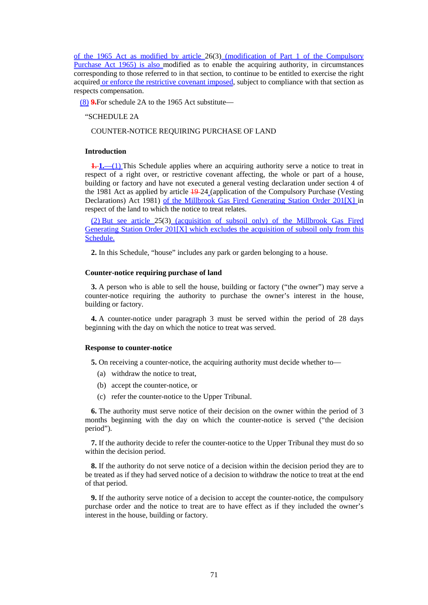of the 1965 Act as modified by article 26(3) (modification of Part 1 of the Compulsory Purchase Act 1965) is also modified as to enable the acquiring authority, in circumstances corresponding to those referred to in that section, to continue to be entitled to exercise the right acquired or enforce the restrictive covenant imposed, subject to compliance with that section as respects compensation.

(8) **9.**For schedule 2A to the 1965 Act substitute—

#### "SCHEDULE 2A

### COUNTER-NOTICE REQUIRING PURCHASE OF LAND

#### **Introduction**

**1. 1.** (1) This Schedule applies where an acquiring authority serve a notice to treat in respect of a right over, or restrictive covenant affecting, the whole or part of a house, building or factory and have not executed a general vesting declaration under section 4 of the 1981 Act as applied by article 19 24 (application of the Compulsory Purchase (Vesting Declarations) Act 1981) of the Millbrook Gas Fired Generating Station Order 201[X] in respect of the land to which the notice to treat relates.

(2) But see article 25(3) (acquisition of subsoil only) of the Millbrook Gas Fired Generating Station Order 201[X] which excludes the acquisition of subsoil only from this Schedule.

**2.** In this Schedule, "house" includes any park or garden belonging to a house.

#### **Counter-notice requiring purchase of land**

**3.** A person who is able to sell the house, building or factory ("the owner") may serve a counter-notice requiring the authority to purchase the owner's interest in the house, building or factory.

**4.** A counter-notice under paragraph 3 must be served within the period of 28 days beginning with the day on which the notice to treat was served.

### **Response to counter-notice**

**5.** On receiving a counter-notice, the acquiring authority must decide whether to—

- (a) withdraw the notice to treat,
- (b) accept the counter-notice, or
- (c) refer the counter-notice to the Upper Tribunal.

**6.** The authority must serve notice of their decision on the owner within the period of 3 months beginning with the day on which the counter-notice is served ("the decision period").

**7.** If the authority decide to refer the counter-notice to the Upper Tribunal they must do so within the decision period.

**8.** If the authority do not serve notice of a decision within the decision period they are to be treated as if they had served notice of a decision to withdraw the notice to treat at the end of that period.

**9.** If the authority serve notice of a decision to accept the counter-notice, the compulsory purchase order and the notice to treat are to have effect as if they included the owner's interest in the house, building or factory.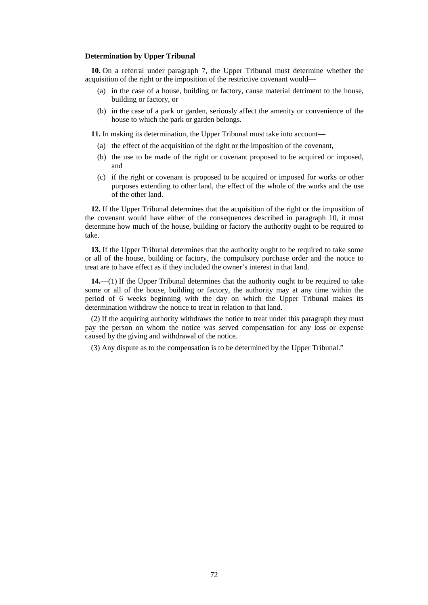#### **Determination by Upper Tribunal**

**10.** On a referral under paragraph 7, the Upper Tribunal must determine whether the acquisition of the right or the imposition of the restrictive covenant would—

- (a) in the case of a house, building or factory, cause material detriment to the house, building or factory, or
- (b) in the case of a park or garden, seriously affect the amenity or convenience of the house to which the park or garden belongs.

**11.** In making its determination, the Upper Tribunal must take into account—

- (a) the effect of the acquisition of the right or the imposition of the covenant,
- (b) the use to be made of the right or covenant proposed to be acquired or imposed, and
- (c) if the right or covenant is proposed to be acquired or imposed for works or other purposes extending to other land, the effect of the whole of the works and the use of the other land.

**12.** If the Upper Tribunal determines that the acquisition of the right or the imposition of the covenant would have either of the consequences described in paragraph 10, it must determine how much of the house, building or factory the authority ought to be required to take.

**13.** If the Upper Tribunal determines that the authority ought to be required to take some or all of the house, building or factory, the compulsory purchase order and the notice to treat are to have effect as if they included the owner's interest in that land.

**14.**—(1) If the Upper Tribunal determines that the authority ought to be required to take some or all of the house, building or factory, the authority may at any time within the period of 6 weeks beginning with the day on which the Upper Tribunal makes its determination withdraw the notice to treat in relation to that land.

(2) If the acquiring authority withdraws the notice to treat under this paragraph they must pay the person on whom the notice was served compensation for any loss or expense caused by the giving and withdrawal of the notice.

(3) Any dispute as to the compensation is to be determined by the Upper Tribunal."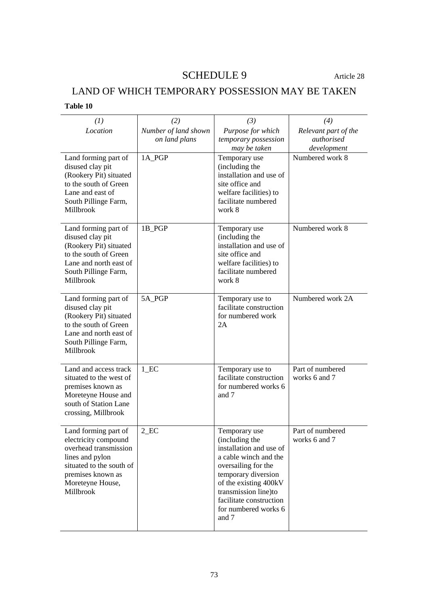# SCHEDULE 9 Article 28

# LAND OF WHICH TEMPORARY POSSESSION MAY BE TAKEN

|  | Table 10 |  |
|--|----------|--|
|--|----------|--|

| (1)                                                                                                                                                                        | (2)                                   | (3)                                                                                                                                                                                                                                            | (4)                                               |
|----------------------------------------------------------------------------------------------------------------------------------------------------------------------------|---------------------------------------|------------------------------------------------------------------------------------------------------------------------------------------------------------------------------------------------------------------------------------------------|---------------------------------------------------|
| Location                                                                                                                                                                   | Number of land shown<br>on land plans | Purpose for which<br>temporary possession<br>may be taken                                                                                                                                                                                      | Relevant part of the<br>authorised<br>development |
| Land forming part of<br>disused clay pit<br>(Rookery Pit) situated<br>to the south of Green<br>Lane and east of<br>South Pillinge Farm,<br>Millbrook                       | 1A PGP                                | Temporary use<br>(including the<br>installation and use of<br>site office and<br>welfare facilities) to<br>facilitate numbered<br>work 8                                                                                                       | Numbered work 8                                   |
| Land forming part of<br>disused clay pit<br>(Rookery Pit) situated<br>to the south of Green<br>Lane and north east of<br>South Pillinge Farm,<br>Millbrook                 | 1B_PGP                                | Temporary use<br>(including the<br>installation and use of<br>site office and<br>welfare facilities) to<br>facilitate numbered<br>work 8                                                                                                       | Numbered work 8                                   |
| Land forming part of<br>disused clay pit<br>(Rookery Pit) situated<br>to the south of Green<br>Lane and north east of<br>South Pillinge Farm,<br>Millbrook                 | 5A_PGP                                | Temporary use to<br>facilitate construction<br>for numbered work<br>2A                                                                                                                                                                         | Numbered work 2A                                  |
| Land and access track<br>situated to the west of<br>premises known as<br>Moreteyne House and<br>south of Station Lane<br>crossing, Millbrook                               | $1$ <sub><math>EC</math></sub>        | Temporary use to<br>facilitate construction<br>for numbered works 6<br>and 7                                                                                                                                                                   | Part of numbered<br>works 6 and 7                 |
| Land forming part of<br>electricity compound<br>overhead transmission<br>lines and pylon<br>situated to the south of<br>premises known as<br>Moreteyne House,<br>Millbrook | $2$ <sub>_EC</sub>                    | Temporary use<br>(including the<br>installation and use of<br>a cable winch and the<br>oversailing for the<br>temporary diversion<br>of the existing 400kV<br>transmission line)to<br>facilitate construction<br>for numbered works 6<br>and 7 | Part of numbered<br>works 6 and 7                 |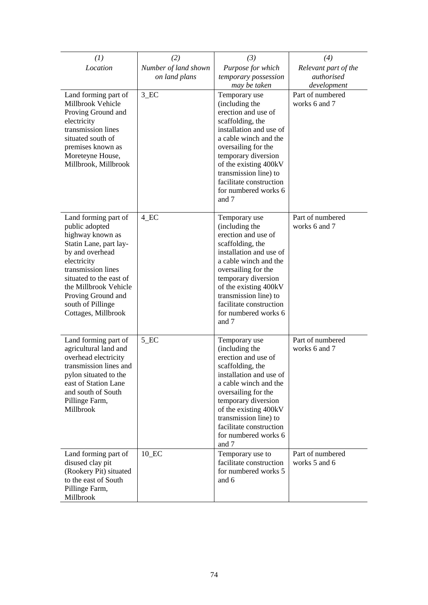| (1)                                                                                                                                                                                                                                                                | (2)                  | (3)                                                                                                                                                                                                                                                                                        | (4)                               |
|--------------------------------------------------------------------------------------------------------------------------------------------------------------------------------------------------------------------------------------------------------------------|----------------------|--------------------------------------------------------------------------------------------------------------------------------------------------------------------------------------------------------------------------------------------------------------------------------------------|-----------------------------------|
| Location                                                                                                                                                                                                                                                           | Number of land shown | Purpose for which                                                                                                                                                                                                                                                                          | Relevant part of the              |
|                                                                                                                                                                                                                                                                    | on land plans        | temporary possession<br>may be taken                                                                                                                                                                                                                                                       | authorised<br>development         |
| Land forming part of<br>Millbrook Vehicle<br>Proving Ground and<br>electricity<br>transmission lines<br>situated south of<br>premises known as<br>Moreteyne House,<br>Millbrook, Millbrook                                                                         | 3 EC                 | Temporary use<br>(including the<br>erection and use of<br>scaffolding, the<br>installation and use of<br>a cable winch and the<br>oversailing for the<br>temporary diversion<br>of the existing 400kV<br>transmission line) to<br>facilitate construction<br>for numbered works 6<br>and 7 | Part of numbered<br>works 6 and 7 |
| Land forming part of<br>public adopted<br>highway known as<br>Statin Lane, part lay-<br>by and overhead<br>electricity<br>transmission lines<br>situated to the east of<br>the Millbrook Vehicle<br>Proving Ground and<br>south of Pillinge<br>Cottages, Millbrook | $4$ <sub></sub> $EC$ | Temporary use<br>(including the<br>erection and use of<br>scaffolding, the<br>installation and use of<br>a cable winch and the<br>oversailing for the<br>temporary diversion<br>of the existing 400kV<br>transmission line) to<br>facilitate construction<br>for numbered works 6<br>and 7 | Part of numbered<br>works 6 and 7 |
| Land forming part of<br>agricultural land and<br>overhead electricity<br>transmission lines and<br>pylon situated to the<br>east of Station Lane<br>and south of South<br>Pillinge Farm,<br>Millbrook                                                              | $5$ <sub>_EC</sub>   | Temporary use<br>(including the<br>erection and use of<br>scaffolding, the<br>installation and use of<br>a cable winch and the<br>oversailing for the<br>temporary diversion<br>of the existing 400kV<br>transmission line) to<br>facilitate construction<br>for numbered works 6<br>and 7 | Part of numbered<br>works 6 and 7 |
| Land forming part of<br>disused clay pit<br>(Rookery Pit) situated<br>to the east of South<br>Pillinge Farm,<br>Millbrook                                                                                                                                          | 10 EC                | Temporary use to<br>facilitate construction<br>for numbered works 5<br>and 6                                                                                                                                                                                                               | Part of numbered<br>works 5 and 6 |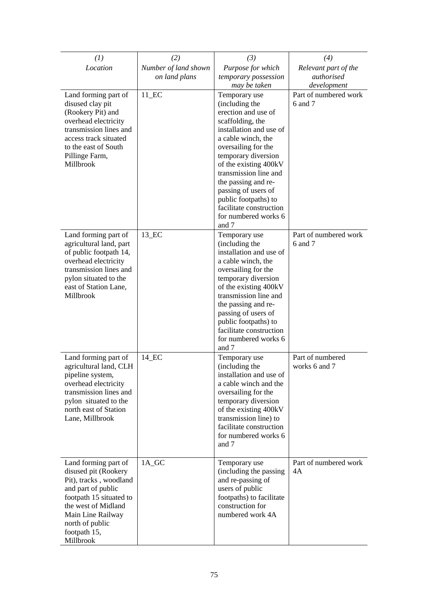| (1)                                                                                                                                                                                                                 | (2)                  | (3)                                                                                                                                                                                                                                                                                                                | (4)                                             |
|---------------------------------------------------------------------------------------------------------------------------------------------------------------------------------------------------------------------|----------------------|--------------------------------------------------------------------------------------------------------------------------------------------------------------------------------------------------------------------------------------------------------------------------------------------------------------------|-------------------------------------------------|
| Location                                                                                                                                                                                                            | Number of land shown | Purpose for which                                                                                                                                                                                                                                                                                                  | Relevant part of the                            |
|                                                                                                                                                                                                                     | on land plans        | temporary possession                                                                                                                                                                                                                                                                                               | authorised                                      |
| Land forming part of<br>disused clay pit<br>(Rookery Pit) and                                                                                                                                                       | $11$ <sub>_EC</sub>  | may be taken<br>Temporary use<br>(including the<br>erection and use of                                                                                                                                                                                                                                             | development<br>Part of numbered work<br>6 and 7 |
| overhead electricity<br>transmission lines and<br>access track situated<br>to the east of South<br>Pillinge Farm,                                                                                                   |                      | scaffolding, the<br>installation and use of<br>a cable winch, the<br>oversailing for the<br>temporary diversion                                                                                                                                                                                                    |                                                 |
| Millbrook                                                                                                                                                                                                           |                      | of the existing 400kV<br>transmission line and<br>the passing and re-<br>passing of users of<br>public footpaths) to<br>facilitate construction<br>for numbered works 6<br>and 7                                                                                                                                   |                                                 |
| Land forming part of<br>agricultural land, part<br>of public footpath 14,<br>overhead electricity<br>transmission lines and<br>pylon situated to the<br>east of Station Lane,<br>Millbrook                          | 13_EC                | Temporary use<br>(including the<br>installation and use of<br>a cable winch, the<br>oversailing for the<br>temporary diversion<br>of the existing 400kV<br>transmission line and<br>the passing and re-<br>passing of users of<br>public footpaths) to<br>facilitate construction<br>for numbered works 6<br>and 7 | Part of numbered work<br>6 and 7                |
| Land forming part of<br>agricultural land, CLH<br>pipeline system,<br>overhead electricity<br>transmission lines and<br>pylon situated to the<br>north east of Station<br>Lane, Millbrook                           | 14_EC                | Temporary use<br>(including the<br>installation and use of<br>a cable winch and the<br>oversailing for the<br>temporary diversion<br>of the existing 400kV<br>transmission line) to<br>facilitate construction<br>for numbered works 6<br>and 7                                                                    | Part of numbered<br>works 6 and 7               |
| Land forming part of<br>disused pit (Rookery<br>Pit), tracks, woodland<br>and part of public<br>footpath 15 situated to<br>the west of Midland<br>Main Line Railway<br>north of public<br>footpath 15,<br>Millbrook | 1A_GC                | Temporary use<br>(including the passing<br>and re-passing of<br>users of public<br>footpaths) to facilitate<br>construction for<br>numbered work 4A                                                                                                                                                                | Part of numbered work<br>4A                     |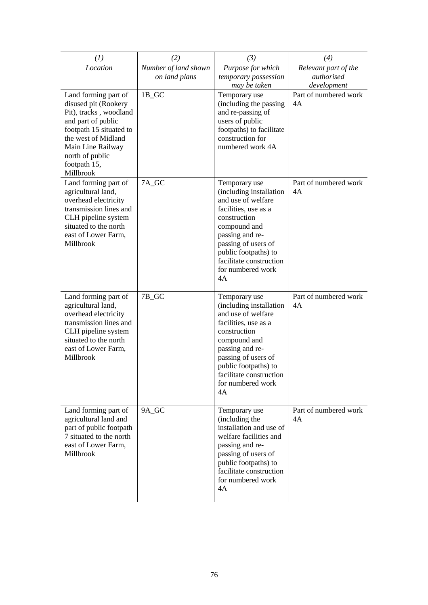| (1)                                                                                                                                                                                                                 | (2)                                   | (3)                                                                                                                                                                                                                                            | (4)                                               |
|---------------------------------------------------------------------------------------------------------------------------------------------------------------------------------------------------------------------|---------------------------------------|------------------------------------------------------------------------------------------------------------------------------------------------------------------------------------------------------------------------------------------------|---------------------------------------------------|
| Location                                                                                                                                                                                                            | Number of land shown<br>on land plans | Purpose for which<br>temporary possession<br>may be taken                                                                                                                                                                                      | Relevant part of the<br>authorised<br>development |
| Land forming part of<br>disused pit (Rookery<br>Pit), tracks, woodland<br>and part of public<br>footpath 15 situated to<br>the west of Midland<br>Main Line Railway<br>north of public<br>footpath 15,<br>Millbrook | 1B_GC                                 | Temporary use<br>(including the passing<br>and re-passing of<br>users of public<br>footpaths) to facilitate<br>construction for<br>numbered work 4A                                                                                            | Part of numbered work<br>4A                       |
| Land forming part of<br>agricultural land,<br>overhead electricity<br>transmission lines and<br>CLH pipeline system<br>situated to the north<br>east of Lower Farm,<br>Millbrook                                    | 7A_GC                                 | Temporary use<br>(including installation<br>and use of welfare<br>facilities, use as a<br>construction<br>compound and<br>passing and re-<br>passing of users of<br>public footpaths) to<br>facilitate construction<br>for numbered work<br>4A | Part of numbered work<br>4A                       |
| Land forming part of<br>agricultural land,<br>overhead electricity<br>transmission lines and<br>CLH pipeline system<br>situated to the north<br>east of Lower Farm,<br>Millbrook                                    | 7B_GC                                 | Temporary use<br>(including installation<br>and use of welfare<br>facilities, use as a<br>construction<br>compound and<br>passing and re-<br>passing of users of<br>public footpaths) to<br>facilitate construction<br>for numbered work<br>4A | Part of numbered work<br>4A                       |
| Land forming part of<br>agricultural land and<br>part of public footpath<br>7 situated to the north<br>east of Lower Farm,<br>Millbrook                                                                             | 9A_GC                                 | Temporary use<br>(including the<br>installation and use of<br>welfare facilities and<br>passing and re-<br>passing of users of<br>public footpaths) to<br>facilitate construction<br>for numbered work<br>4A                                   | Part of numbered work<br>4A                       |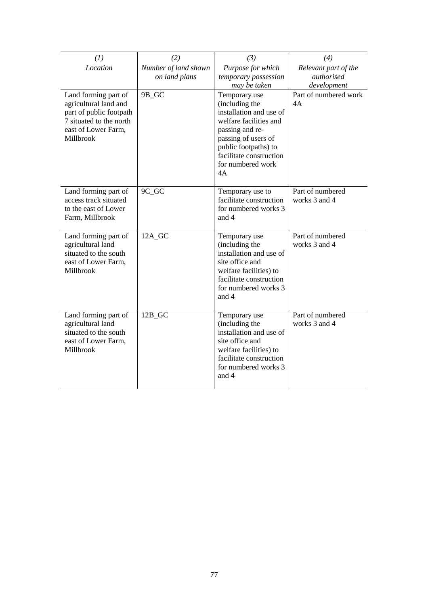| (1)                                                                                                                                     | (2)                                   | (3)                                                                                                                                                                                                          | (4)                                               |
|-----------------------------------------------------------------------------------------------------------------------------------------|---------------------------------------|--------------------------------------------------------------------------------------------------------------------------------------------------------------------------------------------------------------|---------------------------------------------------|
| Location                                                                                                                                | Number of land shown<br>on land plans | Purpose for which<br>temporary possession<br>may be taken                                                                                                                                                    | Relevant part of the<br>authorised<br>development |
| Land forming part of<br>agricultural land and<br>part of public footpath<br>7 situated to the north<br>east of Lower Farm,<br>Millbrook | 9B_GC                                 | Temporary use<br>(including the<br>installation and use of<br>welfare facilities and<br>passing and re-<br>passing of users of<br>public footpaths) to<br>facilitate construction<br>for numbered work<br>4A | Part of numbered work<br>4A                       |
| Land forming part of<br>access track situated<br>to the east of Lower<br>Farm, Millbrook                                                | 9C_GC                                 | Temporary use to<br>facilitate construction<br>for numbered works 3<br>and 4                                                                                                                                 | Part of numbered<br>works 3 and 4                 |
| Land forming part of<br>agricultural land<br>situated to the south<br>east of Lower Farm,<br>Millbrook                                  | 12A_GC                                | Temporary use<br>(including the<br>installation and use of<br>site office and<br>welfare facilities) to<br>facilitate construction<br>for numbered works 3<br>and 4                                          | Part of numbered<br>works 3 and 4                 |
| Land forming part of<br>agricultural land<br>situated to the south<br>east of Lower Farm,<br>Millbrook                                  | $12B_GC$                              | Temporary use<br>(including the<br>installation and use of<br>site office and<br>welfare facilities) to<br>facilitate construction<br>for numbered works 3<br>and 4                                          | Part of numbered<br>works 3 and 4                 |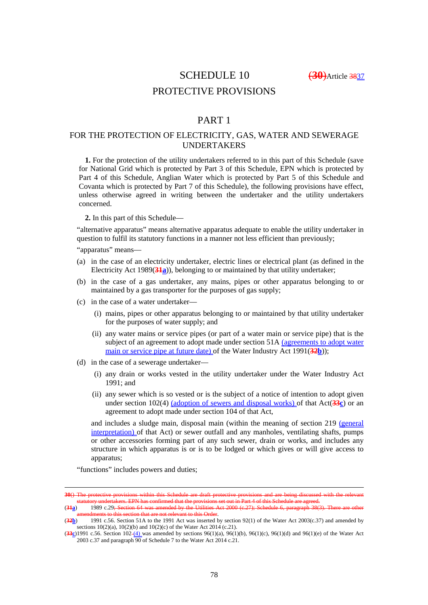SCHEDULE 10 (**30**)Article 3837

# PROTECTIVE PROVISIONS

# PART 1

### FOR THE PROTECTION OF ELECTRICITY, GAS, WATER AND SEWERAGE UNDERTAKERS

**1.** For the protection of the utility undertakers referred to in this part of this Schedule (save for National Grid which is protected by Part 3 of this Schedule, EPN which is protected by Part 4 of this Schedule, Anglian Water which is protected by Part 5 of this Schedule and Covanta which is protected by Part 7 of this Schedule), the following provisions have effect, unless otherwise agreed in writing between the undertaker and the utility undertakers concerned.

**2.** In this part of this Schedule—

"alternative apparatus" means alternative apparatus adequate to enable the utility undertaker in question to fulfil its statutory functions in a manner not less efficient than previously;

"apparatus" means—

- (a) in the case of an electricity undertaker, electric lines or electrical plant (as defined in the Electricity Act 1989(**31a**)), belonging to or maintained by that utility undertaker;
- (b) in the case of a gas undertaker, any mains, pipes or other apparatus belonging to or maintained by a gas transporter for the purposes of gas supply;
- (c) in the case of a water undertaker—
	- (i) mains, pipes or other apparatus belonging to or maintained by that utility undertaker for the purposes of water supply; and
	- (ii) any water mains or service pipes (or part of a water main or service pipe) that is the subject of an agreement to adopt made under section 51A (agreements to adopt water main or service pipe at future date) of the Water Industry Act 1991(**32b**));
- (d) in the case of a sewerage undertaker—
	- (i) any drain or works vested in the utility undertaker under the Water Industry Act 1991; and
	- (ii) any sewer which is so vested or is the subject of a notice of intention to adopt given under section 102(4) (adoption of sewers and disposal works) of that Act(**33c**) or an agreement to adopt made under section 104 of that Act,

and includes a sludge main, disposal main (within the meaning of section 219 (general interpretation) of that Act) or sewer outfall and any manholes, ventilating shafts, pumps or other accessories forming part of any such sewer, drain or works, and includes any structure in which apparatus is or is to be lodged or which gives or will give access to apparatus;

"functions" includes powers and duties;

<u>.</u>

**<sup>30</sup>**() The protective provisions within this Schedule are draft protective statutory undertakers. EPN has confirmed that the provisions set out in Part 4 of this Schedule are agreed.<br>(34a) 1989 c.29; Section 64 was amended by the Utilities Act 2000 (c.27); Schedule 6, paragraph 38(

amended by the Utilities Act 2000 (c.27); Schedule 6, paragraph 38(3) .<br>ant to this Order.

<sup>(</sup>**32b**) 1991 c.56. Section 51A to the 1991 Act was inserted by section 92(1) of the Water Act 2003(c.37) and amended by sections 10(2)(a), 10(2)(b) and 10(2)(c) of the Water Act 2014 (c.21).

<sup>(</sup>**33c**) 1991 c.56. Section 102 (4) was amended by sections 96(1)(a), 96(1)(b), 96(1)(c), 96(1)(d) and 96(1)(e) of the Water Act 2003 c.37 and paragraph 90 of Schedule 7 to the Water Act 2014 c.21.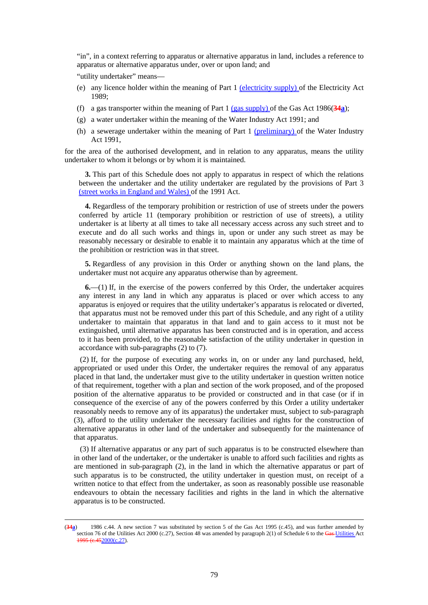"in", in a context referring to apparatus or alternative apparatus in land, includes a reference to apparatus or alternative apparatus under, over or upon land; and

"utility undertaker" means—

<u>.</u>

- (e) any licence holder within the meaning of Part 1 (electricity supply) of the Electricity Act 1989;
- (f) a gas transporter within the meaning of Part 1 (gas supply) of the Gas Act 1986(**34a**);
- (g) a water undertaker within the meaning of the Water Industry Act 1991; and
- (h) a sewerage undertaker within the meaning of Part  $1$  (preliminary) of the Water Industry Act 1991,

for the area of the authorised development, and in relation to any apparatus, means the utility undertaker to whom it belongs or by whom it is maintained.

**3.** This part of this Schedule does not apply to apparatus in respect of which the relations between the undertaker and the utility undertaker are regulated by the provisions of Part 3 (street works in England and Wales) of the 1991 Act.

**4.** Regardless of the temporary prohibition or restriction of use of streets under the powers conferred by article 11 (temporary prohibition or restriction of use of streets), a utility undertaker is at liberty at all times to take all necessary access across any such street and to execute and do all such works and things in, upon or under any such street as may be reasonably necessary or desirable to enable it to maintain any apparatus which at the time of the prohibition or restriction was in that street.

**5.** Regardless of any provision in this Order or anything shown on the land plans, the undertaker must not acquire any apparatus otherwise than by agreement.

**6.**—(1) If, in the exercise of the powers conferred by this Order, the undertaker acquires any interest in any land in which any apparatus is placed or over which access to any apparatus is enjoyed or requires that the utility undertaker's apparatus is relocated or diverted, that apparatus must not be removed under this part of this Schedule, and any right of a utility undertaker to maintain that apparatus in that land and to gain access to it must not be extinguished, until alternative apparatus has been constructed and is in operation, and access to it has been provided, to the reasonable satisfaction of the utility undertaker in question in accordance with sub-paragraphs (2) to (7).

(2) If, for the purpose of executing any works in, on or under any land purchased, held, appropriated or used under this Order, the undertaker requires the removal of any apparatus placed in that land, the undertaker must give to the utility undertaker in question written notice of that requirement, together with a plan and section of the work proposed, and of the proposed position of the alternative apparatus to be provided or constructed and in that case (or if in consequence of the exercise of any of the powers conferred by this Order a utility undertaker reasonably needs to remove any of its apparatus) the undertaker must, subject to sub-paragraph (3), afford to the utility undertaker the necessary facilities and rights for the construction of alternative apparatus in other land of the undertaker and subsequently for the maintenance of that apparatus.

(3) If alternative apparatus or any part of such apparatus is to be constructed elsewhere than in other land of the undertaker, or the undertaker is unable to afford such facilities and rights as are mentioned in sub-paragraph  $(2)$ , in the land in which the alternative apparatus or part of such apparatus is to be constructed, the utility undertaker in question must, on receipt of a written notice to that effect from the undertaker, as soon as reasonably possible use reasonable endeavours to obtain the necessary facilities and rights in the land in which the alternative apparatus is to be constructed.

<sup>(</sup>**34a**) 1986 c.44. A new section 7 was substituted by section 5 of the Gas Act 1995 (c.45), and was further amended by section 76 of the Utilities Act 2000 (c.27), Section 48 was amended by paragraph  $2(1)$  of Schedule 6 to the Gas-Utilities Act 1995 (c.452000(c.27).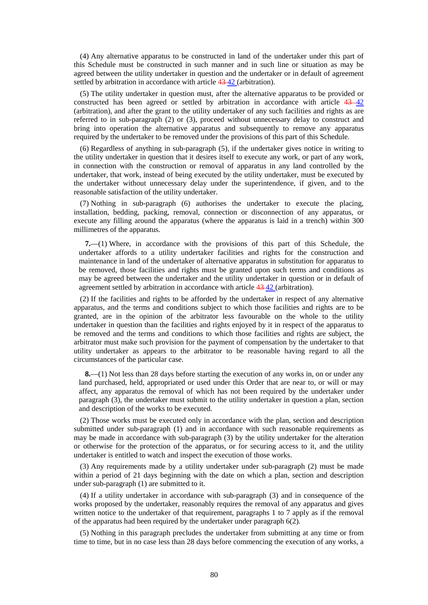(4) Any alternative apparatus to be constructed in land of the undertaker under this part of this Schedule must be constructed in such manner and in such line or situation as may be agreed between the utility undertaker in question and the undertaker or in default of agreement settled by arbitration in accordance with article  $43-42$  (arbitration).

(5) The utility undertaker in question must, after the alternative apparatus to be provided or constructed has been agreed or settled by arbitration in accordance with article  $43 - 42$ (arbitration), and after the grant to the utility undertaker of any such facilities and rights as are referred to in sub-paragraph (2) or (3), proceed without unnecessary delay to construct and bring into operation the alternative apparatus and subsequently to remove any apparatus required by the undertaker to be removed under the provisions of this part of this Schedule.

(6) Regardless of anything in sub-paragraph (5), if the undertaker gives notice in writing to the utility undertaker in question that it desires itself to execute any work, or part of any work, in connection with the construction or removal of apparatus in any land controlled by the undertaker, that work, instead of being executed by the utility undertaker, must be executed by the undertaker without unnecessary delay under the superintendence, if given, and to the reasonable satisfaction of the utility undertaker.

(7) Nothing in sub-paragraph (6) authorises the undertaker to execute the placing, installation, bedding, packing, removal, connection or disconnection of any apparatus, or execute any filling around the apparatus (where the apparatus is laid in a trench) within 300 millimetres of the apparatus.

**7.**—(1) Where, in accordance with the provisions of this part of this Schedule, the undertaker affords to a utility undertaker facilities and rights for the construction and maintenance in land of the undertaker of alternative apparatus in substitution for apparatus to be removed, those facilities and rights must be granted upon such terms and conditions as may be agreed between the undertaker and the utility undertaker in question or in default of agreement settled by arbitration in accordance with article 43 42 (arbitration).

(2) If the facilities and rights to be afforded by the undertaker in respect of any alternative apparatus, and the terms and conditions subject to which those facilities and rights are to be granted, are in the opinion of the arbitrator less favourable on the whole to the utility undertaker in question than the facilities and rights enjoyed by it in respect of the apparatus to be removed and the terms and conditions to which those facilities and rights are subject, the arbitrator must make such provision for the payment of compensation by the undertaker to that utility undertaker as appears to the arbitrator to be reasonable having regard to all the circumstances of the particular case.

**8.**—(1) Not less than 28 days before starting the execution of any works in, on or under any land purchased, held, appropriated or used under this Order that are near to, or will or may affect, any apparatus the removal of which has not been required by the undertaker under paragraph (3), the undertaker must submit to the utility undertaker in question a plan, section and description of the works to be executed.

(2) Those works must be executed only in accordance with the plan, section and description submitted under sub-paragraph (1) and in accordance with such reasonable requirements as may be made in accordance with sub-paragraph (3) by the utility undertaker for the alteration or otherwise for the protection of the apparatus, or for securing access to it, and the utility undertaker is entitled to watch and inspect the execution of those works.

(3) Any requirements made by a utility undertaker under sub-paragraph (2) must be made within a period of 21 days beginning with the date on which a plan, section and description under sub-paragraph (1) are submitted to it.

(4) If a utility undertaker in accordance with sub-paragraph (3) and in consequence of the works proposed by the undertaker, reasonably requires the removal of any apparatus and gives written notice to the undertaker of that requirement, paragraphs 1 to 7 apply as if the removal of the apparatus had been required by the undertaker under paragraph 6(2).

(5) Nothing in this paragraph precludes the undertaker from submitting at any time or from time to time, but in no case less than 28 days before commencing the execution of any works, a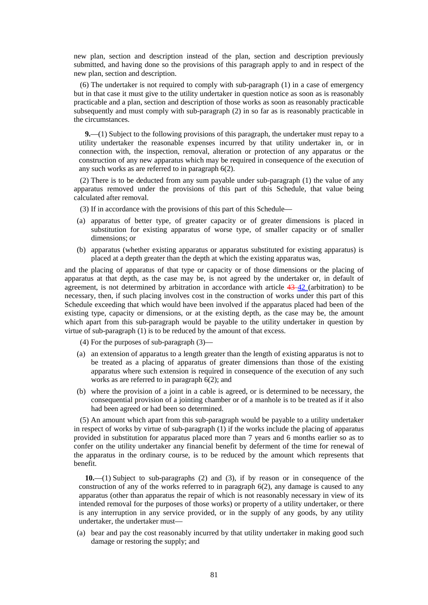new plan, section and description instead of the plan, section and description previously submitted, and having done so the provisions of this paragraph apply to and in respect of the new plan, section and description.

(6) The undertaker is not required to comply with sub-paragraph (1) in a case of emergency but in that case it must give to the utility undertaker in question notice as soon as is reasonably practicable and a plan, section and description of those works as soon as reasonably practicable subsequently and must comply with sub-paragraph (2) in so far as is reasonably practicable in the circumstances.

**9.**—(1) Subject to the following provisions of this paragraph, the undertaker must repay to a utility undertaker the reasonable expenses incurred by that utility undertaker in, or in connection with, the inspection, removal, alteration or protection of any apparatus or the construction of any new apparatus which may be required in consequence of the execution of any such works as are referred to in paragraph 6(2).

(2) There is to be deducted from any sum payable under sub-paragraph (1) the value of any apparatus removed under the provisions of this part of this Schedule, that value being calculated after removal.

- (3) If in accordance with the provisions of this part of this Schedule—
- (a) apparatus of better type, of greater capacity or of greater dimensions is placed in substitution for existing apparatus of worse type, of smaller capacity or of smaller dimensions; or
- (b) apparatus (whether existing apparatus or apparatus substituted for existing apparatus) is placed at a depth greater than the depth at which the existing apparatus was,

and the placing of apparatus of that type or capacity or of those dimensions or the placing of apparatus at that depth, as the case may be, is not agreed by the undertaker or, in default of agreement, is not determined by arbitration in accordance with article 43-42 (arbitration) to be necessary, then, if such placing involves cost in the construction of works under this part of this Schedule exceeding that which would have been involved if the apparatus placed had been of the existing type, capacity or dimensions, or at the existing depth, as the case may be, the amount which apart from this sub-paragraph would be payable to the utility undertaker in question by virtue of sub-paragraph (1) is to be reduced by the amount of that excess.

- (4) For the purposes of sub-paragraph (3)—
- (a) an extension of apparatus to a length greater than the length of existing apparatus is not to be treated as a placing of apparatus of greater dimensions than those of the existing apparatus where such extension is required in consequence of the execution of any such works as are referred to in paragraph 6(2); and
- (b) where the provision of a joint in a cable is agreed, or is determined to be necessary, the consequential provision of a jointing chamber or of a manhole is to be treated as if it also had been agreed or had been so determined.

(5) An amount which apart from this sub-paragraph would be payable to a utility undertaker in respect of works by virtue of sub-paragraph (1) if the works include the placing of apparatus provided in substitution for apparatus placed more than 7 years and 6 months earlier so as to confer on the utility undertaker any financial benefit by deferment of the time for renewal of the apparatus in the ordinary course, is to be reduced by the amount which represents that benefit.

**10.**—(1) Subject to sub-paragraphs (2) and (3), if by reason or in consequence of the construction of any of the works referred to in paragraph 6(2), any damage is caused to any apparatus (other than apparatus the repair of which is not reasonably necessary in view of its intended removal for the purposes of those works) or property of a utility undertaker, or there is any interruption in any service provided, or in the supply of any goods, by any utility undertaker, the undertaker must—

(a) bear and pay the cost reasonably incurred by that utility undertaker in making good such damage or restoring the supply; and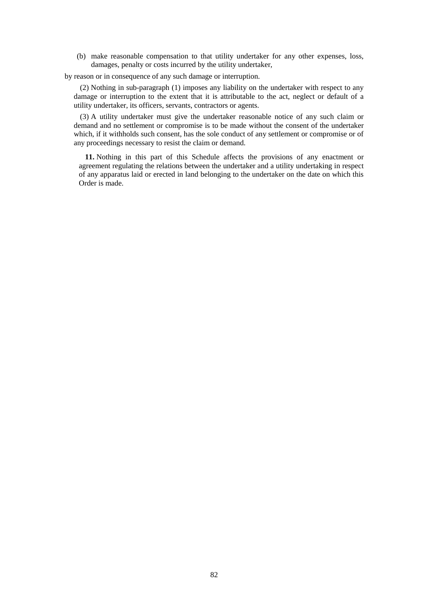(b) make reasonable compensation to that utility undertaker for any other expenses, loss, damages, penalty or costs incurred by the utility undertaker,

by reason or in consequence of any such damage or interruption.

(2) Nothing in sub-paragraph (1) imposes any liability on the undertaker with respect to any damage or interruption to the extent that it is attributable to the act, neglect or default of a utility undertaker, its officers, servants, contractors or agents.

(3) A utility undertaker must give the undertaker reasonable notice of any such claim or demand and no settlement or compromise is to be made without the consent of the undertaker which, if it withholds such consent, has the sole conduct of any settlement or compromise or of any proceedings necessary to resist the claim or demand.

**11.** Nothing in this part of this Schedule affects the provisions of any enactment or agreement regulating the relations between the undertaker and a utility undertaking in respect of any apparatus laid or erected in land belonging to the undertaker on the date on which this Order is made.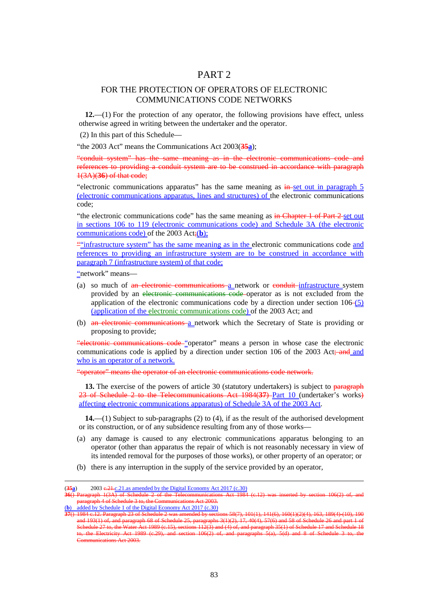# PART 2

### FOR THE PROTECTION OF OPERATORS OF ELECTRONIC COMMUNICATIONS CODE NETWORKS

**12.**—(1) For the protection of any operator, the following provisions have effect, unless otherwise agreed in writing between the undertaker and the operator.

(2) In this part of this Schedule—

"the 2003 Act" means the Communications Act 2003(**35a**);

"conduit system" has the same meaning as in the electronic communications code and references to providing a conduit system are to be construed in accordance with paragraph 1(3A)(**36**) of that code;

"electronic communications apparatus" has the same meaning as  $\frac{1}{2}$  superset out in paragraph 5 (electronic communications apparatus, lines and structures) of the electronic communications code;

"the electronic communications code" has the same meaning as in Chapter 1 of Part 2 set out in sections 106 to 119 (electronic communications code) and Schedule 3A (the electronic communications code) of the 2003 Act;(**b**);

""infrastructure system" has the same meaning as in the electronic communications code and references to providing an infrastructure system are to be construed in accordance with paragraph 7 (infrastructure system) of that code;

"network" means—

- (a) so much of an electronic communications a network or conduit infrastructure system provided by an electronic communications code operator as is not excluded from the application of the electronic communications code by a direction under section  $106-(5)$ (application of the electronic communications code) of the 2003 Act; and
- (b) an electronic communications a network which the Secretary of State is providing or proposing to provide;

"electronic communications code "operator" means a person in whose case the electronic communications code is applied by a direction under section 106 of the 2003 Act: and and who is an operator of a network.

"operator" means the operator of an electronic communications code network.

**13.** The exercise of the powers of article 30 (statutory undertakers) is subject to paragraph 23 of Schedule 2 to the Telecommunications Act 1984(**37**) Part 10 (undertaker's works) affecting electronic communications apparatus) of Schedule 3A of the 2003 Act.

**14.**—(1) Subject to sub-paragraphs (2) to (4), if as the result of the authorised development or its construction, or of any subsidence resulting from any of those works—

- (a) any damage is caused to any electronic communications apparatus belonging to an operator (other than apparatus the repair of which is not reasonably necessary in view of its intended removal for the purposes of those works), or other property of an operator; or
- (b) there is any interruption in the supply of the service provided by an operator,

(**b**) added by Schedule 1 of the Digital Economy Act 2017 (c.30)

<u>.</u>

 $(35a)$  2003 e.  $21$  c. 21. as amended by the Digital Economy Act 2017 (c. 30)

**<sup>36</sup>**() Paragraph 1(3A) of Schedule 2 of the Telecommunications Act 1984 (c.12) was inserted by section 106(2) of, and paragraph 4 of Schedule 3 to, the Communications Act 2003.

**<sup>37</sup>**() 1984 c.12. Paragraph 23 of Schedule 2 was amended by sections 58(7), 101(1), 141(6), 160(1)(2)(4), 163, 189(4)-(10), 190  $\alpha$ dule 25, paragraphs  $3(1)(2)$ chedule 27 to, the Water Act 1989 (c.15), sections 112(3) and (4) of, and paragraph 35(1) of Schedule 17 and Schedule the Electricity Act 1989 (c.29), and section  $106(2)$  of and paragraphs  $5(a)$ ,  $5(d)$ nmunications Act 2003.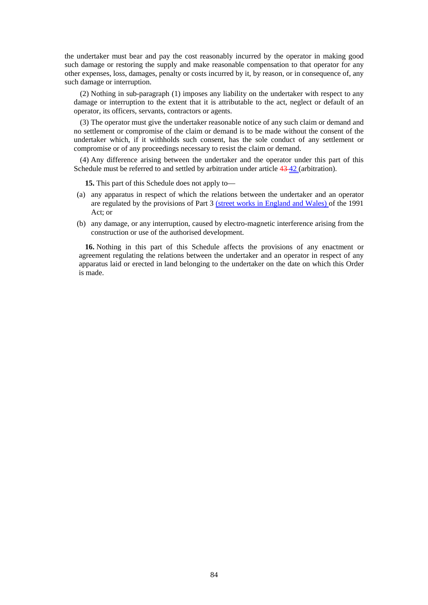the undertaker must bear and pay the cost reasonably incurred by the operator in making good such damage or restoring the supply and make reasonable compensation to that operator for any other expenses, loss, damages, penalty or costs incurred by it, by reason, or in consequence of, any such damage or interruption.

(2) Nothing in sub-paragraph (1) imposes any liability on the undertaker with respect to any damage or interruption to the extent that it is attributable to the act, neglect or default of an operator, its officers, servants, contractors or agents.

(3) The operator must give the undertaker reasonable notice of any such claim or demand and no settlement or compromise of the claim or demand is to be made without the consent of the undertaker which, if it withholds such consent, has the sole conduct of any settlement or compromise or of any proceedings necessary to resist the claim or demand.

(4) Any difference arising between the undertaker and the operator under this part of this Schedule must be referred to and settled by arbitration under article  $43-42$  (arbitration).

**15.** This part of this Schedule does not apply to—

- (a) any apparatus in respect of which the relations between the undertaker and an operator are regulated by the provisions of Part 3 (street works in England and Wales) of the 1991 Act; or
- (b) any damage, or any interruption, caused by electro-magnetic interference arising from the construction or use of the authorised development.

**16.** Nothing in this part of this Schedule affects the provisions of any enactment or agreement regulating the relations between the undertaker and an operator in respect of any apparatus laid or erected in land belonging to the undertaker on the date on which this Order is made.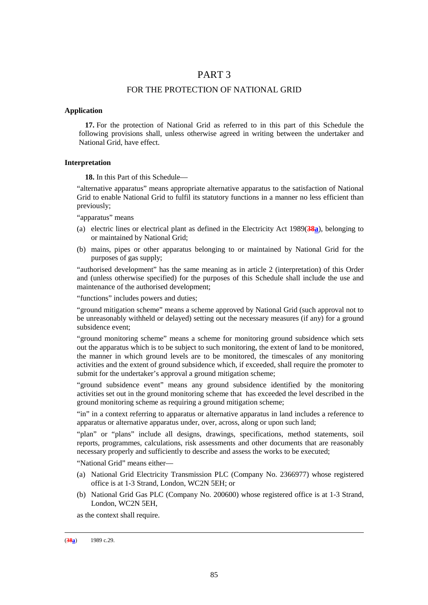# PART 3

### FOR THE PROTECTION OF NATIONAL GRID

#### **Application**

**17.** For the protection of National Grid as referred to in this part of this Schedule the following provisions shall, unless otherwise agreed in writing between the undertaker and National Grid, have effect.

#### **Interpretation**

**18.** In this Part of this Schedule—

"alternative apparatus" means appropriate alternative apparatus to the satisfaction of National Grid to enable National Grid to fulfil its statutory functions in a manner no less efficient than previously;

"apparatus" means

- (a) electric lines or electrical plant as defined in the Electricity Act 1989(**38a**), belonging to or maintained by National Grid;
- (b) mains, pipes or other apparatus belonging to or maintained by National Grid for the purposes of gas supply;

"authorised development" has the same meaning as in article 2 (interpretation) of this Order and (unless otherwise specified) for the purposes of this Schedule shall include the use and maintenance of the authorised development;

"functions" includes powers and duties;

"ground mitigation scheme" means a scheme approved by National Grid (such approval not to be unreasonably withheld or delayed) setting out the necessary measures (if any) for a ground subsidence event;

"ground monitoring scheme" means a scheme for monitoring ground subsidence which sets out the apparatus which is to be subject to such monitoring, the extent of land to be monitored, the manner in which ground levels are to be monitored, the timescales of any monitoring activities and the extent of ground subsidence which, if exceeded, shall require the promoter to submit for the undertaker's approval a ground mitigation scheme;

"ground subsidence event" means any ground subsidence identified by the monitoring activities set out in the ground monitoring scheme that has exceeded the level described in the ground monitoring scheme as requiring a ground mitigation scheme;

"in" in a context referring to apparatus or alternative apparatus in land includes a reference to apparatus or alternative apparatus under, over, across, along or upon such land;

"plan" or "plans" include all designs, drawings, specifications, method statements, soil reports, programmes, calculations, risk assessments and other documents that are reasonably necessary properly and sufficiently to describe and assess the works to be executed;

"National Grid" means either—

- (a) National Grid Electricity Transmission PLC (Company No. 2366977) whose registered office is at 1-3 Strand, London, WC2N 5EH; or
- (b) National Grid Gas PLC (Company No. 200600) whose registered office is at 1-3 Strand, London, WC2N 5EH,

as the context shall require.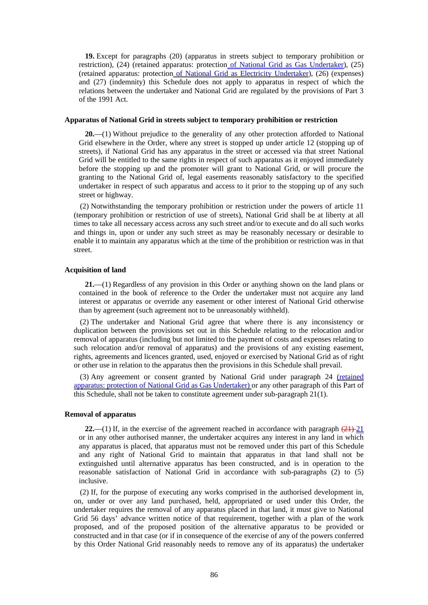**19.** Except for paragraphs (20) (apparatus in streets subject to temporary prohibition or restriction), (24) (retained apparatus: protection of National Grid as Gas Undertaker), (25) (retained apparatus: protection of National Grid as Electricity Undertaker), (26) (expenses) and (27) (indemnity) this Schedule does not apply to apparatus in respect of which the relations between the undertaker and National Grid are regulated by the provisions of Part 3 of the 1991 Act.

#### **Apparatus of National Grid in streets subject to temporary prohibition or restriction**

**20.**—(1) Without prejudice to the generality of any other protection afforded to National Grid elsewhere in the Order, where any street is stopped up under article 12 (stopping up of streets), if National Grid has any apparatus in the street or accessed via that street National Grid will be entitled to the same rights in respect of such apparatus as it enjoyed immediately before the stopping up and the promoter will grant to National Grid, or will procure the granting to the National Grid of, legal easements reasonably satisfactory to the specified undertaker in respect of such apparatus and access to it prior to the stopping up of any such street or highway.

(2) Notwithstanding the temporary prohibition or restriction under the powers of article 11 (temporary prohibition or restriction of use of streets), National Grid shall be at liberty at all times to take all necessary access across any such street and/or to execute and do all such works and things in, upon or under any such street as may be reasonably necessary or desirable to enable it to maintain any apparatus which at the time of the prohibition or restriction was in that street.

#### **Acquisition of land**

**21.**—(1) Regardless of any provision in this Order or anything shown on the land plans or contained in the book of reference to the Order the undertaker must not acquire any land interest or apparatus or override any easement or other interest of National Grid otherwise than by agreement (such agreement not to be unreasonably withheld).

(2) The undertaker and National Grid agree that where there is any inconsistency or duplication between the provisions set out in this Schedule relating to the relocation and/or removal of apparatus (including but not limited to the payment of costs and expenses relating to such relocation and/or removal of apparatus) and the provisions of any existing easement, rights, agreements and licences granted, used, enjoyed or exercised by National Grid as of right or other use in relation to the apparatus then the provisions in this Schedule shall prevail.

(3) Any agreement or consent granted by National Grid under paragraph 24 (retained apparatus: protection of National Grid as Gas Undertaker) or any other paragraph of this Part of this Schedule, shall not be taken to constitute agreement under sub-paragraph 21(1).

### **Removal of apparatus**

**22.**—(1) If, in the exercise of the agreement reached in accordance with paragraph  $(21)$ -21 or in any other authorised manner, the undertaker acquires any interest in any land in which any apparatus is placed, that apparatus must not be removed under this part of this Schedule and any right of National Grid to maintain that apparatus in that land shall not be extinguished until alternative apparatus has been constructed, and is in operation to the reasonable satisfaction of National Grid in accordance with sub-paragraphs (2) to (5) inclusive.

(2) If, for the purpose of executing any works comprised in the authorised development in, on, under or over any land purchased, held, appropriated or used under this Order, the undertaker requires the removal of any apparatus placed in that land, it must give to National Grid 56 days' advance written notice of that requirement, together with a plan of the work proposed, and of the proposed position of the alternative apparatus to be provided or constructed and in that case (or if in consequence of the exercise of any of the powers conferred by this Order National Grid reasonably needs to remove any of its apparatus) the undertaker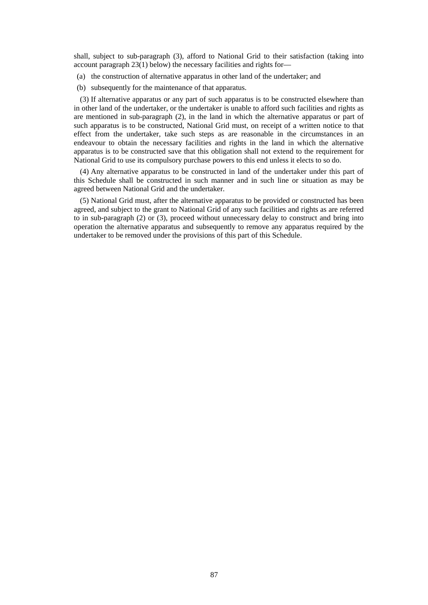shall, subject to sub-paragraph (3), afford to National Grid to their satisfaction (taking into account paragraph 23(1) below) the necessary facilities and rights for—

- (a) the construction of alternative apparatus in other land of the undertaker; and
- (b) subsequently for the maintenance of that apparatus.

(3) If alternative apparatus or any part of such apparatus is to be constructed elsewhere than in other land of the undertaker, or the undertaker is unable to afford such facilities and rights as are mentioned in sub-paragraph (2), in the land in which the alternative apparatus or part of such apparatus is to be constructed, National Grid must, on receipt of a written notice to that effect from the undertaker, take such steps as are reasonable in the circumstances in an endeavour to obtain the necessary facilities and rights in the land in which the alternative apparatus is to be constructed save that this obligation shall not extend to the requirement for National Grid to use its compulsory purchase powers to this end unless it elects to so do.

(4) Any alternative apparatus to be constructed in land of the undertaker under this part of this Schedule shall be constructed in such manner and in such line or situation as may be agreed between National Grid and the undertaker.

(5) National Grid must, after the alternative apparatus to be provided or constructed has been agreed, and subject to the grant to National Grid of any such facilities and rights as are referred to in sub-paragraph (2) or (3), proceed without unnecessary delay to construct and bring into operation the alternative apparatus and subsequently to remove any apparatus required by the undertaker to be removed under the provisions of this part of this Schedule.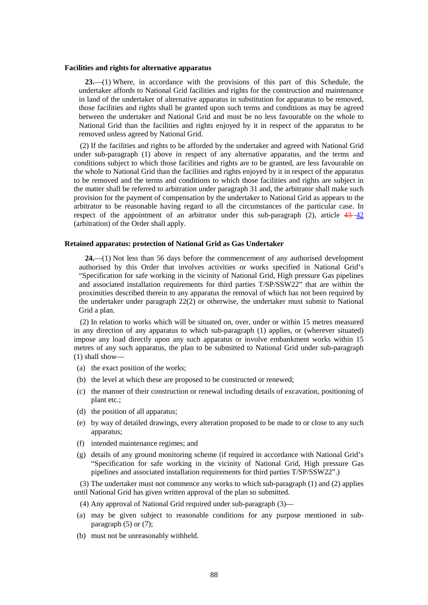#### **Facilities and rights for alternative apparatus**

**23.**—(1) Where, in accordance with the provisions of this part of this Schedule, the undertaker affords to National Grid facilities and rights for the construction and maintenance in land of the undertaker of alternative apparatus in substitution for apparatus to be removed, those facilities and rights shall be granted upon such terms and conditions as may be agreed between the undertaker and National Grid and must be no less favourable on the whole to National Grid than the facilities and rights enjoyed by it in respect of the apparatus to be removed unless agreed by National Grid.

(2) If the facilities and rights to be afforded by the undertaker and agreed with National Grid under sub-paragraph (1) above in respect of any alternative apparatus, and the terms and conditions subject to which those facilities and rights are to be granted, are less favourable on the whole to National Grid than the facilities and rights enjoyed by it in respect of the apparatus to be removed and the terms and conditions to which those facilities and rights are subject in the matter shall be referred to arbitration under paragraph 31 and, the arbitrator shall make such provision for the payment of compensation by the undertaker to National Grid as appears to the arbitrator to be reasonable having regard to all the circumstances of the particular case. In respect of the appointment of an arbitrator under this sub-paragraph (2), article  $43-42$ (arbitration) of the Order shall apply.

#### **Retained apparatus: protection of National Grid as Gas Undertaker**

**24.**—(1) Not less than 56 days before the commencement of any authorised development authorised by this Order that involves activities or works specified in National Grid's "Specification for safe working in the vicinity of National Grid, High pressure Gas pipelines and associated installation requirements for third parties T/SP/SSW22" that are within the proximities described therein to any apparatus the removal of which has not been required by the undertaker under paragraph 22(2) or otherwise, the undertaker must submit to National Grid a plan.

(2) In relation to works which will be situated on, over, under or within 15 metres measured in any direction of any apparatus to which sub-paragraph (1) applies, or (wherever situated) impose any load directly upon any such apparatus or involve embankment works within 15 metres of any such apparatus, the plan to be submitted to National Grid under sub-paragraph (1) shall show—

- (a) the exact position of the works;
- (b) the level at which these are proposed to be constructed or renewed;
- (c) the manner of their construction or renewal including details of excavation, positioning of plant etc.;
- (d) the position of all apparatus;
- (e) by way of detailed drawings, every alteration proposed to be made to or close to any such apparatus;
- (f) intended maintenance regimes; and
- (g) details of any ground monitoring scheme (if required in accordance with National Grid's "Specification for safe working in the vicinity of National Grid, High pressure Gas pipelines and associated installation requirements for third parties T/SP/SSW22".)

(3) The undertaker must not commence any works to which sub-paragraph (1) and (2) applies until National Grid has given written approval of the plan so submitted.

- (4) Any approval of National Grid required under sub-paragraph (3)—
- (a) may be given subject to reasonable conditions for any purpose mentioned in subparagraph (5) or (7);
- (b) must not be unreasonably withheld.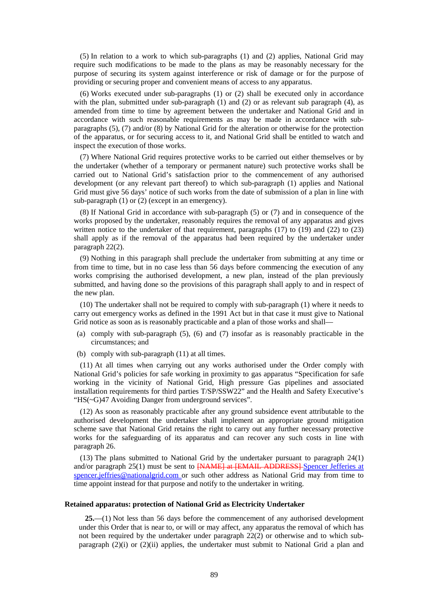(5) In relation to a work to which sub-paragraphs (1) and (2) applies, National Grid may require such modifications to be made to the plans as may be reasonably necessary for the purpose of securing its system against interference or risk of damage or for the purpose of providing or securing proper and convenient means of access to any apparatus.

(6) Works executed under sub-paragraphs (1) or (2) shall be executed only in accordance with the plan, submitted under sub-paragraph (1) and (2) or as relevant sub paragraph (4), as amended from time to time by agreement between the undertaker and National Grid and in accordance with such reasonable requirements as may be made in accordance with subparagraphs (5), (7) and/or (8) by National Grid for the alteration or otherwise for the protection of the apparatus, or for securing access to it, and National Grid shall be entitled to watch and inspect the execution of those works.

(7) Where National Grid requires protective works to be carried out either themselves or by the undertaker (whether of a temporary or permanent nature) such protective works shall be carried out to National Grid's satisfaction prior to the commencement of any authorised development (or any relevant part thereof) to which sub-paragraph (1) applies and National Grid must give 56 days' notice of such works from the date of submission of a plan in line with sub-paragraph  $(1)$  or  $(2)$  (except in an emergency).

(8) If National Grid in accordance with sub-paragraph (5) or (7) and in consequence of the works proposed by the undertaker, reasonably requires the removal of any apparatus and gives written notice to the undertaker of that requirement, paragraphs  $(17)$  to  $(19)$  and  $(22)$  to  $(23)$ shall apply as if the removal of the apparatus had been required by the undertaker under paragraph 22(2).

(9) Nothing in this paragraph shall preclude the undertaker from submitting at any time or from time to time, but in no case less than 56 days before commencing the execution of any works comprising the authorised development, a new plan, instead of the plan previously submitted, and having done so the provisions of this paragraph shall apply to and in respect of the new plan.

(10) The undertaker shall not be required to comply with sub-paragraph (1) where it needs to carry out emergency works as defined in the 1991 Act but in that case it must give to National Grid notice as soon as is reasonably practicable and a plan of those works and shall—

- (a) comply with sub-paragraph (5), (6) and (7) insofar as is reasonably practicable in the circumstances; and
- (b) comply with sub-paragraph (11) at all times.

(11) At all times when carrying out any works authorised under the Order comply with National Grid's policies for safe working in proximity to gas apparatus "Specification for safe working in the vicinity of National Grid, High pressure Gas pipelines and associated installation requirements for third parties T/SP/SSW22" and the Health and Safety Executive's "HS(~G)47 Avoiding Danger from underground services".

(12) As soon as reasonably practicable after any ground subsidence event attributable to the authorised development the undertaker shall implement an appropriate ground mitigation scheme save that National Grid retains the right to carry out any further necessary protective works for the safeguarding of its apparatus and can recover any such costs in line with paragraph 26.

(13) The plans submitted to National Grid by the undertaker pursuant to paragraph 24(1) and/or paragraph 25(1) must be sent to **[NAME] at [EMAIL ADDRESS]** Spencer Jefferies at spencer.jeffries@nationalgrid.com or such other address as National Grid may from time to time appoint instead for that purpose and notify to the undertaker in writing.

#### **Retained apparatus: protection of National Grid as Electricity Undertaker**

**25.**—(1) Not less than 56 days before the commencement of any authorised development under this Order that is near to, or will or may affect, any apparatus the removal of which has not been required by the undertaker under paragraph 22(2) or otherwise and to which subparagraph  $(2)(i)$  or  $(2)(ii)$  applies, the undertaker must submit to National Grid a plan and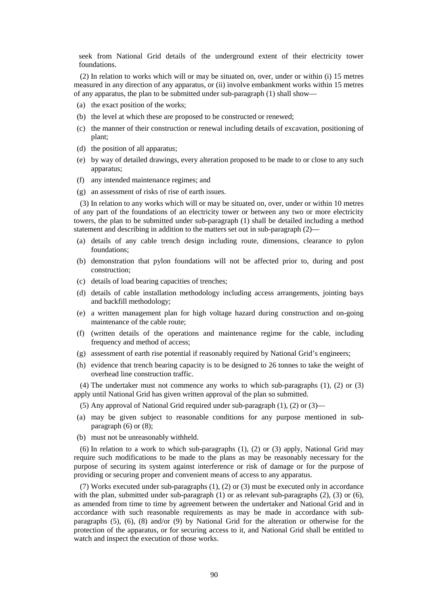seek from National Grid details of the underground extent of their electricity tower foundations.

(2) In relation to works which will or may be situated on, over, under or within (i) 15 metres measured in any direction of any apparatus, or (ii) involve embankment works within 15 metres of any apparatus, the plan to be submitted under sub-paragraph (1) shall show—

- (a) the exact position of the works;
- (b) the level at which these are proposed to be constructed or renewed;
- (c) the manner of their construction or renewal including details of excavation, positioning of plant;
- (d) the position of all apparatus;
- (e) by way of detailed drawings, every alteration proposed to be made to or close to any such apparatus;
- (f) any intended maintenance regimes; and
- (g) an assessment of risks of rise of earth issues.

(3) In relation to any works which will or may be situated on, over, under or within 10 metres of any part of the foundations of an electricity tower or between any two or more electricity towers, the plan to be submitted under sub-paragraph (1) shall be detailed including a method statement and describing in addition to the matters set out in sub-paragraph (2)—

- (a) details of any cable trench design including route, dimensions, clearance to pylon foundations;
- (b) demonstration that pylon foundations will not be affected prior to, during and post construction;
- (c) details of load bearing capacities of trenches;
- (d) details of cable installation methodology including access arrangements, jointing bays and backfill methodology;
- (e) a written management plan for high voltage hazard during construction and on-going maintenance of the cable route;
- (f) (written details of the operations and maintenance regime for the cable, including frequency and method of access;
- (g) assessment of earth rise potential if reasonably required by National Grid's engineers;
- (h) evidence that trench bearing capacity is to be designed to 26 tonnes to take the weight of overhead line construction traffic.

(4) The undertaker must not commence any works to which sub-paragraphs (1), (2) or (3) apply until National Grid has given written approval of the plan so submitted.

- (5) Any approval of National Grid required under sub-paragraph (1), (2) or (3)—
- (a) may be given subject to reasonable conditions for any purpose mentioned in subparagraph (6) or (8);
- (b) must not be unreasonably withheld.

(6) In relation to a work to which sub-paragraphs (1), (2) or (3) apply, National Grid may require such modifications to be made to the plans as may be reasonably necessary for the purpose of securing its system against interference or risk of damage or for the purpose of providing or securing proper and convenient means of access to any apparatus.

(7) Works executed under sub-paragraphs (1), (2) or (3) must be executed only in accordance with the plan, submitted under sub-paragraph (1) or as relevant sub-paragraphs (2), (3) or (6), as amended from time to time by agreement between the undertaker and National Grid and in accordance with such reasonable requirements as may be made in accordance with subparagraphs (5), (6), (8) and/or (9) by National Grid for the alteration or otherwise for the protection of the apparatus, or for securing access to it, and National Grid shall be entitled to watch and inspect the execution of those works.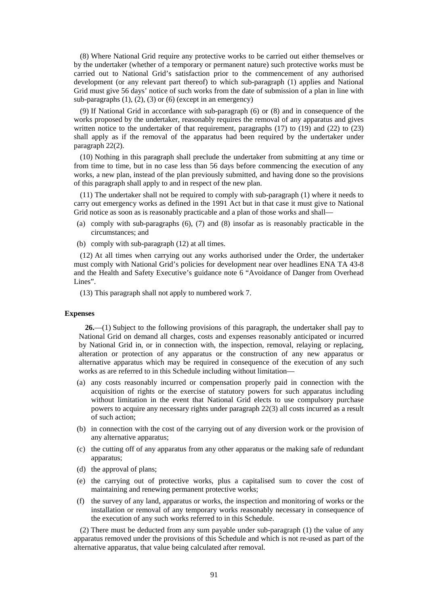(8) Where National Grid require any protective works to be carried out either themselves or by the undertaker (whether of a temporary or permanent nature) such protective works must be carried out to National Grid's satisfaction prior to the commencement of any authorised development (or any relevant part thereof) to which sub-paragraph (1) applies and National Grid must give 56 days' notice of such works from the date of submission of a plan in line with sub-paragraphs  $(1)$ ,  $(2)$ ,  $(3)$  or  $(6)$  (except in an emergency)

(9) If National Grid in accordance with sub-paragraph (6) or (8) and in consequence of the works proposed by the undertaker, reasonably requires the removal of any apparatus and gives written notice to the undertaker of that requirement, paragraphs  $(17)$  to  $(19)$  and  $(22)$  to  $(23)$ shall apply as if the removal of the apparatus had been required by the undertaker under paragraph 22(2).

(10) Nothing in this paragraph shall preclude the undertaker from submitting at any time or from time to time, but in no case less than 56 days before commencing the execution of any works, a new plan, instead of the plan previously submitted, and having done so the provisions of this paragraph shall apply to and in respect of the new plan.

(11) The undertaker shall not be required to comply with sub-paragraph (1) where it needs to carry out emergency works as defined in the 1991 Act but in that case it must give to National Grid notice as soon as is reasonably practicable and a plan of those works and shall—

- (a) comply with sub-paragraphs (6), (7) and (8) insofar as is reasonably practicable in the circumstances; and
- (b) comply with sub-paragraph (12) at all times.

(12) At all times when carrying out any works authorised under the Order, the undertaker must comply with National Grid's policies for development near over headlines ENA TA 43-8 and the Health and Safety Executive's guidance note 6 "Avoidance of Danger from Overhead Lines".

(13) This paragraph shall not apply to numbered work 7.

#### **Expenses**

**26.**—(1) Subject to the following provisions of this paragraph, the undertaker shall pay to National Grid on demand all charges, costs and expenses reasonably anticipated or incurred by National Grid in, or in connection with, the inspection, removal, relaying or replacing, alteration or protection of any apparatus or the construction of any new apparatus or alternative apparatus which may be required in consequence of the execution of any such works as are referred to in this Schedule including without limitation—

- (a) any costs reasonably incurred or compensation properly paid in connection with the acquisition of rights or the exercise of statutory powers for such apparatus including without limitation in the event that National Grid elects to use compulsory purchase powers to acquire any necessary rights under paragraph 22(3) all costs incurred as a result of such action;
- (b) in connection with the cost of the carrying out of any diversion work or the provision of any alternative apparatus;
- (c) the cutting off of any apparatus from any other apparatus or the making safe of redundant apparatus;
- (d) the approval of plans;
- (e) the carrying out of protective works, plus a capitalised sum to cover the cost of maintaining and renewing permanent protective works;
- (f) the survey of any land, apparatus or works, the inspection and monitoring of works or the installation or removal of any temporary works reasonably necessary in consequence of the execution of any such works referred to in this Schedule.

(2) There must be deducted from any sum payable under sub-paragraph (1) the value of any apparatus removed under the provisions of this Schedule and which is not re-used as part of the alternative apparatus, that value being calculated after removal.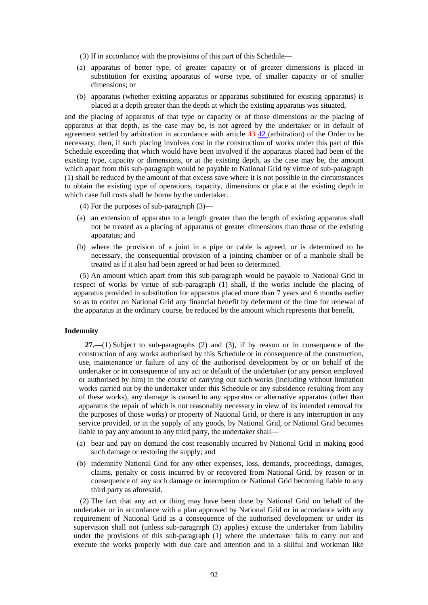- (3) If in accordance with the provisions of this part of this Schedule—
- (a) apparatus of better type, of greater capacity or of greater dimensions is placed in substitution for existing apparatus of worse type, of smaller capacity or of smaller dimensions; or
- (b) apparatus (whether existing apparatus or apparatus substituted for existing apparatus) is placed at a depth greater than the depth at which the existing apparatus was situated,

and the placing of apparatus of that type or capacity or of those dimensions or the placing of apparatus at that depth, as the case may be, is not agreed by the undertaker or in default of agreement settled by arbitration in accordance with article  $43-42$  (arbitration) of the Order to be necessary, then, if such placing involves cost in the construction of works under this part of this Schedule exceeding that which would have been involved if the apparatus placed had been of the existing type, capacity or dimensions, or at the existing depth, as the case may be, the amount which apart from this sub-paragraph would be payable to National Grid by virtue of sub-paragraph (1) shall be reduced by the amount of that excess save where it is not possible in the circumstances to obtain the existing type of operations, capacity, dimensions or place at the existing depth in which case full costs shall be borne by the undertaker.

- (4) For the purposes of sub-paragraph (3)—
- (a) an extension of apparatus to a length greater than the length of existing apparatus shall not be treated as a placing of apparatus of greater dimensions than those of the existing apparatus; and
- (b) where the provision of a joint in a pipe or cable is agreed, or is determined to be necessary, the consequential provision of a jointing chamber or of a manhole shall be treated as if it also had been agreed or had been so determined.

(5) An amount which apart from this sub-paragraph would be payable to National Grid in respect of works by virtue of sub-paragraph (1) shall, if the works include the placing of apparatus provided in substitution for apparatus placed more than 7 years and 6 months earlier so as to confer on National Grid any financial benefit by deferment of the time for renewal of the apparatus in the ordinary course, be reduced by the amount which represents that benefit.

#### **Indemnity**

**27.**—(1) Subject to sub-paragraphs (2) and (3), if by reason or in consequence of the construction of any works authorised by this Schedule or in consequence of the construction, use, maintenance or failure of any of the authorised development by or on behalf of the undertaker or in consequence of any act or default of the undertaker (or any person employed or authorised by him) in the course of carrying out such works (including without limitation works carried out by the undertaker under this Schedule or any subsidence resulting from any of these works), any damage is caused to any apparatus or alternative apparatus (other than apparatus the repair of which is not reasonably necessary in view of its intended removal for the purposes of those works) or property of National Grid, or there is any interruption in any service provided, or in the supply of any goods, by National Grid, or National Grid becomes liable to pay any amount to any third party, the undertaker shall—

- (a) bear and pay on demand the cost reasonably incurred by National Grid in making good such damage or restoring the supply; and
- (b) indemnify National Grid for any other expenses, loss, demands, proceedings, damages, claims, penalty or costs incurred by or recovered from National Grid, by reason or in consequence of any such damage or interruption or National Grid becoming liable to any third party as aforesaid.

(2) The fact that any act or thing may have been done by National Grid on behalf of the undertaker or in accordance with a plan approved by National Grid or in accordance with any requirement of National Grid as a consequence of the authorised development or under its supervision shall not (unless sub-paragraph (3) applies) excuse the undertaker from liability under the provisions of this sub-paragraph (1) where the undertaker fails to carry out and execute the works properly with due care and attention and in a skilful and workman like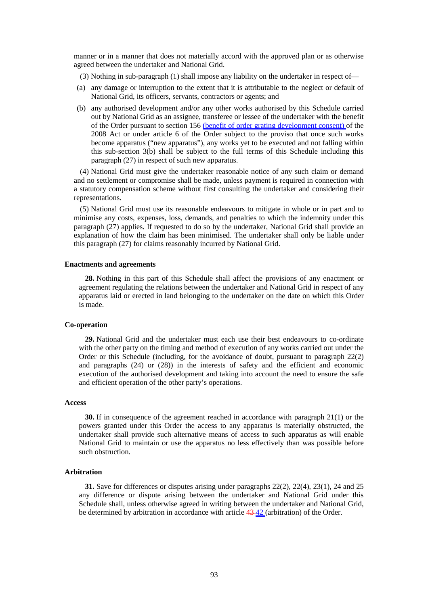manner or in a manner that does not materially accord with the approved plan or as otherwise agreed between the undertaker and National Grid.

- (3) Nothing in sub-paragraph (1) shall impose any liability on the undertaker in respect of—
- (a) any damage or interruption to the extent that it is attributable to the neglect or default of National Grid, its officers, servants, contractors or agents; and
- (b) any authorised development and/or any other works authorised by this Schedule carried out by National Grid as an assignee, transferee or lessee of the undertaker with the benefit of the Order pursuant to section 156 (benefit of order grating development consent) of the 2008 Act or under article 6 of the Order subject to the proviso that once such works become apparatus ("new apparatus"), any works yet to be executed and not falling within this sub-section 3(b) shall be subject to the full terms of this Schedule including this paragraph (27) in respect of such new apparatus.

(4) National Grid must give the undertaker reasonable notice of any such claim or demand and no settlement or compromise shall be made, unless payment is required in connection with a statutory compensation scheme without first consulting the undertaker and considering their representations.

(5) National Grid must use its reasonable endeavours to mitigate in whole or in part and to minimise any costs, expenses, loss, demands, and penalties to which the indemnity under this paragraph (27) applies. If requested to do so by the undertaker, National Grid shall provide an explanation of how the claim has been minimised. The undertaker shall only be liable under this paragraph (27) for claims reasonably incurred by National Grid.

#### **Enactments and agreements**

**28.** Nothing in this part of this Schedule shall affect the provisions of any enactment or agreement regulating the relations between the undertaker and National Grid in respect of any apparatus laid or erected in land belonging to the undertaker on the date on which this Order is made.

#### **Co-operation**

**29.** National Grid and the undertaker must each use their best endeavours to co-ordinate with the other party on the timing and method of execution of any works carried out under the Order or this Schedule (including, for the avoidance of doubt, pursuant to paragraph 22(2) and paragraphs (24) or (28)) in the interests of safety and the efficient and economic execution of the authorised development and taking into account the need to ensure the safe and efficient operation of the other party's operations.

#### **Access**

**30.** If in consequence of the agreement reached in accordance with paragraph 21(1) or the powers granted under this Order the access to any apparatus is materially obstructed, the undertaker shall provide such alternative means of access to such apparatus as will enable National Grid to maintain or use the apparatus no less effectively than was possible before such obstruction.

#### **Arbitration**

**31.** Save for differences or disputes arising under paragraphs 22(2), 22(4), 23(1), 24 and 25 any difference or dispute arising between the undertaker and National Grid under this Schedule shall, unless otherwise agreed in writing between the undertaker and National Grid, be determined by arbitration in accordance with article 43 42 (arbitration) of the Order.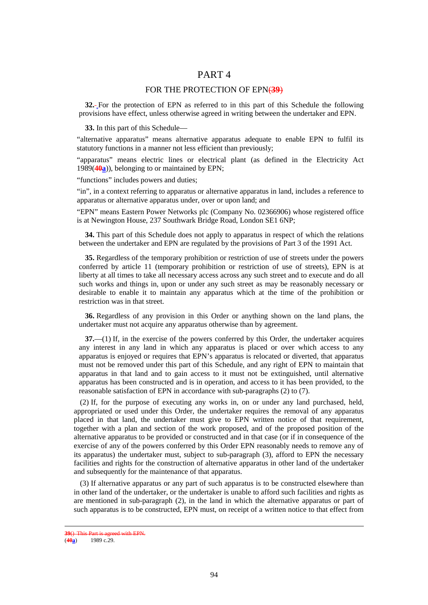# PART 4

### FOR THE PROTECTION OF EPN(39)

**32.** For the protection of EPN as referred to in this part of this Schedule the following provisions have effect, unless otherwise agreed in writing between the undertaker and EPN.

**33.** In this part of this Schedule—

"alternative apparatus" means alternative apparatus adequate to enable EPN to fulfil its statutory functions in a manner not less efficient than previously;

"apparatus" means electric lines or electrical plant (as defined in the Electricity Act 1989(**40a**)), belonging to or maintained by EPN;

"functions" includes powers and duties;

"in", in a context referring to apparatus or alternative apparatus in land, includes a reference to apparatus or alternative apparatus under, over or upon land; and

"EPN" means Eastern Power Networks plc (Company No. 02366906) whose registered office is at Newington House, 237 Southwark Bridge Road, London SE1 6NP;

**34.** This part of this Schedule does not apply to apparatus in respect of which the relations between the undertaker and EPN are regulated by the provisions of Part 3 of the 1991 Act.

**35.** Regardless of the temporary prohibition or restriction of use of streets under the powers conferred by article 11 (temporary prohibition or restriction of use of streets), EPN is at liberty at all times to take all necessary access across any such street and to execute and do all such works and things in, upon or under any such street as may be reasonably necessary or desirable to enable it to maintain any apparatus which at the time of the prohibition or restriction was in that street.

**36.** Regardless of any provision in this Order or anything shown on the land plans, the undertaker must not acquire any apparatus otherwise than by agreement.

**37.**—(1) If, in the exercise of the powers conferred by this Order, the undertaker acquires any interest in any land in which any apparatus is placed or over which access to any apparatus is enjoyed or requires that EPN's apparatus is relocated or diverted, that apparatus must not be removed under this part of this Schedule, and any right of EPN to maintain that apparatus in that land and to gain access to it must not be extinguished, until alternative apparatus has been constructed and is in operation, and access to it has been provided, to the reasonable satisfaction of EPN in accordance with sub-paragraphs (2) to (7).

(2) If, for the purpose of executing any works in, on or under any land purchased, held, appropriated or used under this Order, the undertaker requires the removal of any apparatus placed in that land, the undertaker must give to EPN written notice of that requirement, together with a plan and section of the work proposed, and of the proposed position of the alternative apparatus to be provided or constructed and in that case (or if in consequence of the exercise of any of the powers conferred by this Order EPN reasonably needs to remove any of its apparatus) the undertaker must, subject to sub-paragraph (3), afford to EPN the necessary facilities and rights for the construction of alternative apparatus in other land of the undertaker and subsequently for the maintenance of that apparatus.

(3) If alternative apparatus or any part of such apparatus is to be constructed elsewhere than in other land of the undertaker, or the undertaker is unable to afford such facilities and rights as are mentioned in sub-paragraph (2), in the land in which the alternative apparatus or part of such apparatus is to be constructed, EPN must, on receipt of a written notice to that effect from

<u>.</u>

**<sup>39</sup>**() This Part is agreed with EPN.<br> $(40a)$  1989 c.29. (**40a**) 1989 c.29.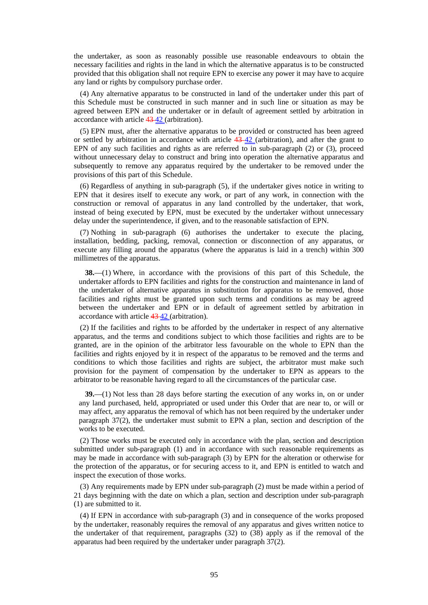the undertaker, as soon as reasonably possible use reasonable endeavours to obtain the necessary facilities and rights in the land in which the alternative apparatus is to be constructed provided that this obligation shall not require EPN to exercise any power it may have to acquire any land or rights by compulsory purchase order.

(4) Any alternative apparatus to be constructed in land of the undertaker under this part of this Schedule must be constructed in such manner and in such line or situation as may be agreed between EPN and the undertaker or in default of agreement settled by arbitration in accordance with article 43 42 (arbitration).

(5) EPN must, after the alternative apparatus to be provided or constructed has been agreed or settled by arbitration in accordance with article  $43-42$  (arbitration), and after the grant to EPN of any such facilities and rights as are referred to in sub-paragraph (2) or (3), proceed without unnecessary delay to construct and bring into operation the alternative apparatus and subsequently to remove any apparatus required by the undertaker to be removed under the provisions of this part of this Schedule.

(6) Regardless of anything in sub-paragraph (5), if the undertaker gives notice in writing to EPN that it desires itself to execute any work, or part of any work, in connection with the construction or removal of apparatus in any land controlled by the undertaker, that work, instead of being executed by EPN, must be executed by the undertaker without unnecessary delay under the superintendence, if given, and to the reasonable satisfaction of EPN.

(7) Nothing in sub-paragraph (6) authorises the undertaker to execute the placing, installation, bedding, packing, removal, connection or disconnection of any apparatus, or execute any filling around the apparatus (where the apparatus is laid in a trench) within 300 millimetres of the apparatus.

**38.**—(1) Where, in accordance with the provisions of this part of this Schedule, the undertaker affords to EPN facilities and rights for the construction and maintenance in land of the undertaker of alternative apparatus in substitution for apparatus to be removed, those facilities and rights must be granted upon such terms and conditions as may be agreed between the undertaker and EPN or in default of agreement settled by arbitration in accordance with article 43 42 (arbitration).

(2) If the facilities and rights to be afforded by the undertaker in respect of any alternative apparatus, and the terms and conditions subject to which those facilities and rights are to be granted, are in the opinion of the arbitrator less favourable on the whole to EPN than the facilities and rights enjoyed by it in respect of the apparatus to be removed and the terms and conditions to which those facilities and rights are subject, the arbitrator must make such provision for the payment of compensation by the undertaker to EPN as appears to the arbitrator to be reasonable having regard to all the circumstances of the particular case.

**39.**—(1) Not less than 28 days before starting the execution of any works in, on or under any land purchased, held, appropriated or used under this Order that are near to, or will or may affect, any apparatus the removal of which has not been required by the undertaker under paragraph 37(2), the undertaker must submit to EPN a plan, section and description of the works to be executed.

(2) Those works must be executed only in accordance with the plan, section and description submitted under sub-paragraph (1) and in accordance with such reasonable requirements as may be made in accordance with sub-paragraph (3) by EPN for the alteration or otherwise for the protection of the apparatus, or for securing access to it, and EPN is entitled to watch and inspect the execution of those works.

(3) Any requirements made by EPN under sub-paragraph (2) must be made within a period of 21 days beginning with the date on which a plan, section and description under sub-paragraph (1) are submitted to it.

(4) If EPN in accordance with sub-paragraph (3) and in consequence of the works proposed by the undertaker, reasonably requires the removal of any apparatus and gives written notice to the undertaker of that requirement, paragraphs (32) to (38) apply as if the removal of the apparatus had been required by the undertaker under paragraph 37(2).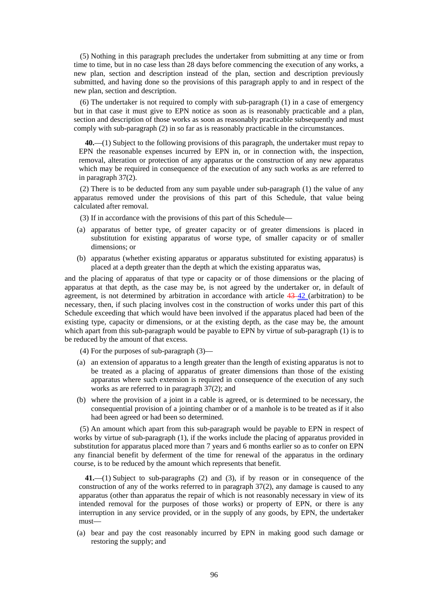(5) Nothing in this paragraph precludes the undertaker from submitting at any time or from time to time, but in no case less than 28 days before commencing the execution of any works, a new plan, section and description instead of the plan, section and description previously submitted, and having done so the provisions of this paragraph apply to and in respect of the new plan, section and description.

(6) The undertaker is not required to comply with sub-paragraph (1) in a case of emergency but in that case it must give to EPN notice as soon as is reasonably practicable and a plan, section and description of those works as soon as reasonably practicable subsequently and must comply with sub-paragraph (2) in so far as is reasonably practicable in the circumstances.

**40.**—(1) Subject to the following provisions of this paragraph, the undertaker must repay to EPN the reasonable expenses incurred by EPN in, or in connection with, the inspection, removal, alteration or protection of any apparatus or the construction of any new apparatus which may be required in consequence of the execution of any such works as are referred to in paragraph 37(2).

(2) There is to be deducted from any sum payable under sub-paragraph (1) the value of any apparatus removed under the provisions of this part of this Schedule, that value being calculated after removal.

- (3) If in accordance with the provisions of this part of this Schedule—
- (a) apparatus of better type, of greater capacity or of greater dimensions is placed in substitution for existing apparatus of worse type, of smaller capacity or of smaller dimensions; or
- (b) apparatus (whether existing apparatus or apparatus substituted for existing apparatus) is placed at a depth greater than the depth at which the existing apparatus was,

and the placing of apparatus of that type or capacity or of those dimensions or the placing of apparatus at that depth, as the case may be, is not agreed by the undertaker or, in default of agreement, is not determined by arbitration in accordance with article 43-42 (arbitration) to be necessary, then, if such placing involves cost in the construction of works under this part of this Schedule exceeding that which would have been involved if the apparatus placed had been of the existing type, capacity or dimensions, or at the existing depth, as the case may be, the amount which apart from this sub-paragraph would be payable to EPN by virtue of sub-paragraph (1) is to be reduced by the amount of that excess.

- (4) For the purposes of sub-paragraph (3)—
- (a) an extension of apparatus to a length greater than the length of existing apparatus is not to be treated as a placing of apparatus of greater dimensions than those of the existing apparatus where such extension is required in consequence of the execution of any such works as are referred to in paragraph 37(2); and
- (b) where the provision of a joint in a cable is agreed, or is determined to be necessary, the consequential provision of a jointing chamber or of a manhole is to be treated as if it also had been agreed or had been so determined.

(5) An amount which apart from this sub-paragraph would be payable to EPN in respect of works by virtue of sub-paragraph (1), if the works include the placing of apparatus provided in substitution for apparatus placed more than 7 years and 6 months earlier so as to confer on EPN any financial benefit by deferment of the time for renewal of the apparatus in the ordinary course, is to be reduced by the amount which represents that benefit.

**41.**—(1) Subject to sub-paragraphs (2) and (3), if by reason or in consequence of the construction of any of the works referred to in paragraph 37(2), any damage is caused to any apparatus (other than apparatus the repair of which is not reasonably necessary in view of its intended removal for the purposes of those works) or property of EPN, or there is any interruption in any service provided, or in the supply of any goods, by EPN, the undertaker must—

(a) bear and pay the cost reasonably incurred by EPN in making good such damage or restoring the supply; and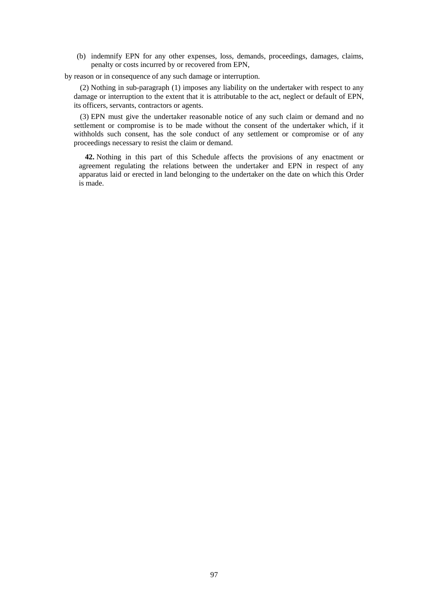(b) indemnify EPN for any other expenses, loss, demands, proceedings, damages, claims, penalty or costs incurred by or recovered from EPN,

by reason or in consequence of any such damage or interruption.

(2) Nothing in sub-paragraph (1) imposes any liability on the undertaker with respect to any damage or interruption to the extent that it is attributable to the act, neglect or default of EPN, its officers, servants, contractors or agents.

(3) EPN must give the undertaker reasonable notice of any such claim or demand and no settlement or compromise is to be made without the consent of the undertaker which, if it withholds such consent, has the sole conduct of any settlement or compromise or of any proceedings necessary to resist the claim or demand.

**42.** Nothing in this part of this Schedule affects the provisions of any enactment or agreement regulating the relations between the undertaker and EPN in respect of any apparatus laid or erected in land belonging to the undertaker on the date on which this Order is made.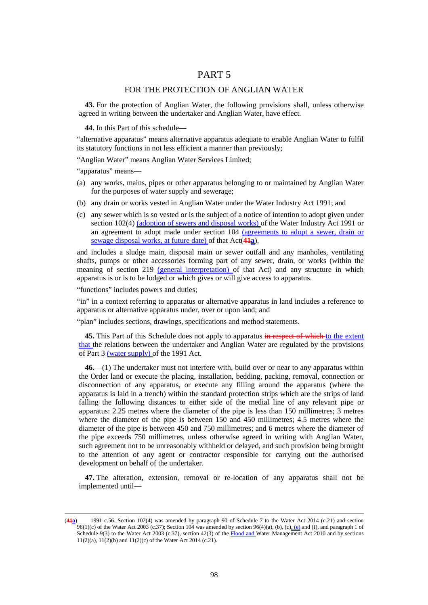# PART 5

### FOR THE PROTECTION OF ANGLIAN WATER

**43.** For the protection of Anglian Water, the following provisions shall, unless otherwise agreed in writing between the undertaker and Anglian Water, have effect.

**44.** In this Part of this schedule—

"alternative apparatus" means alternative apparatus adequate to enable Anglian Water to fulfil its statutory functions in not less efficient a manner than previously;

"Anglian Water" means Anglian Water Services Limited;

"apparatus" means—

<u>.</u>

- (a) any works, mains, pipes or other apparatus belonging to or maintained by Anglian Water for the purposes of water supply and sewerage;
- (b) any drain or works vested in Anglian Water under the Water Industry Act 1991; and
- (c) any sewer which is so vested or is the subject of a notice of intention to adopt given under section 102(4) (adoption of sewers and disposal works) of the Water Industry Act 1991 or an agreement to adopt made under section 104 (agreements to adopt a sewer, drain or sewage disposal works, at future date) of that Act(**41a**),

and includes a sludge main, disposal main or sewer outfall and any manholes, ventilating shafts, pumps or other accessories forming part of any sewer, drain, or works (within the meaning of section 219 (general interpretation) of that Act) and any structure in which apparatus is or is to be lodged or which gives or will give access to apparatus.

"functions" includes powers and duties;

"in" in a context referring to apparatus or alternative apparatus in land includes a reference to apparatus or alternative apparatus under, over or upon land; and

"plan" includes sections, drawings, specifications and method statements.

**45.** This Part of this Schedule does not apply to apparatus in respect of which to the extent that the relations between the undertaker and Anglian Water are regulated by the provisions of Part 3 (water supply) of the 1991 Act.

**46.**—(1) The undertaker must not interfere with, build over or near to any apparatus within the Order land or execute the placing, installation, bedding, packing, removal, connection or disconnection of any apparatus, or execute any filling around the apparatus (where the apparatus is laid in a trench) within the standard protection strips which are the strips of land falling the following distances to either side of the medial line of any relevant pipe or apparatus: 2.25 metres where the diameter of the pipe is less than 150 millimetres; 3 metres where the diameter of the pipe is between 150 and 450 millimetres; 4.5 metres where the diameter of the pipe is between 450 and 750 millimetres; and 6 metres where the diameter of the pipe exceeds 750 millimetres, unless otherwise agreed in writing with Anglian Water, such agreement not to be unreasonably withheld or delayed, and such provision being brought to the attention of any agent or contractor responsible for carrying out the authorised development on behalf of the undertaker.

**47.** The alteration, extension, removal or re-location of any apparatus shall not be implemented until—

<sup>(</sup>**41a**) 1991 c.56. Section 102(4) was amended by paragraph 90 of Schedule 7 to the Water Act 2014 (c.21) and section 96(1)(c) of the Water Act 2003 (c.37); Section 104 was amended by section 96(4)(a), (b), (c), (e) and (f), and paragraph 1 of Schedule 9(3) to the Water Act 2003 (c.37), section 42(3) of the  $Flood$  and Water Management Act 2010 and by sections 11(2)(a), 11(2)(b) and 11(2)(c) of the Water Act 2014 (c.21).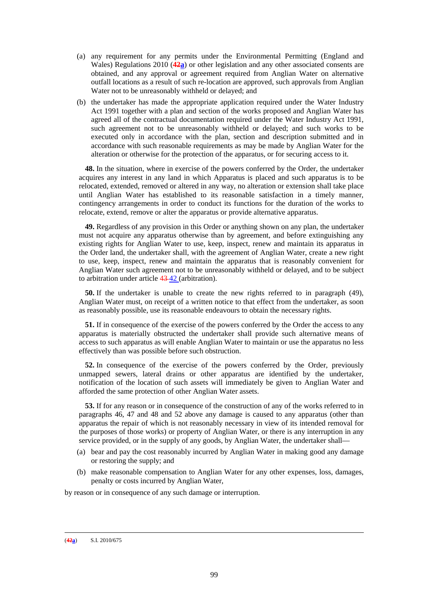- (a) any requirement for any permits under the Environmental Permitting (England and Wales) Regulations 2010 (**42a**) or other legislation and any other associated consents are obtained, and any approval or agreement required from Anglian Water on alternative outfall locations as a result of such re-location are approved, such approvals from Anglian Water not to be unreasonably withheld or delayed; and
- (b) the undertaker has made the appropriate application required under the Water Industry Act 1991 together with a plan and section of the works proposed and Anglian Water has agreed all of the contractual documentation required under the Water Industry Act 1991, such agreement not to be unreasonably withheld or delayed; and such works to be executed only in accordance with the plan, section and description submitted and in accordance with such reasonable requirements as may be made by Anglian Water for the alteration or otherwise for the protection of the apparatus, or for securing access to it.

**48.** In the situation, where in exercise of the powers conferred by the Order, the undertaker acquires any interest in any land in which Apparatus is placed and such apparatus is to be relocated, extended, removed or altered in any way, no alteration or extension shall take place until Anglian Water has established to its reasonable satisfaction in a timely manner, contingency arrangements in order to conduct its functions for the duration of the works to relocate, extend, remove or alter the apparatus or provide alternative apparatus.

**49.** Regardless of any provision in this Order or anything shown on any plan, the undertaker must not acquire any apparatus otherwise than by agreement, and before extinguishing any existing rights for Anglian Water to use, keep, inspect, renew and maintain its apparatus in the Order land, the undertaker shall, with the agreement of Anglian Water, create a new right to use, keep, inspect, renew and maintain the apparatus that is reasonably convenient for Anglian Water such agreement not to be unreasonably withheld or delayed, and to be subject to arbitration under article 43 42 (arbitration).

**50.** If the undertaker is unable to create the new rights referred to in paragraph (49), Anglian Water must, on receipt of a written notice to that effect from the undertaker, as soon as reasonably possible, use its reasonable endeavours to obtain the necessary rights.

**51.** If in consequence of the exercise of the powers conferred by the Order the access to any apparatus is materially obstructed the undertaker shall provide such alternative means of access to such apparatus as will enable Anglian Water to maintain or use the apparatus no less effectively than was possible before such obstruction.

**52.** In consequence of the exercise of the powers conferred by the Order, previously unmapped sewers, lateral drains or other apparatus are identified by the undertaker, notification of the location of such assets will immediately be given to Anglian Water and afforded the same protection of other Anglian Water assets.

**53.** If for any reason or in consequence of the construction of any of the works referred to in paragraphs 46, 47 and 48 and 52 above any damage is caused to any apparatus (other than apparatus the repair of which is not reasonably necessary in view of its intended removal for the purposes of those works) or property of Anglian Water, or there is any interruption in any service provided, or in the supply of any goods, by Anglian Water, the undertaker shall—

- (a) bear and pay the cost reasonably incurred by Anglian Water in making good any damage or restoring the supply; and
- (b) make reasonable compensation to Anglian Water for any other expenses, loss, damages, penalty or costs incurred by Anglian Water,

by reason or in consequence of any such damage or interruption.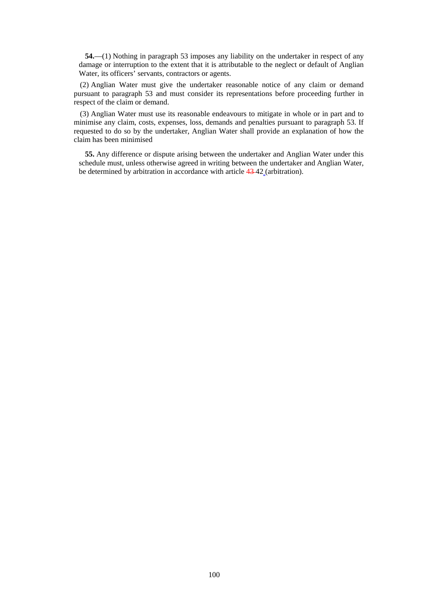**54.**—(1) Nothing in paragraph 53 imposes any liability on the undertaker in respect of any damage or interruption to the extent that it is attributable to the neglect or default of Anglian Water, its officers' servants, contractors or agents.

(2) Anglian Water must give the undertaker reasonable notice of any claim or demand pursuant to paragraph 53 and must consider its representations before proceeding further in respect of the claim or demand.

(3) Anglian Water must use its reasonable endeavours to mitigate in whole or in part and to minimise any claim, costs, expenses, loss, demands and penalties pursuant to paragraph 53. If requested to do so by the undertaker, Anglian Water shall provide an explanation of how the claim has been minimised

**55.** Any difference or dispute arising between the undertaker and Anglian Water under this schedule must, unless otherwise agreed in writing between the undertaker and Anglian Water, be determined by arbitration in accordance with article 43 42 (arbitration).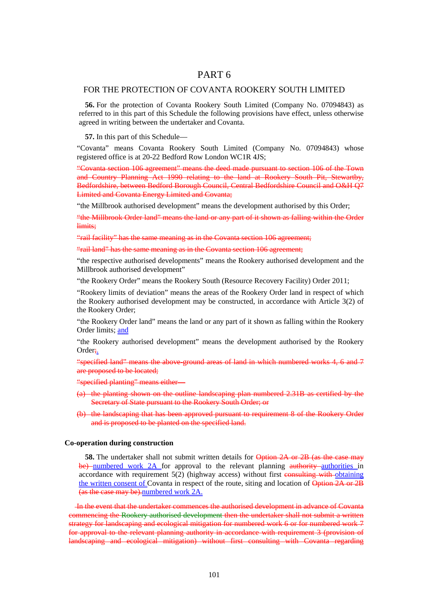# PART 6

### FOR THE PROTECTION OF COVANTA ROOKERY SOUTH LIMITED

**56.** For the protection of Covanta Rookery South Limited (Company No. 07094843) as referred to in this part of this Schedule the following provisions have effect, unless otherwise agreed in writing between the undertaker and Covanta.

**57.** In this part of this Schedule—

"Covanta" means Covanta Rookery South Limited (Company No. 07094843) whose registered office is at 20-22 Bedford Row London WC1R 4JS;

"Covanta section 106 agreement" means the deed made pursuant to section 106 of the Town and Country Planning Act 1990 relating to the land at Rookery South Pit, Stewartby, Bedfordshire, between Bedford Borough Council, Central Bedfordshire Council and O&H Q7 Limited and Covanta Energy Limited and Covanta;

"the Millbrook authorised development" means the development authorised by this Order;

"the Millbrook Order land" means the land or any part of it shown as falling within the Order limits;

"rail facility" has the same meaning as in the Covanta section 106 agreement;

"rail land" has the same meaning as in the Covanta section 106 agreement;

"the respective authorised developments" means the Rookery authorised development and the Millbrook authorised development"

"the Rookery Order" means the Rookery South (Resource Recovery Facility) Order 2011;

"Rookery limits of deviation" means the areas of the Rookery Order land in respect of which the Rookery authorised development may be constructed, in accordance with Article 3(2) of the Rookery Order;

"the Rookery Order land" means the land or any part of it shown as falling within the Rookery Order limits; and

"the Rookery authorised development" means the development authorised by the Rookery Order<sub>i</sub>.

"specified land" means the above-ground areas of land in which numbered works 4, 6 and 7 are proposed to be located;

"specified planting" means either—

- (a) the planting shown on the outline landscaping plan numbered 2.31B as certified by the Secretary of State pursuant to the Rookery South Order; or
- (b) the landscaping that has been approved pursuant to requirement 8 of the Rookery Order and is proposed to be planted on the specified land.

#### **Co-operation during construction**

**58.** The undertaker shall not submit written details for **Option 2A or 2B** (as the case may be) numbered work 2A for approval to the relevant planning authority authorities in accordance with requirement  $5(2)$  (highway access) without first consulting with obtaining the written consent of Covanta in respect of the route, siting and location of Option 2A or 2B (as the case may be).numbered work 2A.

 In the event that the undertaker commences the authorised development in advance of Covanta commencing the Rookery authorised development then the undertaker shall not submit a written strategy for landscaping and ecological mitigation for numbered work 6 or for numbered work 7 for approval to the relevant planning authority in accordance with requirement 3 (provision of landscaping and ecological mitigation) without first consulting with Covanta regarding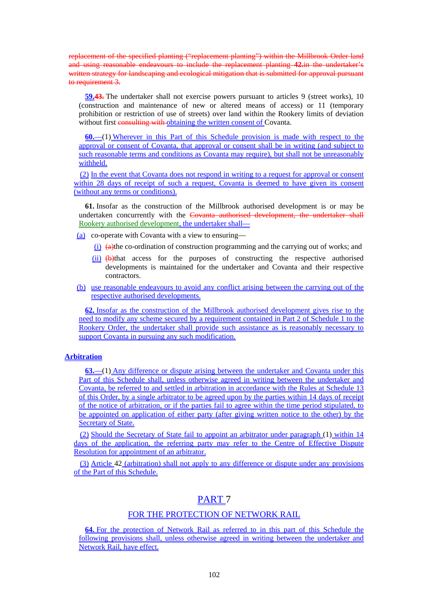replacement of the specified planting ("replacement planting") within the Millbrook Order land and using reasonable endeavours to include the replacement planting **42.**in the undertaker's written strategy for landscaping and ecological mitigation that is submitted for approval pursuant to requirement 3.

**59.43.** The undertaker shall not exercise powers pursuant to articles 9 (street works), 10 (construction and maintenance of new or altered means of access) or 11 (temporary prohibition or restriction of use of streets) over land within the Rookery limits of deviation without first consulting with obtaining the written consent of Covanta.

**60.**—(1) Wherever in this Part of this Schedule provision is made with respect to the approval or consent of Covanta, that approval or consent shall be in writing (and subject to such reasonable terms and conditions as Covanta may require), but shall not be unreasonably withheld.

(2) In the event that Covanta does not respond in writing to a request for approval or consent within 28 days of receipt of such a request, Covanta is deemed to have given its consent (without any terms or conditions).

**61.** Insofar as the construction of the Millbrook authorised development is or may be undertaken concurrently with the Covanta authorised development, the undertaker shall Rookery authorised development, the undertaker shall—

- (a) co-operate with Covanta with a view to ensuring—
	- $(i)$   $\leftrightarrow$   $(i)$   $\leftrightarrow$   $(i)$   $\leftrightarrow$   $(i)$   $\leftrightarrow$   $(i)$   $\leftrightarrow$   $(i)$   $\leftrightarrow$   $(i)$   $\leftrightarrow$   $(i)$   $\leftrightarrow$   $(i)$   $\leftrightarrow$   $(i)$   $\leftrightarrow$   $(i)$   $\leftrightarrow$   $(i)$   $\leftrightarrow$   $(i)$   $\leftrightarrow$   $(i)$   $\leftrightarrow$   $(i)$   $\leftrightarrow$   $(i)$   $\leftrightarrow$   $(i)$   $\leftrightarrow$   $(i)$   $\leftrightarrow$   $(i)$   $\leftrightarrow$   $(i)$   $\leftrightarrow$   $(i)$   $\leftrightarrow$   $(i)$   $\leftrightarrow$
	- (ii) (b)that access for the purposes of constructing the respective authorised developments is maintained for the undertaker and Covanta and their respective contractors.
- (b) use reasonable endeavours to avoid any conflict arising between the carrying out of the respective authorised developments.

**62.** Insofar as the construction of the Millbrook authorised development gives rise to the need to modify any scheme secured by a requirement contained in Part 2 of Schedule 1 to the Rookery Order, the undertaker shall provide such assistance as is reasonably necessary to support Covanta in pursuing any such modification.

### **Arbitration**

**63.**—(1) Any difference or dispute arising between the undertaker and Covanta under this Part of this Schedule shall, unless otherwise agreed in writing between the undertaker and Covanta, be referred to and settled in arbitration in accordance with the Rules at Schedule 13 of this Order, by a single arbitrator to be agreed upon by the parties within 14 days of receipt of the notice of arbitration, or if the parties fail to agree within the time period stipulated, to be appointed on application of either party (after giving written notice to the other) by the Secretary of State.

(2) Should the Secretary of State fail to appoint an arbitrator under paragraph (1) within 14 days of the application, the referring party may refer to the Centre of Effective Dispute Resolution for appointment of an arbitrator.

(3) Article 42 (arbitration) shall not apply to any difference or dispute under any provisions of the Part of this Schedule.

# PART 7

### FOR THE PROTECTION OF NETWORK RAIL

**64.** For the protection of Network Rail as referred to in this part of this Schedule the following provisions shall, unless otherwise agreed in writing between the undertaker and Network Rail, have effect.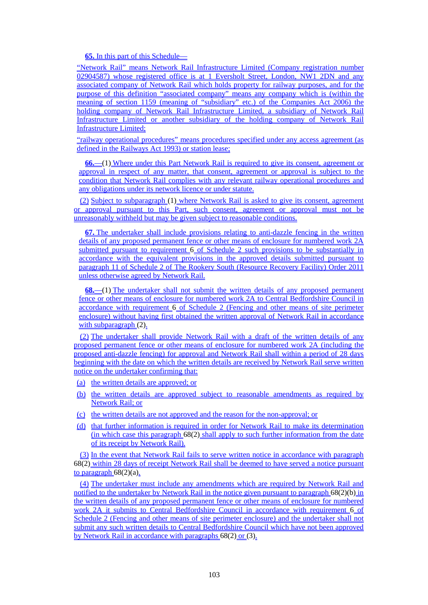**65.** In this part of this Schedule—

"Network Rail" means Network Rail Infrastructure Limited (Company registration number 02904587) whose registered office is at 1 Eversholt Street, London, NW1 2DN and any associated company of Network Rail which holds property for railway purposes, and for the purpose of this definition "associated company" means any company which is (within the meaning of section 1159 (meaning of "subsidiary" etc.) of the Companies Act 2006) the holding company of Network Rail Infrastructure Limited, a subsidiary of Network Rail Infrastructure Limited or another subsidiary of the holding company of Network Rail Infrastructure Limited;

"railway operational procedures" means procedures specified under any access agreement (as defined in the Railways Act 1993) or station lease;

**66.**—(1) Where under this Part Network Rail is required to give its consent, agreement or approval in respect of any matter, that consent, agreement or approval is subject to the condition that Network Rail complies with any relevant railway operational procedures and any obligations under its network licence or under statute.

(2) Subject to subparagraph (1) where Network Rail is asked to give its consent, agreement or approval pursuant to this Part, such consent, agreement or approval must not be unreasonably withheld but may be given subject to reasonable conditions.

**67.** The undertaker shall include provisions relating to anti-dazzle fencing in the written details of any proposed permanent fence or other means of enclosure for numbered work 2A submitted pursuant to requirement  $\overline{6}$  of Schedule 2 such provisions to be substantially in accordance with the equivalent provisions in the approved details submitted pursuant to paragraph 11 of Schedule 2 of The Rookery South (Resource Recovery Facility) Order 2011 unless otherwise agreed by Network Rail.

**68.**—(1) The undertaker shall not submit the written details of any proposed permanent fence or other means of enclosure for numbered work 2A to Central Bedfordshire Council in accordance with requirement 6 of Schedule 2 (Fencing and other means of site perimeter enclosure) without having first obtained the written approval of Network Rail in accordance with subparagraph (2).

(2) The undertaker shall provide Network Rail with a draft of the written details of any proposed permanent fence or other means of enclosure for numbered work 2A (including the proposed anti-dazzle fencing) for approval and Network Rail shall within a period of 28 days beginning with the date on which the written details are received by Network Rail serve written notice on the undertaker confirming that:

- (a) the written details are approved; or
- (b) the written details are approved subject to reasonable amendments as required by Network Rail; or
- (c) the written details are not approved and the reason for the non-approval; or
- (d) that further information is required in order for Network Rail to make its determination (in which case this paragraph 68(2) shall apply to such further information from the date of its receipt by Network Rail).

(3) In the event that Network Rail fails to serve written notice in accordance with paragraph 68(2) within 28 days of receipt Network Rail shall be deemed to have served a notice pursuant to paragraph  $68(2)(a)$ .

(4) The undertaker must include any amendments which are required by Network Rail and notified to the undertaker by Network Rail in the notice given pursuant to paragraph 68(2)(b) in the written details of any proposed permanent fence or other means of enclosure for numbered work 2A it submits to Central Bedfordshire Council in accordance with requirement 6 of Schedule 2 (Fencing and other means of site perimeter enclosure) and the undertaker shall not submit any such written details to Central Bedfordshire Council which have not been approved by Network Rail in accordance with paragraphs 68(2) or (3).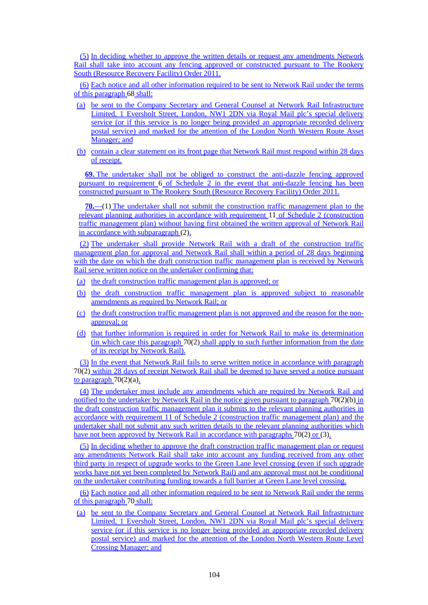(5) In deciding whether to approve the written details or request any amendments Network Rail shall take into account any fencing approved or constructed pursuant to The Rookery South (Resource Recovery Facility) Order 2011.

(6) Each notice and all other information required to be sent to Network Rail under the terms of this paragraph 68 shall:

- (a) be sent to the Company Secretary and General Counsel at Network Rail Infrastructure Limited, 1 Eversholt Street, London, NW1 2DN via Royal Mail plc's special delivery service (or if this service is no longer being provided an appropriate recorded delivery postal service) and marked for the attention of the London North Western Route Asset Manager; and
- (b) contain a clear statement on its front page that Network Rail must respond within 28 days of receipt.

**69.** The undertaker shall not be obliged to construct the anti-dazzle fencing approved pursuant to requirement 6 of Schedule 2 in the event that anti-dazzle fencing has been constructed pursuant to The Rookery South (Resource Recovery Facility) Order 2011.

**70.**—(1) The undertaker shall not submit the construction traffic management plan to the relevant planning authorities in accordance with requirement 11 of Schedule 2 (construction traffic management plan) without having first obtained the written approval of Network Rail in accordance with subparagraph (2).

(2) The undertaker shall provide Network Rail with a draft of the construction traffic management plan for approval and Network Rail shall within a period of 28 days beginning with the date on which the draft construction traffic management plan is received by Network Rail serve written notice on the undertaker confirming that:

- (a) the draft construction traffic management plan is approved; or
- (b) the draft construction traffic management plan is approved subject to reasonable amendments as required by Network Rail; or
- (c) the draft construction traffic management plan is not approved and the reason for the nonapproval; or
- (d) that further information is required in order for Network Rail to make its determination (in which case this paragraph 70(2) shall apply to such further information from the date of its receipt by Network Rail).

(3) In the event that Network Rail fails to serve written notice in accordance with paragraph 70(2) within 28 days of receipt Network Rail shall be deemed to have served a notice pursuant to paragraph  $70(2)(a)$ .

(4) The undertaker must include any amendments which are required by Network Rail and notified to the undertaker by Network Rail in the notice given pursuant to paragraph 70(2)(b) in the draft construction traffic management plan it submits to the relevant planning authorities in accordance with requirement 11 of Schedule 2 (construction traffic management plan) and the undertaker shall not submit any such written details to the relevant planning authorities which have not been approved by Network Rail in accordance with paragraphs 70(2) or (3).

(5) In deciding whether to approve the draft construction traffic management plan or request any amendments Network Rail shall take into account any funding received from any other third party in respect of upgrade works to the Green Lane level crossing (even if such upgrade works have not yet been completed by Network Rail) and any approval must not be conditional on the undertaker contributing funding towards a full barrier at Green Lane level crossing.

(6) Each notice and all other information required to be sent to Network Rail under the terms of this paragraph 70 shall:

(a) be sent to the Company Secretary and General Counsel at Network Rail Infrastructure Limited, 1 Eversholt Street, London, NW1 2DN via Royal Mail plc's special delivery service (or if this service is no longer being provided an appropriate recorded delivery postal service) and marked for the attention of the London North Western Route Level Crossing Manager; and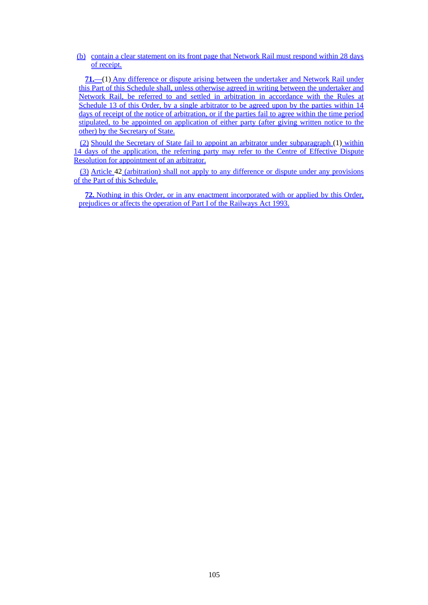(b) contain a clear statement on its front page that Network Rail must respond within 28 days of receipt.

**71.**—(1) Any difference or dispute arising between the undertaker and Network Rail under this Part of this Schedule shall, unless otherwise agreed in writing between the undertaker and Network Rail, be referred to and settled in arbitration in accordance with the Rules at Schedule 13 of this Order, by a single arbitrator to be agreed upon by the parties within 14 days of receipt of the notice of arbitration, or if the parties fail to agree within the time period stipulated, to be appointed on application of either party (after giving written notice to the other) by the Secretary of State.

(2) Should the Secretary of State fail to appoint an arbitrator under subparagraph (1) within 14 days of the application, the referring party may refer to the Centre of Effective Dispute Resolution for appointment of an arbitrator.

(3) Article 42 (arbitration) shall not apply to any difference or dispute under any provisions of the Part of this Schedule.

**72.** Nothing in this Order, or in any enactment incorporated with or applied by this Order, prejudices or affects the operation of Part I of the Railways Act 1993.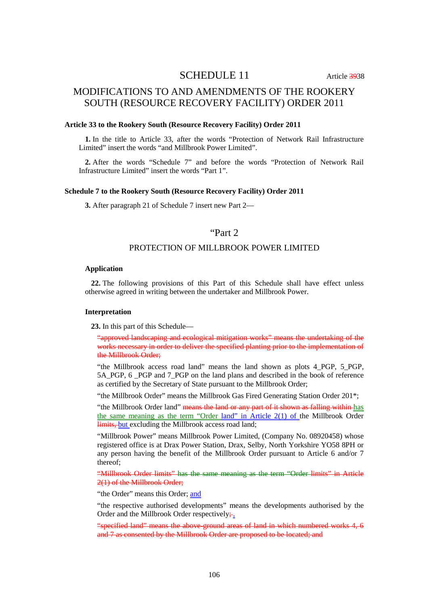# SCHEDULE 11 Article 3938

# MODIFICATIONS TO AND AMENDMENTS OF THE ROOKERY SOUTH (RESOURCE RECOVERY FACILITY) ORDER 2011

#### **Article 33 to the Rookery South (Resource Recovery Facility) Order 2011**

**1.** In the title to Article 33, after the words "Protection of Network Rail Infrastructure Limited" insert the words "and Millbrook Power Limited".

**2.** After the words "Schedule 7" and before the words "Protection of Network Rail Infrastructure Limited" insert the words "Part 1".

#### **Schedule 7 to the Rookery South (Resource Recovery Facility) Order 2011**

**3.** After paragraph 21 of Schedule 7 insert new Part 2—

# "Part 2

### PROTECTION OF MILLBROOK POWER LIMITED

#### **Application**

**22.** The following provisions of this Part of this Schedule shall have effect unless otherwise agreed in writing between the undertaker and Millbrook Power.

#### **Interpretation**

**23.** In this part of this Schedule—

"approved landscaping and ecological mitigation works" means the undertaking of the works necessary in order to deliver the specified planting prior to the implementation of the Millbrook Order;

"the Millbrook access road land" means the land shown as plots 4\_PGP, 5\_PGP, 5A PGP, 6 PGP and 7 PGP on the land plans and described in the book of reference as certified by the Secretary of State pursuant to the Millbrook Order;

"the Millbrook Order" means the Millbrook Gas Fired Generating Station Order 201\*;

"the Millbrook Order land" means the land or any part of it shown as falling within has the same meaning as the term "Order land" in Article 2(1) of the Millbrook Order limits, but excluding the Millbrook access road land;

"Millbrook Power" means Millbrook Power Limited, (Company No. 08920458) whose registered office is at Drax Power Station, Drax, Selby, North Yorkshire YO58 8PH or any person having the benefit of the Millbrook Order pursuant to Article 6 and/or 7 thereof;

"Millbrook Order limits" has the same meaning as the term "Order limits" in Article 2(1) of the Millbrook Order;

"the Order" means this Order; and

"the respective authorised developments" means the developments authorised by the Order and the Millbrook Order respectively $\div$ .

"specified land" means the above-ground areas of land in which numbered works 4, 6 and 7 as consented by the Millbrook Order are proposed to be located; and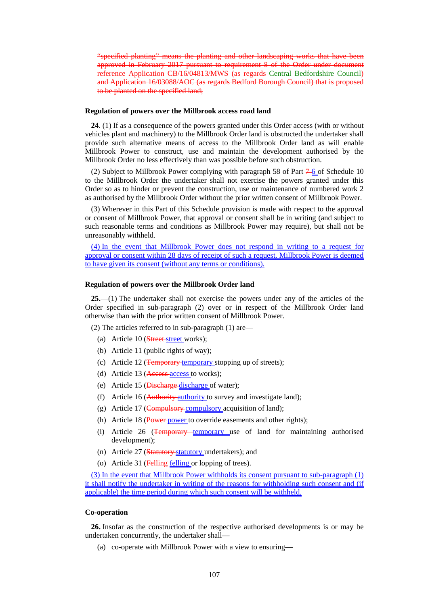"specified planting" means the planting and other landscaping works that have been approved in February 2017 pursuant to requirement 8 of the Order under document reference Application CB/16/04813/MWS (as regards Central Bedfordshire Council) and Application 16/03088/AOC (as regards Bedford Borough Council) that is proposed to be planted on the specified land;

#### **Regulation of powers over the Millbrook access road land**

**24**. (1) If as a consequence of the powers granted under this Order access (with or without vehicles plant and machinery) to the Millbrook Order land is obstructed the undertaker shall provide such alternative means of access to the Millbrook Order land as will enable Millbrook Power to construct, use and maintain the development authorised by the Millbrook Order no less effectively than was possible before such obstruction.

(2) Subject to Millbrook Power complying with paragraph 58 of Part  $7\frac{1}{6}$  of Schedule 10 to the Millbrook Order the undertaker shall not exercise the powers granted under this Order so as to hinder or prevent the construction, use or maintenance of numbered work 2 as authorised by the Millbrook Order without the prior written consent of Millbrook Power.

(3) Wherever in this Part of this Schedule provision is made with respect to the approval or consent of Millbrook Power, that approval or consent shall be in writing (and subject to such reasonable terms and conditions as Millbrook Power may require), but shall not be unreasonably withheld.

(4) In the event that Millbrook Power does not respond in writing to a request for approval or consent within 28 days of receipt of such a request, Millbrook Power is deemed to have given its consent (without any terms or conditions).

#### **Regulation of powers over the Millbrook Order land**

**25.**—(1) The undertaker shall not exercise the powers under any of the articles of the Order specified in sub-paragraph (2) over or in respect of the Millbrook Order land otherwise than with the prior written consent of Millbrook Power.

(2) The articles referred to in sub-paragraph (1) are—

- (a) Article  $10$  (Street street works);
- (b) Article 11 (public rights of way);
- (c) Article 12 (Temporary temporary stopping up of streets);
- (d) Article 13 (Access access to works);
- (e) Article 15 (Discharge discharge of water);
- (f) Article 16 (Authority authority to survey and investigate land);
- (g) Article 17 (Compulsory compulsory acquisition of land);
- (h) Article 18 (Power power to override easements and other rights);
- (i) Article 26 (Temporary temporary use of land for maintaining authorised development);
- (n) Article 27 (Statutory statutory undertakers); and
- (o) Article 31 (Felling felling or lopping of trees).

(3) In the event that Millbrook Power withholds its consent pursuant to sub-paragraph (1) it shall notify the undertaker in writing of the reasons for withholding such consent and (if applicable) the time period during which such consent will be withheld.

#### **Co-operation**

**26.** Insofar as the construction of the respective authorised developments is or may be undertaken concurrently, the undertaker shall—

(a) co-operate with Millbrook Power with a view to ensuring—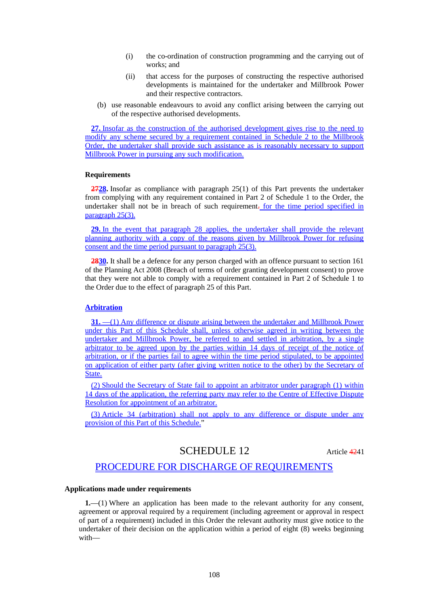- (i) the co-ordination of construction programming and the carrying out of works; and
- (ii) that access for the purposes of constructing the respective authorised developments is maintained for the undertaker and Millbrook Power and their respective contractors.
- (b) use reasonable endeavours to avoid any conflict arising between the carrying out of the respective authorised developments.

**27.** Insofar as the construction of the authorised development gives rise to the need to modify any scheme secured by a requirement contained in Schedule 2 to the Millbrook Order, the undertaker shall provide such assistance as is reasonably necessary to support Millbrook Power in pursuing any such modification.

#### **Requirements**

**2728.** Insofar as compliance with paragraph 25(1) of this Part prevents the undertaker from complying with any requirement contained in Part 2 of Schedule 1 to the Order, the undertaker shall not be in breach of such requirement. for the time period specified in paragraph 25(3).

**29.** In the event that paragraph 28 applies, the undertaker shall provide the relevant planning authority with a copy of the reasons given by Millbrook Power for refusing consent and the time period pursuant to paragraph 25(3).

**2830.** It shall be a defence for any person charged with an offence pursuant to section 161 of the Planning Act 2008 (Breach of terms of order granting development consent) to prove that they were not able to comply with a requirement contained in Part 2 of Schedule 1 to the Order due to the effect of paragraph 25 of this Part.

#### **Arbitration**

**31.** —(1) Any difference or dispute arising between the undertaker and Millbrook Power under this Part of this Schedule shall, unless otherwise agreed in writing between the undertaker and Millbrook Power, be referred to and settled in arbitration, by a single arbitrator to be agreed upon by the parties within 14 days of receipt of the notice of arbitration, or if the parties fail to agree within the time period stipulated, to be appointed on application of either party (after giving written notice to the other) by the Secretary of State.

(2) Should the Secretary of State fail to appoint an arbitrator under paragraph (1) within 14 days of the application, the referring party may refer to the Centre of Effective Dispute Resolution for appointment of an arbitrator.

(3) Article 34 (arbitration) shall not apply to any difference or dispute under any provision of this Part of this Schedule."

## SCHEDULE 12 Article 4241

## PROCEDURE FOR DISCHARGE OF REQUIREMENTS

### **Applications made under requirements**

**1.**—(1) Where an application has been made to the relevant authority for any consent, agreement or approval required by a requirement (including agreement or approval in respect of part of a requirement) included in this Order the relevant authority must give notice to the undertaker of their decision on the application within a period of eight (8) weeks beginning with—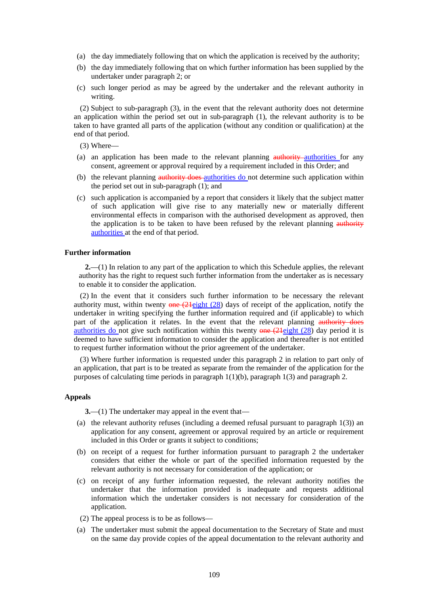- (a) the day immediately following that on which the application is received by the authority;
- (b) the day immediately following that on which further information has been supplied by the undertaker under paragraph 2; or
- (c) such longer period as may be agreed by the undertaker and the relevant authority in writing.

(2) Subject to sub-paragraph (3), in the event that the relevant authority does not determine an application within the period set out in sub-paragraph (1), the relevant authority is to be taken to have granted all parts of the application (without any condition or qualification) at the end of that period.

(3) Where—

- (a) an application has been made to the relevant planning authority authorities for any consent, agreement or approval required by a requirement included in this Order; and
- (b) the relevant planning authority does authorities do not determine such application within the period set out in sub-paragraph (1); and
- (c) such application is accompanied by a report that considers it likely that the subject matter of such application will give rise to any materially new or materially different environmental effects in comparison with the authorised development as approved, then the application is to be taken to have been refused by the relevant planning authority authorities at the end of that period.

#### **Further information**

**2.**—(1) In relation to any part of the application to which this Schedule applies, the relevant authority has the right to request such further information from the undertaker as is necessary to enable it to consider the application.

(2) In the event that it considers such further information to be necessary the relevant authority must, within twenty  $\theta$  =  $(21$ eight (28) days of receipt of the application, notify the undertaker in writing specifying the further information required and (if applicable) to which part of the application it relates. In the event that the relevant planning authority does authorities do not give such notification within this twenty  $\theta$  =  $\theta$  (24eight (28) day period it is deemed to have sufficient information to consider the application and thereafter is not entitled to request further information without the prior agreement of the undertaker.

(3) Where further information is requested under this paragraph 2 in relation to part only of an application, that part is to be treated as separate from the remainder of the application for the purposes of calculating time periods in paragraph  $1(1)(b)$ , paragraph  $1(3)$  and paragraph 2.

### **Appeals**

**3.**—(1) The undertaker may appeal in the event that—

- (a) the relevant authority refuses (including a deemed refusal pursuant to paragraph 1(3)) an application for any consent, agreement or approval required by an article or requirement included in this Order or grants it subject to conditions;
- (b) on receipt of a request for further information pursuant to paragraph 2 the undertaker considers that either the whole or part of the specified information requested by the relevant authority is not necessary for consideration of the application; or
- (c) on receipt of any further information requested, the relevant authority notifies the undertaker that the information provided is inadequate and requests additional information which the undertaker considers is not necessary for consideration of the application.
- (2) The appeal process is to be as follows—
- (a) The undertaker must submit the appeal documentation to the Secretary of State and must on the same day provide copies of the appeal documentation to the relevant authority and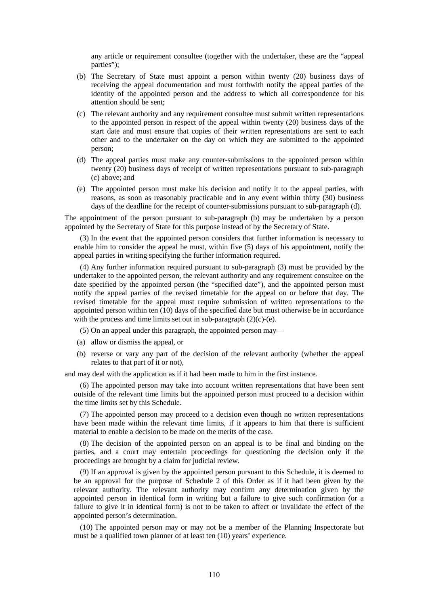any article or requirement consultee (together with the undertaker, these are the "appeal parties");

- (b) The Secretary of State must appoint a person within twenty (20) business days of receiving the appeal documentation and must forthwith notify the appeal parties of the identity of the appointed person and the address to which all correspondence for his attention should be sent;
- (c) The relevant authority and any requirement consultee must submit written representations to the appointed person in respect of the appeal within twenty (20) business days of the start date and must ensure that copies of their written representations are sent to each other and to the undertaker on the day on which they are submitted to the appointed person;
- (d) The appeal parties must make any counter-submissions to the appointed person within twenty (20) business days of receipt of written representations pursuant to sub-paragraph (c) above; and
- (e) The appointed person must make his decision and notify it to the appeal parties, with reasons, as soon as reasonably practicable and in any event within thirty (30) business days of the deadline for the receipt of counter-submissions pursuant to sub-paragraph (d).

The appointment of the person pursuant to sub-paragraph (b) may be undertaken by a person appointed by the Secretary of State for this purpose instead of by the Secretary of State.

(3) In the event that the appointed person considers that further information is necessary to enable him to consider the appeal he must, within five (5) days of his appointment, notify the appeal parties in writing specifying the further information required.

(4) Any further information required pursuant to sub-paragraph (3) must be provided by the undertaker to the appointed person, the relevant authority and any requirement consultee on the date specified by the appointed person (the "specified date"), and the appointed person must notify the appeal parties of the revised timetable for the appeal on or before that day. The revised timetable for the appeal must require submission of written representations to the appointed person within ten (10) days of the specified date but must otherwise be in accordance with the process and time limits set out in sub-paragraph (2)(c)-(e).

- (5) On an appeal under this paragraph, the appointed person may—
- (a) allow or dismiss the appeal, or
- (b) reverse or vary any part of the decision of the relevant authority (whether the appeal relates to that part of it or not),

and may deal with the application as if it had been made to him in the first instance.

(6) The appointed person may take into account written representations that have been sent outside of the relevant time limits but the appointed person must proceed to a decision within the time limits set by this Schedule.

(7) The appointed person may proceed to a decision even though no written representations have been made within the relevant time limits, if it appears to him that there is sufficient material to enable a decision to be made on the merits of the case.

(8) The decision of the appointed person on an appeal is to be final and binding on the parties, and a court may entertain proceedings for questioning the decision only if the proceedings are brought by a claim for judicial review.

(9) If an approval is given by the appointed person pursuant to this Schedule, it is deemed to be an approval for the purpose of Schedule 2 of this Order as if it had been given by the relevant authority. The relevant authority may confirm any determination given by the appointed person in identical form in writing but a failure to give such confirmation (or a failure to give it in identical form) is not to be taken to affect or invalidate the effect of the appointed person's determination.

(10) The appointed person may or may not be a member of the Planning Inspectorate but must be a qualified town planner of at least ten (10) years' experience.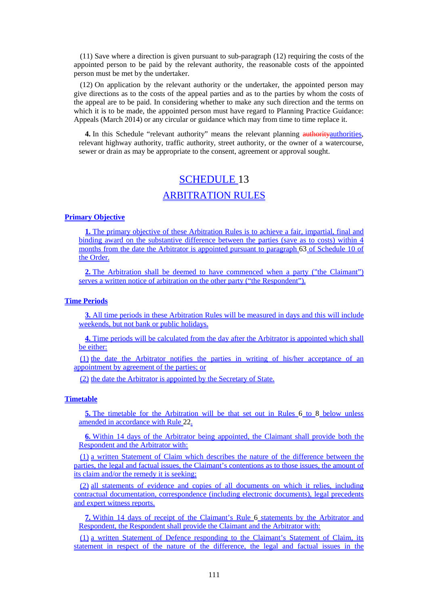(11) Save where a direction is given pursuant to sub-paragraph (12) requiring the costs of the appointed person to be paid by the relevant authority, the reasonable costs of the appointed person must be met by the undertaker.

(12) On application by the relevant authority or the undertaker, the appointed person may give directions as to the costs of the appeal parties and as to the parties by whom the costs of the appeal are to be paid. In considering whether to make any such direction and the terms on which it is to be made, the appointed person must have regard to Planning Practice Guidance: Appeals (March 2014) or any circular or guidance which may from time to time replace it.

4. In this Schedule "relevant authority" means the relevant planning authority authorities, relevant highway authority, traffic authority, street authority, or the owner of a watercourse, sewer or drain as may be appropriate to the consent, agreement or approval sought.

# SCHEDULE 13 ARBITRATION RULES

## **Primary Objective**

**1.** The primary objective of these Arbitration Rules is to achieve a fair, impartial, final and binding award on the substantive difference between the parties (save as to costs) within 4 months from the date the Arbitrator is appointed pursuant to paragraph 63 of Schedule 10 of the Order.

**2.** The Arbitration shall be deemed to have commenced when a party ("the Claimant") serves a written notice of arbitration on the other party ("the Respondent").

## **Time Periods**

**3.** All time periods in these Arbitration Rules will be measured in days and this will include weekends, but not bank or public holidays.

**4.** Time periods will be calculated from the day after the Arbitrator is appointed which shall be either:

(1) the date the Arbitrator notifies the parties in writing of his/her acceptance of an appointment by agreement of the parties; or

(2) the date the Arbitrator is appointed by the Secretary of State.

## **Timetable**

**5.** The timetable for the Arbitration will be that set out in Rules 6 to 8 below unless amended in accordance with Rule 22.

**6.** Within 14 days of the Arbitrator being appointed, the Claimant shall provide both the Respondent and the Arbitrator with:

(1) a written Statement of Claim which describes the nature of the difference between the parties, the legal and factual issues, the Claimant's contentions as to those issues, the amount of its claim and/or the remedy it is seeking;

(2) all statements of evidence and copies of all documents on which it relies, including contractual documentation, correspondence (including electronic documents), legal precedents and expert witness reports.

**7.** Within 14 days of receipt of the Claimant's Rule 6 statements by the Arbitrator and Respondent, the Respondent shall provide the Claimant and the Arbitrator with:

(1) a written Statement of Defence responding to the Claimant's Statement of Claim, its statement in respect of the nature of the difference, the legal and factual issues in the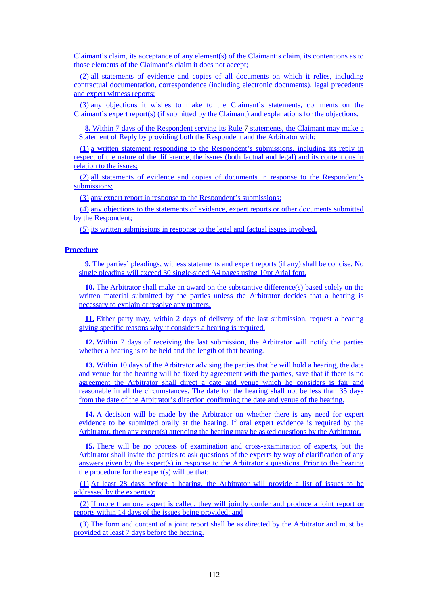Claimant's claim, its acceptance of any element(s) of the Claimant's claim, its contentions as to those elements of the Claimant's claim it does not accept;

(2) all statements of evidence and copies of all documents on which it relies, including contractual documentation, correspondence (including electronic documents), legal precedents and expert witness reports;

(3) any objections it wishes to make to the Claimant's statements, comments on the Claimant's expert report(s) (if submitted by the Claimant) and explanations for the objections.

**8.** Within 7 days of the Respondent serving its Rule 7 statements, the Claimant may make a Statement of Reply by providing both the Respondent and the Arbitrator with:

(1) a written statement responding to the Respondent's submissions, including its reply in respect of the nature of the difference, the issues (both factual and legal) and its contentions in relation to the issues;

(2) all statements of evidence and copies of documents in response to the Respondent's submissions;

(3) any expert report in response to the Respondent's submissions;

(4) any objections to the statements of evidence, expert reports or other documents submitted by the Respondent;

(5) its written submissions in response to the legal and factual issues involved.

### **Procedure**

**9.** The parties' pleadings, witness statements and expert reports (if any) shall be concise. No single pleading will exceed 30 single-sided A4 pages using 10pt Arial font.

**10.** The Arbitrator shall make an award on the substantive difference(s) based solely on the written material submitted by the parties unless the Arbitrator decides that a hearing is necessary to explain or resolve any matters.

**11.** Either party may, within 2 days of delivery of the last submission, request a hearing giving specific reasons why it considers a hearing is required.

**12.** Within 7 days of receiving the last submission, the Arbitrator will notify the parties whether a hearing is to be held and the length of that hearing.

**13.** Within 10 days of the Arbitrator advising the parties that he will hold a hearing, the date and venue for the hearing will be fixed by agreement with the parties, save that if there is no agreement the Arbitrator shall direct a date and venue which he considers is fair and reasonable in all the circumstances. The date for the hearing shall not be less than 35 days from the date of the Arbitrator's direction confirming the date and venue of the hearing.

14. A decision will be made by the Arbitrator on whether there is any need for expert evidence to be submitted orally at the hearing. If oral expert evidence is required by the Arbitrator, then any expert(s) attending the hearing may be asked questions by the Arbitrator.

**15.** There will be no process of examination and cross-examination of experts, but the Arbitrator shall invite the parties to ask questions of the experts by way of clarification of any answers given by the expert(s) in response to the Arbitrator's questions. Prior to the hearing the procedure for the expert(s) will be that:

(1) At least 28 days before a hearing, the Arbitrator will provide a list of issues to be addressed by the expert(s);

(2) If more than one expert is called, they will jointly confer and produce a joint report or reports within 14 days of the issues being provided; and

(3) The form and content of a joint report shall be as directed by the Arbitrator and must be provided at least 7 days before the hearing.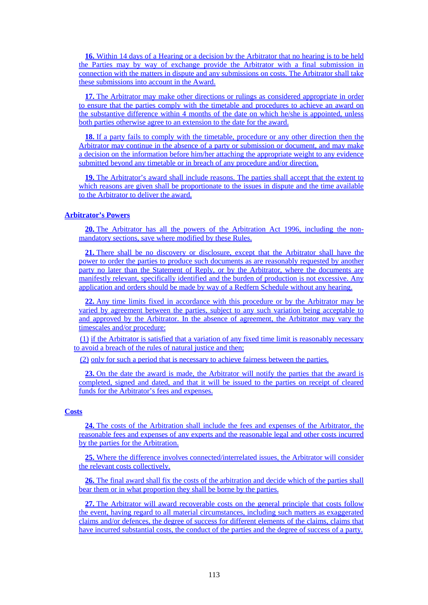**16.** Within 14 days of a Hearing or a decision by the Arbitrator that no hearing is to be held the Parties may by way of exchange provide the Arbitrator with a final submission in connection with the matters in dispute and any submissions on costs. The Arbitrator shall take these submissions into account in the Award.

**17.** The Arbitrator may make other directions or rulings as considered appropriate in order to ensure that the parties comply with the timetable and procedures to achieve an award on the substantive difference within 4 months of the date on which he/she is appointed, unless both parties otherwise agree to an extension to the date for the award.

**18.** If a party fails to comply with the timetable, procedure or any other direction then the Arbitrator may continue in the absence of a party or submission or document, and may make a decision on the information before him/her attaching the appropriate weight to any evidence submitted beyond any timetable or in breach of any procedure and/or direction.

**19.** The Arbitrator's award shall include reasons. The parties shall accept that the extent to which reasons are given shall be proportionate to the issues in dispute and the time available to the Arbitrator to deliver the award.

## **Arbitrator's Powers**

**20.** The Arbitrator has all the powers of the Arbitration Act 1996, including the nonmandatory sections, save where modified by these Rules.

**21.** There shall be no discovery or disclosure, except that the Arbitrator shall have the power to order the parties to produce such documents as are reasonably requested by another party no later than the Statement of Reply, or by the Arbitrator, where the documents are manifestly relevant, specifically identified and the burden of production is not excessive. Any application and orders should be made by way of a Redfern Schedule without any hearing.

**22.** Any time limits fixed in accordance with this procedure or by the Arbitrator may be varied by agreement between the parties, subject to any such variation being acceptable to and approved by the Arbitrator. In the absence of agreement, the Arbitrator may vary the timescales and/or procedure:

(1) if the Arbitrator is satisfied that a variation of any fixed time limit is reasonably necessary to avoid a breach of the rules of natural justice and then;

(2) only for such a period that is necessary to achieve fairness between the parties.

**23.** On the date the award is made, the Arbitrator will notify the parties that the award is completed, signed and dated, and that it will be issued to the parties on receipt of cleared funds for the Arbitrator's fees and expenses.

## **Costs**

**24.** The costs of the Arbitration shall include the fees and expenses of the Arbitrator, the reasonable fees and expenses of any experts and the reasonable legal and other costs incurred by the parties for the Arbitration.

**25.** Where the difference involves connected/interrelated issues, the Arbitrator will consider the relevant costs collectively.

**26.** The final award shall fix the costs of the arbitration and decide which of the parties shall bear them or in what proportion they shall be borne by the parties.

**27.** The Arbitrator will award recoverable costs on the general principle that costs follow the event, having regard to all material circumstances, including such matters as exaggerated claims and/or defences, the degree of success for different elements of the claims, claims that have incurred substantial costs, the conduct of the parties and the degree of success of a party.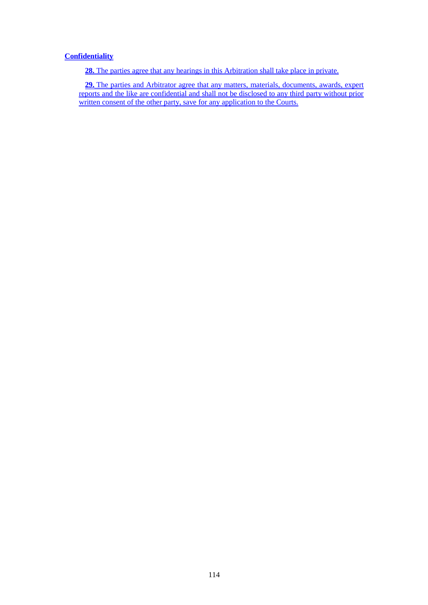## **Confidentiality**

**28.** The parties agree that any hearings in this Arbitration shall take place in private.

**29.** The parties and Arbitrator agree that any matters, materials, documents, awards, expert reports and the like are confidential and shall not be disclosed to any third party without prior written consent of the other party, save for any application to the Courts.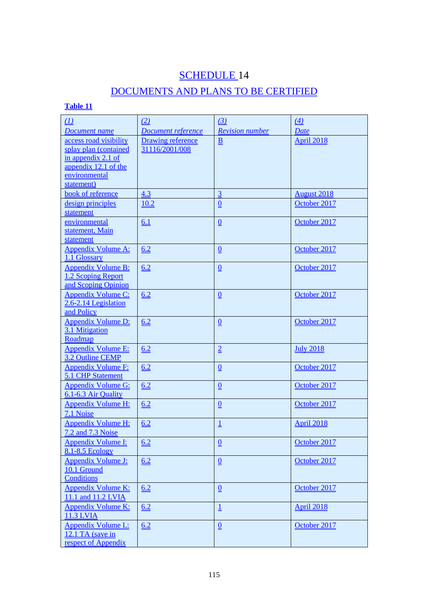## SCHEDULE<sub>14</sub>

## DOCUMENTS AND PLANS TO BE CERTIFIED

## **Table 11**

| $\underline{(\bot)}$                          | (2)                       | (3)                         | (4)                |
|-----------------------------------------------|---------------------------|-----------------------------|--------------------|
| <b>Document name</b>                          | <b>Document reference</b> | <b>Revision number</b>      | <b>Date</b>        |
| access road visibility                        | <b>Drawing reference</b>  | $\underline{\underline{B}}$ | April 2018         |
| splay plan (contained<br>in appendix $2.1$ of | 31116/2001/008            |                             |                    |
| appendix 12.1 of the                          |                           |                             |                    |
| environmental                                 |                           |                             |                    |
| statement)                                    |                           |                             |                    |
| book of reference                             | 4.3                       | $\overline{3}$              | <b>August 2018</b> |
| design principles                             | 10.2                      | $\underline{0}$             | October 2017       |
| statement                                     |                           |                             |                    |
| environmental                                 | 6.1                       | $\underline{0}$             | October 2017       |
| statement, Main                               |                           |                             |                    |
| statement                                     |                           |                             |                    |
| <b>Appendix Volume A:</b>                     | 6.2                       | $\underline{\underline{0}}$ | October 2017       |
| 1.1 Glossary                                  |                           |                             |                    |
| <b>Appendix Volume B:</b>                     | 6.2                       | $\underline{\underline{0}}$ | October 2017       |
| 1.2 Scoping Report                            |                           |                             |                    |
| and Scoping Opinion                           |                           |                             |                    |
| <b>Appendix Volume C:</b>                     | 6.2                       | $\underline{\underline{0}}$ | October 2017       |
| 2.6-2.14 Legislation                          |                           |                             |                    |
| and Policy                                    |                           |                             |                    |
| <b>Appendix Volume D:</b>                     | 6.2                       | $\underline{0}$             | October 2017       |
| 3.1 Mitigation                                |                           |                             |                    |
| Roadmap                                       |                           |                             |                    |
| <b>Appendix Volume E:</b><br>3.2 Outline CEMP | 6.2                       | $\overline{2}$              | <b>July 2018</b>   |
| <b>Appendix Volume F:</b>                     | 6.2                       |                             | October 2017       |
| 5.1 CHP Statement                             |                           | $\underline{\underline{0}}$ |                    |
| <b>Appendix Volume G:</b>                     | 6.2                       | $\underline{\underline{0}}$ | October 2017       |
| 6.1-6.3 Air Quality                           |                           |                             |                    |
| <b>Appendix Volume H:</b>                     | 6.2                       | $\underline{\underline{0}}$ | October 2017       |
| 7.1 Noise                                     |                           |                             |                    |
| <b>Appendix Volume H:</b>                     | 6.2                       | $\overline{\mathsf{I}}$     | <b>April 2018</b>  |
| 7.2 and 7.3 Noise                             |                           |                             |                    |
| <b>Appendix Volume I:</b>                     | 6.2                       | $\underline{\underline{0}}$ | October 2017       |
| 8.1-8.5 Ecology                               |                           |                             |                    |
| <b>Appendix Volume J:</b>                     | 6.2                       | $\underline{\underline{0}}$ | October 2017       |
| 10.1 Ground                                   |                           |                             |                    |
| Conditions                                    |                           |                             |                    |
| <b>Appendix Volume K:</b>                     | 6.2                       | $\underline{\underline{0}}$ | October 2017       |
| 11.1 and 11.2 LVIA                            |                           |                             |                    |
| <b>Appendix Volume K:</b>                     | 6.2                       | $\overline{\mathsf{I}}$     | <b>April 2018</b>  |
| <b>11.3 LVIA</b>                              |                           |                             |                    |
| <b>Appendix Volume L:</b>                     | 6.2                       | $\underline{\underline{0}}$ | October 2017       |
| 12.1 TA (save in                              |                           |                             |                    |
| respect of Appendix                           |                           |                             |                    |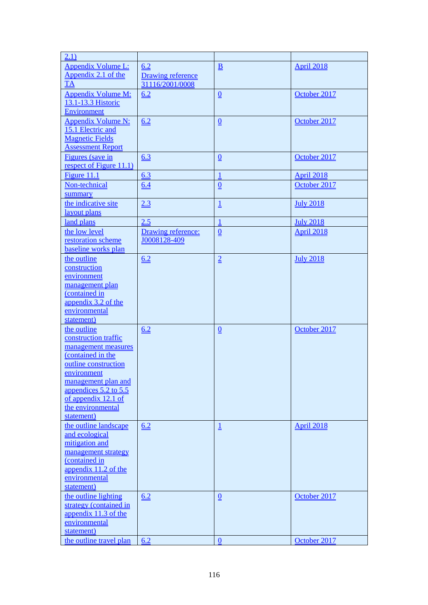| 2.1)                                                                                                                                                                                                                             |                                    |                             |                   |
|----------------------------------------------------------------------------------------------------------------------------------------------------------------------------------------------------------------------------------|------------------------------------|-----------------------------|-------------------|
| <b>Appendix Volume L:</b><br>Appendix 2.1 of the                                                                                                                                                                                 | 6.2<br><b>Drawing reference</b>    | $\underline{\mathbf{B}}$    | <b>April 2018</b> |
| TA                                                                                                                                                                                                                               | 31116/2001/0008                    |                             |                   |
| <b>Appendix Volume M:</b><br>13.1-13.3 Historic<br><b>Environment</b>                                                                                                                                                            | 6.2                                | $\underline{\underline{0}}$ | October 2017      |
| <b>Appendix Volume N:</b><br>15.1 Electric and<br><b>Magnetic Fields</b><br><b>Assessment Report</b>                                                                                                                             | 6.2                                | $\underline{\underline{0}}$ | October 2017      |
| Figures (save in<br>respect of Figure 11.1)                                                                                                                                                                                      | 6.3                                | $\underline{\underline{0}}$ | October 2017      |
| Figure 11.1                                                                                                                                                                                                                      | 6.3                                | 1                           | <b>April 2018</b> |
| Non-technical<br>summary                                                                                                                                                                                                         | 6.4                                | $\underline{0}$             | October 2017      |
| the indicative site<br>layout plans                                                                                                                                                                                              | 2.3                                | $\overline{\mathsf{I}}$     | <b>July 2018</b>  |
| land plans                                                                                                                                                                                                                       | 2.5                                | 1                           | <b>July 2018</b>  |
| the low level<br>restoration scheme<br>baseline works plan                                                                                                                                                                       | Drawing reference:<br>J0008128-409 | Q                           | <b>April 2018</b> |
| the outline<br>construction<br>environment<br>management plan<br>(contained in<br>appendix 3.2 of the<br>environmental<br>statement)                                                                                             | 6.2                                | $\geq$                      | <b>July 2018</b>  |
| the outline<br>construction traffic<br>management measures<br>(contained in the<br>outline construction<br>environment<br>management plan and<br>appendices 5.2 to 5.5<br>of appendix 12.1 of<br>the environmental<br>statement) | 6.2                                | $\underline{\underline{0}}$ | October 2017      |
| the outline landscape<br>and ecological<br>mitigation and<br>management strategy<br>(contained in<br>appendix 11.2 of the<br>environmental<br>statement)                                                                         | 6.2                                | $\overline{\mathsf{I}}$     | <b>April 2018</b> |
| the outline lighting<br>strategy (contained in<br>appendix 11.3 of the<br>environmental<br>statement)                                                                                                                            | 6.2                                | $\underline{\underline{0}}$ | October 2017      |
| the outline travel plan                                                                                                                                                                                                          | 6.2                                | $\boldsymbol{0}$            | October 2017      |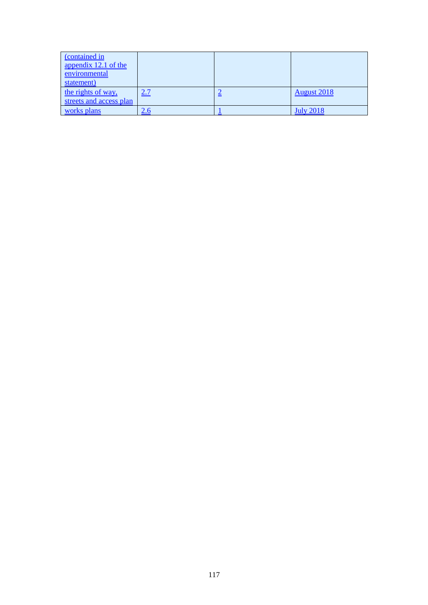| (contained in           |            |   |                    |
|-------------------------|------------|---|--------------------|
| appendix 12.1 of the    |            |   |                    |
| environmental           |            |   |                    |
| statement)              |            |   |                    |
| the rights of way,      | 2.7        | ≞ | <b>August 2018</b> |
| streets and access plan |            |   |                    |
| works plans             | <u>z.a</u> |   | <u>July 2018</u>   |